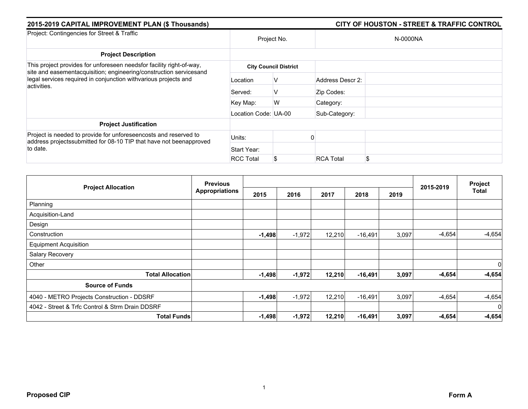| 2015-2019 CAPITAL IMPROVEMENT PLAN (\$ Thousands)                                                                                                    |                      | <b>CITY OF HOUSTON - STREET &amp; TRAFFIC CONTROL</b> |                  |          |  |  |  |
|------------------------------------------------------------------------------------------------------------------------------------------------------|----------------------|-------------------------------------------------------|------------------|----------|--|--|--|
| Project: Contingencies for Street & Traffic                                                                                                          | Project No.          |                                                       |                  | N-0000NA |  |  |  |
| <b>Project Description</b>                                                                                                                           |                      |                                                       |                  |          |  |  |  |
| This project provides for unforeseen needsfor facility right-of-way,<br>site and easementacquisition; engineering/construction servicesand           |                      | <b>City Council District</b>                          |                  |          |  |  |  |
| legal services required in conjunction withvarious projects and<br>activities.                                                                       | Location             | v                                                     | Address Descr 2: |          |  |  |  |
|                                                                                                                                                      | Served:              | v                                                     | Zip Codes:       |          |  |  |  |
|                                                                                                                                                      | Key Map:             | W                                                     | Category:        |          |  |  |  |
|                                                                                                                                                      | Location Code: UA-00 |                                                       | Sub-Category:    |          |  |  |  |
| <b>Project Justification</b>                                                                                                                         |                      |                                                       |                  |          |  |  |  |
| Project is needed to provide for unforeseencosts and reserved to<br>address projects submitted for 08-10 TIP that have not been approved<br>to date. | Units:               |                                                       |                  |          |  |  |  |
|                                                                                                                                                      | Start Year:          |                                                       |                  |          |  |  |  |
|                                                                                                                                                      | <b>RCC Total</b>     |                                                       | <b>RCA Total</b> |          |  |  |  |

| <b>Project Allocation</b>                       | <b>Previous</b>       |          |          |        |           |       | 2015-2019 | Project<br>Total |
|-------------------------------------------------|-----------------------|----------|----------|--------|-----------|-------|-----------|------------------|
|                                                 | <b>Appropriations</b> | 2015     | 2016     | 2017   | 2018      | 2019  |           |                  |
| Planning                                        |                       |          |          |        |           |       |           |                  |
| Acquisition-Land                                |                       |          |          |        |           |       |           |                  |
| Design                                          |                       |          |          |        |           |       |           |                  |
| Construction                                    |                       | $-1,498$ | $-1,972$ | 12,210 | $-16,491$ | 3,097 | $-4,654$  | $-4,654$         |
| <b>Equipment Acquisition</b>                    |                       |          |          |        |           |       |           |                  |
| Salary Recovery                                 |                       |          |          |        |           |       |           |                  |
| Other                                           |                       |          |          |        |           |       |           | $\overline{0}$   |
| <b>Total Allocation</b>                         |                       | $-1,498$ | $-1,972$ | 12,210 | $-16,491$ | 3,097 | $-4,654$  | $-4,654$         |
| <b>Source of Funds</b>                          |                       |          |          |        |           |       |           |                  |
| 4040 - METRO Projects Construction - DDSRF      |                       | $-1,498$ | $-1,972$ | 12,210 | $-16,491$ | 3,097 | $-4,654$  | $-4,654$         |
| 4042 - Street & Trfc Control & Strm Drain DDSRF |                       |          |          |        |           |       |           | $\overline{0}$   |
| <b>Total Funds</b>                              |                       | $-1,498$ | $-1,972$ | 12,210 | $-16,491$ | 3,097 | $-4,654$  | $-4,654$         |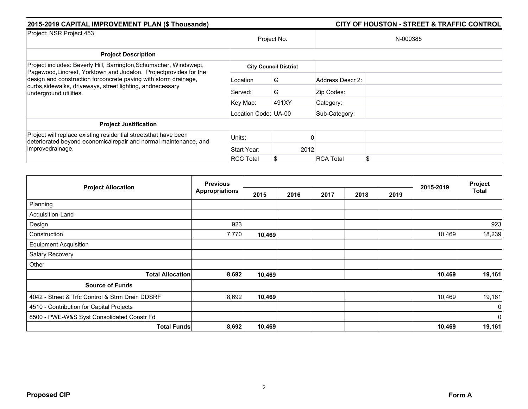| 2015-2019 CAPITAL IMPROVEMENT PLAN (\$ Thousands)                                                                                                        |                      | <b>CITY OF HOUSTON - STREET &amp; TRAFFIC CONTROL</b> |                  |    |  |  |  |
|----------------------------------------------------------------------------------------------------------------------------------------------------------|----------------------|-------------------------------------------------------|------------------|----|--|--|--|
| Project: NSR Project 453                                                                                                                                 | Project No.          |                                                       | N-000385         |    |  |  |  |
| <b>Project Description</b>                                                                                                                               |                      |                                                       |                  |    |  |  |  |
| Project includes: Beverly Hill, Barrington, Schumacher, Windswept,<br>Pagewood, Lincrest, Yorktown and Judalon. Projectprovides for the                  |                      | <b>City Council District</b>                          |                  |    |  |  |  |
| design and construction forconcrete paving with storm drainage,<br>curbs, sidewalks, driveways, street lighting, andnecessary<br>underground utilities.  | Location             | G                                                     | Address Descr 2: |    |  |  |  |
|                                                                                                                                                          | Served:              | G                                                     | Zip Codes:       |    |  |  |  |
|                                                                                                                                                          | Key Map:             | 491XY                                                 | Category:        |    |  |  |  |
|                                                                                                                                                          | Location Code: UA-00 |                                                       | Sub-Category:    |    |  |  |  |
| <b>Project Justification</b>                                                                                                                             |                      |                                                       |                  |    |  |  |  |
| Project will replace existing residential streets that have been<br>deteriorated beyond economicalrepair and normal maintenance, and<br>improvedrainage. | Units:               |                                                       |                  |    |  |  |  |
|                                                                                                                                                          | Start Year:          | 2012                                                  |                  |    |  |  |  |
|                                                                                                                                                          | <b>RCC Total</b>     | S                                                     | <b>RCA Total</b> | S. |  |  |  |

|                                                 | <b>Previous</b>       |        |      |      |      |      |           | Project        |
|-------------------------------------------------|-----------------------|--------|------|------|------|------|-----------|----------------|
| <b>Project Allocation</b>                       | <b>Appropriations</b> | 2015   | 2016 | 2017 | 2018 | 2019 | 2015-2019 | <b>Total</b>   |
| Planning                                        |                       |        |      |      |      |      |           |                |
| Acquisition-Land                                |                       |        |      |      |      |      |           |                |
| Design                                          | 923                   |        |      |      |      |      |           | 923            |
| Construction                                    | 7,770                 | 10,469 |      |      |      |      | 10,469    | 18,239         |
| <b>Equipment Acquisition</b>                    |                       |        |      |      |      |      |           |                |
| Salary Recovery                                 |                       |        |      |      |      |      |           |                |
| Other                                           |                       |        |      |      |      |      |           |                |
| <b>Total Allocation</b>                         | 8,692                 | 10,469 |      |      |      |      | 10,469    | 19,161         |
| <b>Source of Funds</b>                          |                       |        |      |      |      |      |           |                |
| 4042 - Street & Trfc Control & Strm Drain DDSRF | 8,692                 | 10,469 |      |      |      |      | 10,469    | 19,161         |
| 4510 - Contribution for Capital Projects        |                       |        |      |      |      |      |           | $\mathbf{0}$   |
| 8500 - PWE-W&S Syst Consolidated Constr Fd      |                       |        |      |      |      |      |           | $\overline{0}$ |
| <b>Total Funds</b>                              | 8,692                 | 10,469 |      |      |      |      | 10,469    | 19,161         |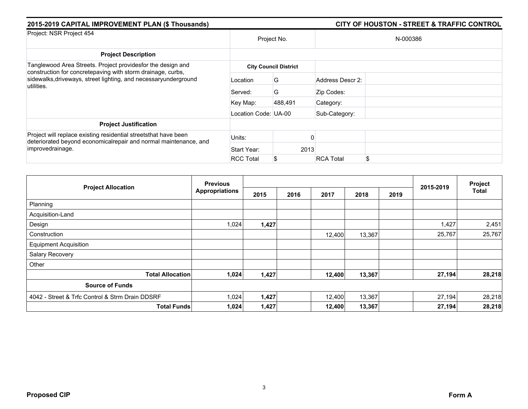| 2015-2019 CAPITAL IMPROVEMENT PLAN (\$ Thousands)                                                                                                                                                           |                      |                              |                  |  |  |
|-------------------------------------------------------------------------------------------------------------------------------------------------------------------------------------------------------------|----------------------|------------------------------|------------------|--|--|
| Project: NSR Project 454                                                                                                                                                                                    | Project No.          |                              | N-000386         |  |  |
| <b>Project Description</b>                                                                                                                                                                                  |                      |                              |                  |  |  |
| Tanglewood Area Streets. Project providesfor the design and<br>construction for concretepaving with storm drainage, curbs,<br>sidewalks, driveways, street lighting, and necessaryunderground<br>utilities. |                      | <b>City Council District</b> |                  |  |  |
|                                                                                                                                                                                                             | Location             | G                            | Address Descr 2: |  |  |
|                                                                                                                                                                                                             | Served:              | G                            | Zip Codes:       |  |  |
|                                                                                                                                                                                                             | Key Map:             | 488,491                      | Category:        |  |  |
|                                                                                                                                                                                                             | Location Code: UA-00 |                              | Sub-Category:    |  |  |
| <b>Project Justification</b>                                                                                                                                                                                |                      |                              |                  |  |  |
| Project will replace existing residential streetsthat have been<br>deteriorated beyond economicalrepair and normal maintenance, and<br>improvedrainage.                                                     | Units:               |                              |                  |  |  |
|                                                                                                                                                                                                             | Start Year:          | 2013                         |                  |  |  |
|                                                                                                                                                                                                             | <b>RCC Total</b>     | S                            | <b>RCA Total</b> |  |  |

|                                                 | <b>Previous</b>       |       |      |        |        |      |           | Project      |
|-------------------------------------------------|-----------------------|-------|------|--------|--------|------|-----------|--------------|
| <b>Project Allocation</b>                       | <b>Appropriations</b> | 2015  | 2016 | 2017   | 2018   | 2019 | 2015-2019 | <b>Total</b> |
| Planning                                        |                       |       |      |        |        |      |           |              |
| Acquisition-Land                                |                       |       |      |        |        |      |           |              |
| Design                                          | 1,024                 | 1,427 |      |        |        |      | 1,427     | 2,451        |
| Construction                                    |                       |       |      | 12,400 | 13,367 |      | 25,767    | 25,767       |
| <b>Equipment Acquisition</b>                    |                       |       |      |        |        |      |           |              |
| Salary Recovery                                 |                       |       |      |        |        |      |           |              |
| Other                                           |                       |       |      |        |        |      |           |              |
| <b>Total Allocation</b>                         | 1,024                 | 1,427 |      | 12,400 | 13,367 |      | 27,194    | 28,218       |
| <b>Source of Funds</b>                          |                       |       |      |        |        |      |           |              |
| 4042 - Street & Trfc Control & Strm Drain DDSRF | 1,024                 | 1,427 |      | 12,400 | 13,367 |      | 27,194    | 28,218       |
| <b>Total Funds</b>                              | 1,024                 | 1,427 |      | 12,400 | 13,367 |      | 27,194    | 28,218       |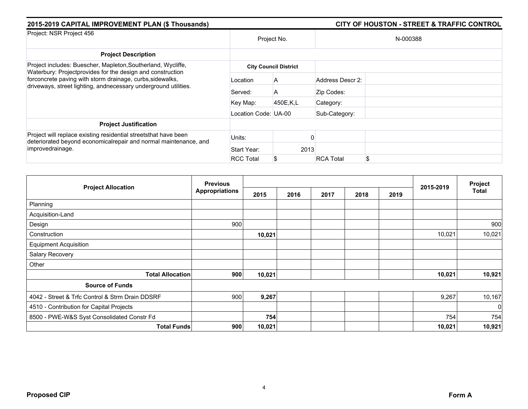| 2015-2019 CAPITAL IMPROVEMENT PLAN (\$ Thousands)                                                                                                                                          |                      |                              |                  |          |  |
|--------------------------------------------------------------------------------------------------------------------------------------------------------------------------------------------|----------------------|------------------------------|------------------|----------|--|
| Project: NSR Project 456                                                                                                                                                                   | Project No.          |                              |                  | N-000388 |  |
| <b>Project Description</b>                                                                                                                                                                 |                      |                              |                  |          |  |
| Project includes: Buescher, Mapleton, Southerland, Wycliffe,                                                                                                                               |                      | <b>City Council District</b> |                  |          |  |
| Waterbury: Projectprovides for the design and construction<br>forconcrete paving with storm drainage, curbs, sidewalks,<br>driveways, street lighting, andnecessary underground utilities. | Location             | A                            | Address Descr 2: |          |  |
|                                                                                                                                                                                            | Served:              | A                            | Zip Codes:       |          |  |
|                                                                                                                                                                                            | Key Map:             | 450E,K,L                     | Category:        |          |  |
|                                                                                                                                                                                            | Location Code: UA-00 |                              | Sub-Category:    |          |  |
| <b>Project Justification</b>                                                                                                                                                               |                      |                              |                  |          |  |
| Project will replace existing residential streets that have been<br>deteriorated beyond economicalrepair and normal maintenance, and<br>improvedrainage.                                   | Units:               |                              |                  |          |  |
|                                                                                                                                                                                            | Start Year:          | 2013                         |                  |          |  |
|                                                                                                                                                                                            | <b>RCC Total</b>     | S                            | <b>RCA Total</b> |          |  |

|                                                 | <b>Previous</b><br><b>Appropriations</b> |        |      |      |      |      |           | Project      |
|-------------------------------------------------|------------------------------------------|--------|------|------|------|------|-----------|--------------|
| <b>Project Allocation</b>                       |                                          | 2015   | 2016 | 2017 | 2018 | 2019 | 2015-2019 | <b>Total</b> |
| Planning                                        |                                          |        |      |      |      |      |           |              |
| Acquisition-Land                                |                                          |        |      |      |      |      |           |              |
| Design                                          | 900                                      |        |      |      |      |      |           | 900          |
| Construction                                    |                                          | 10,021 |      |      |      |      | 10,021    | 10,021       |
| <b>Equipment Acquisition</b>                    |                                          |        |      |      |      |      |           |              |
| Salary Recovery                                 |                                          |        |      |      |      |      |           |              |
| Other                                           |                                          |        |      |      |      |      |           |              |
| <b>Total Allocation</b>                         | 900                                      | 10,021 |      |      |      |      | 10,021    | 10,921       |
| <b>Source of Funds</b>                          |                                          |        |      |      |      |      |           |              |
| 4042 - Street & Trfc Control & Strm Drain DDSRF | 900                                      | 9,267  |      |      |      |      | 9,267     | 10,167       |
| 4510 - Contribution for Capital Projects        |                                          |        |      |      |      |      |           | $\Omega$     |
| 8500 - PWE-W&S Syst Consolidated Constr Fd      |                                          | 754    |      |      |      |      | 754       | 754          |
| <b>Total Funds</b>                              | 900                                      | 10,021 |      |      |      |      | 10,021    | 10,921       |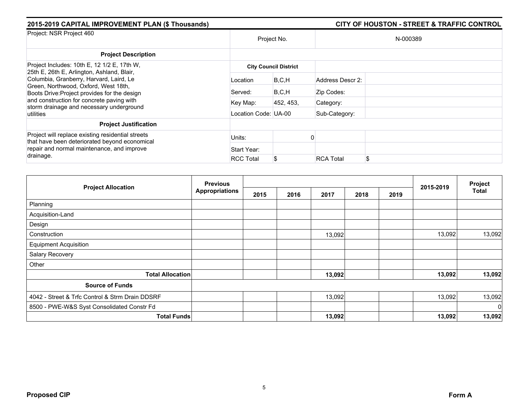| 2015-2019 CAPITAL IMPROVEMENT PLAN (\$ Thousands)                                                                                                                             |                      |                              |                  | <b>CITY OF HOUSTON - STREET &amp; TRAFFIC CONTROL</b> |  |  |  |
|-------------------------------------------------------------------------------------------------------------------------------------------------------------------------------|----------------------|------------------------------|------------------|-------------------------------------------------------|--|--|--|
| Project: NSR Project 460                                                                                                                                                      | Project No.          |                              | N-000389         |                                                       |  |  |  |
| <b>Project Description</b>                                                                                                                                                    |                      |                              |                  |                                                       |  |  |  |
| Project Includes: 10th E, 12 1/2 E, 17th W,                                                                                                                                   |                      | <b>City Council District</b> |                  |                                                       |  |  |  |
| 25th E, 26th E, Arlington, Ashland, Blair,<br>Columbia, Granberry, Harvard, Laird, Le<br>Green, Northwood, Oxford, West 18th,<br>Boots Drive: Project provides for the design | Location             | B, C, H                      | Address Descr 2: |                                                       |  |  |  |
|                                                                                                                                                                               | Served:              | B, C, H                      | Zip Codes:       |                                                       |  |  |  |
| and construction for concrete paving with<br>storm drainage and necessary underground                                                                                         | Key Map:             | 452, 453,                    | Category:        |                                                       |  |  |  |
| utilities                                                                                                                                                                     | Location Code: UA-00 |                              | Sub-Category:    |                                                       |  |  |  |
| <b>Project Justification</b>                                                                                                                                                  |                      |                              |                  |                                                       |  |  |  |
| Project will replace existing residential streets<br>that have been deteriorated beyond economical                                                                            | Units:               |                              |                  |                                                       |  |  |  |
| repair and normal maintenance, and improve                                                                                                                                    | Start Year:          |                              |                  |                                                       |  |  |  |
| drainage.                                                                                                                                                                     | <b>RCC Total</b>     | S                            | <b>RCA Total</b> | \$                                                    |  |  |  |

|                                                 | <b>Previous</b>       |      |      |        |      |      | 2015-2019 | Project     |
|-------------------------------------------------|-----------------------|------|------|--------|------|------|-----------|-------------|
| <b>Project Allocation</b>                       | <b>Appropriations</b> | 2015 | 2016 | 2017   | 2018 | 2019 |           | Total       |
| Planning                                        |                       |      |      |        |      |      |           |             |
| Acquisition-Land                                |                       |      |      |        |      |      |           |             |
| Design                                          |                       |      |      |        |      |      |           |             |
| Construction                                    |                       |      |      | 13,092 |      |      | 13,092    | 13,092      |
| <b>Equipment Acquisition</b>                    |                       |      |      |        |      |      |           |             |
| Salary Recovery                                 |                       |      |      |        |      |      |           |             |
| Other                                           |                       |      |      |        |      |      |           |             |
| <b>Total Allocation</b>                         |                       |      |      | 13,092 |      |      | 13,092    | 13,092      |
| <b>Source of Funds</b>                          |                       |      |      |        |      |      |           |             |
| 4042 - Street & Trfc Control & Strm Drain DDSRF |                       |      |      | 13,092 |      |      | 13,092    | 13,092      |
| 8500 - PWE-W&S Syst Consolidated Constr Fd      |                       |      |      |        |      |      |           | $\mathbf 0$ |
| <b>Total Funds</b>                              |                       |      |      | 13,092 |      |      | 13,092    | 13,092      |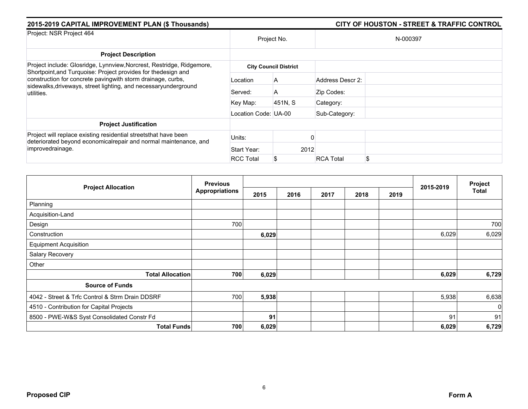| 2015-2019 CAPITAL IMPROVEMENT PLAN (\$ Thousands)                                                                                                                                                              |                      |                              | <b>CITY OF HOUSTON - STREET &amp; TRAFFIC CONTROL</b> |  |  |  |  |
|----------------------------------------------------------------------------------------------------------------------------------------------------------------------------------------------------------------|----------------------|------------------------------|-------------------------------------------------------|--|--|--|--|
| Project: NSR Project 464                                                                                                                                                                                       | Project No.          |                              | N-000397                                              |  |  |  |  |
| <b>Project Description</b>                                                                                                                                                                                     |                      |                              |                                                       |  |  |  |  |
| Project include: Glosridge, Lynnview, Norcrest, Restridge, Ridgemore,                                                                                                                                          |                      | <b>City Council District</b> |                                                       |  |  |  |  |
| Shortpoint, and Turquoise: Project provides for thedesign and<br>construction for concrete paving with storm drainage, curbs,<br>sidewalks, driveways, street lighting, and necessaryunderground<br>utilities. | Location             | A                            | Address Descr 2:                                      |  |  |  |  |
|                                                                                                                                                                                                                | Served:              | A                            | Zip Codes:                                            |  |  |  |  |
|                                                                                                                                                                                                                | Key Map:             | 451N, S                      | Category:                                             |  |  |  |  |
|                                                                                                                                                                                                                | Location Code: UA-00 |                              | Sub-Category:                                         |  |  |  |  |
| <b>Project Justification</b>                                                                                                                                                                                   |                      |                              |                                                       |  |  |  |  |
| Project will replace existing residential streets that have been<br>deteriorated beyond economicalrepair and normal maintenance, and<br>improvedrainage.                                                       | Units:               |                              |                                                       |  |  |  |  |
|                                                                                                                                                                                                                | Start Year:          | 2012                         |                                                       |  |  |  |  |
|                                                                                                                                                                                                                | <b>RCC Total</b>     | S                            | <b>RCA Total</b>                                      |  |  |  |  |

|                                                 | <b>Previous</b><br><b>Appropriations</b> |       |      |      |      |      |           | Project      |
|-------------------------------------------------|------------------------------------------|-------|------|------|------|------|-----------|--------------|
| <b>Project Allocation</b>                       |                                          | 2015  | 2016 | 2017 | 2018 | 2019 | 2015-2019 | <b>Total</b> |
| Planning                                        |                                          |       |      |      |      |      |           |              |
| Acquisition-Land                                |                                          |       |      |      |      |      |           |              |
| Design                                          | 700                                      |       |      |      |      |      |           | 700          |
| Construction                                    |                                          | 6,029 |      |      |      |      | 6,029     | 6,029        |
| <b>Equipment Acquisition</b>                    |                                          |       |      |      |      |      |           |              |
| Salary Recovery                                 |                                          |       |      |      |      |      |           |              |
| Other                                           |                                          |       |      |      |      |      |           |              |
| <b>Total Allocation</b>                         | 700                                      | 6,029 |      |      |      |      | 6,029     | 6,729        |
| <b>Source of Funds</b>                          |                                          |       |      |      |      |      |           |              |
| 4042 - Street & Trfc Control & Strm Drain DDSRF | 700                                      | 5,938 |      |      |      |      | 5,938     | 6,638        |
| 4510 - Contribution for Capital Projects        |                                          |       |      |      |      |      |           | $\Omega$     |
| 8500 - PWE-W&S Syst Consolidated Constr Fd      |                                          | 91    |      |      |      |      | 91        | 91           |
| <b>Total Funds</b>                              | 700                                      | 6,029 |      |      |      |      | 6,029     | 6,729        |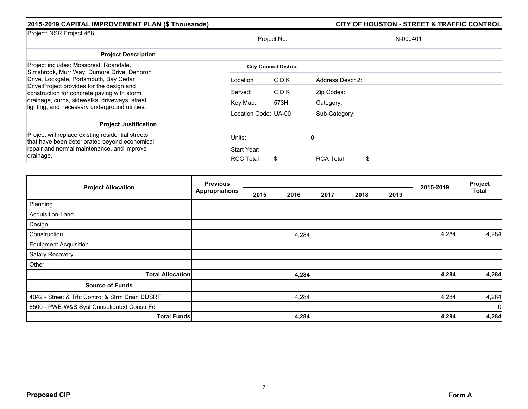| 2015-2019 CAPITAL IMPROVEMENT PLAN (\$ Thousands)                                                                                                                                 |                      |                              |                  | <b>CITY OF HOUSTON - STREET &amp; TRAFFIC CONTROL</b> |
|-----------------------------------------------------------------------------------------------------------------------------------------------------------------------------------|----------------------|------------------------------|------------------|-------------------------------------------------------|
| Project: NSR Project 468                                                                                                                                                          | Project No.          |                              |                  | N-000401                                              |
| <b>Project Description</b>                                                                                                                                                        |                      |                              |                  |                                                       |
| Project includes: Mosscrest, Roandale,                                                                                                                                            |                      | <b>City Council District</b> |                  |                                                       |
| Simsbrook, Murr Way, Dumore Drive, Denoron<br>Drive, Lockgate, Portsmouth, Bay Cedar<br>Drive: Project provides for the design and<br>construction for concrete paving with storm | Location             | C, D, K                      | Address Descr 2: |                                                       |
|                                                                                                                                                                                   | Served:              | C, D, K                      | Zip Codes:       |                                                       |
| drainage, curbs, sidewalks, driveways, street<br>lighting, and necessary underground utilities.                                                                                   | Key Map:             | 573H                         | Category:        |                                                       |
|                                                                                                                                                                                   | Location Code: UA-00 |                              | Sub-Category:    |                                                       |
| <b>Project Justification</b>                                                                                                                                                      |                      |                              |                  |                                                       |
| Project will replace existing residential streets<br>that have been deteriorated beyond economical                                                                                | Units:               |                              |                  |                                                       |
| repair and normal maintenance, and improve<br>drainage.                                                                                                                           | Start Year:          |                              |                  |                                                       |
|                                                                                                                                                                                   | <b>RCC Total</b>     | \$                           | <b>RCA Total</b> | S                                                     |

|                                                 | <b>Previous</b>       |      |       |      | Project |      |           |              |
|-------------------------------------------------|-----------------------|------|-------|------|---------|------|-----------|--------------|
| <b>Project Allocation</b>                       | <b>Appropriations</b> | 2015 | 2016  | 2017 | 2018    | 2019 | 2015-2019 | <b>Total</b> |
| Planning                                        |                       |      |       |      |         |      |           |              |
| Acquisition-Land                                |                       |      |       |      |         |      |           |              |
| Design                                          |                       |      |       |      |         |      |           |              |
| Construction                                    |                       |      | 4,284 |      |         |      | 4,284     | 4,284        |
| <b>Equipment Acquisition</b>                    |                       |      |       |      |         |      |           |              |
| Salary Recovery                                 |                       |      |       |      |         |      |           |              |
| Other                                           |                       |      |       |      |         |      |           |              |
| <b>Total Allocation</b>                         |                       |      | 4,284 |      |         |      | 4,284     | 4,284        |
| <b>Source of Funds</b>                          |                       |      |       |      |         |      |           |              |
| 4042 - Street & Trfc Control & Strm Drain DDSRF |                       |      | 4,284 |      |         |      | 4,284     | 4,284        |
| 8500 - PWE-W&S Syst Consolidated Constr Fd      |                       |      |       |      |         |      |           | $\mathbf 0$  |
| <b>Total Funds</b>                              |                       |      | 4,284 |      |         |      | 4,284     | 4,284        |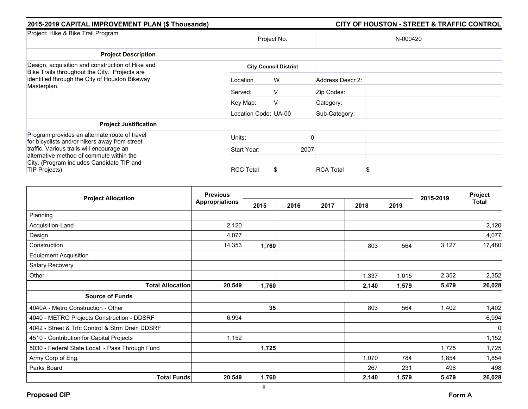| 2015-2019 CAPITAL IMPROVEMENT PLAN (\$ Thousands)                                                 |                      |                              |                  | <b>CITY OF HOUSTON - STREET &amp; TRAFFIC CONTROL</b> |
|---------------------------------------------------------------------------------------------------|----------------------|------------------------------|------------------|-------------------------------------------------------|
| Project: Hike & Bike Trail Program                                                                | Project No.          |                              |                  | N-000420                                              |
| <b>Project Description</b>                                                                        |                      |                              |                  |                                                       |
| Design, acquisition and construction of Hike and<br>Bike Trails throughout the City. Projects are |                      | <b>City Council District</b> |                  |                                                       |
| identified through the City of Houston Bikeway<br>Masterplan.                                     | Location             | W                            | Address Descr 2: |                                                       |
|                                                                                                   | Served:              | v                            | Zip Codes:       |                                                       |
|                                                                                                   | Key Map:             | V                            | Category:        |                                                       |
|                                                                                                   | Location Code: UA-00 |                              | Sub-Category:    |                                                       |
| <b>Project Justification</b>                                                                      |                      |                              |                  |                                                       |
| Program provides an alternate route of travel                                                     | Units:               |                              |                  |                                                       |
| for bicyclists and/or hikers away from street<br>traffic. Various trails will encourage an        | Start Year:          | 2007                         |                  |                                                       |
| alternative method of commute within the<br>City. (Program includes Candidate TIP and             |                      |                              |                  |                                                       |
| TIP Projects)                                                                                     | <b>RCC Total</b>     | Ъ                            | <b>RCA Total</b> | ъ                                                     |

|                                                 | <b>Previous</b>       |       |      |      |       | Project |           |              |
|-------------------------------------------------|-----------------------|-------|------|------|-------|---------|-----------|--------------|
| <b>Project Allocation</b>                       | <b>Appropriations</b> | 2015  | 2016 | 2017 | 2018  | 2019    | 2015-2019 | <b>Total</b> |
| Planning                                        |                       |       |      |      |       |         |           |              |
| Acquisition-Land                                | 2,120                 |       |      |      |       |         |           | 2,120        |
| Design                                          | 4,077                 |       |      |      |       |         |           | 4,077        |
| Construction                                    | 14,353                | 1,760 |      |      | 803   | 564     | 3,127     | 17,480       |
| <b>Equipment Acquisition</b>                    |                       |       |      |      |       |         |           |              |
| Salary Recovery                                 |                       |       |      |      |       |         |           |              |
| Other                                           |                       |       |      |      | 1,337 | 1,015   | 2,352     | 2,352        |
| <b>Total Allocation</b>                         | 20,549                | 1,760 |      |      | 2,140 | 1,579   | 5,479     | 26,028       |
| <b>Source of Funds</b>                          |                       |       |      |      |       |         |           |              |
| 4040A - Metro Construction - Other              |                       | 35    |      |      | 803   | 564     | 1,402     | 1,402        |
| 4040 - METRO Projects Construction - DDSRF      | 6,994                 |       |      |      |       |         |           | 6,994        |
| 4042 - Street & Trfc Control & Strm Drain DDSRF |                       |       |      |      |       |         |           | $\mathbf 0$  |
| 4510 - Contribution for Capital Projects        | 1,152                 |       |      |      |       |         |           | 1,152        |
| 5030 - Federal State Local - Pass Through Fund  |                       | 1,725 |      |      |       |         | 1,725     | 1,725        |
| Army Corp of Eng.                               |                       |       |      |      | 1,070 | 784     | 1,854     | 1,854        |
| Parks Board                                     |                       |       |      |      | 267   | 231     | 498       | 498          |
| <b>Total Funds</b>                              | 20,549                | 1,760 |      |      | 2,140 | 1,579   | 5,479     | 26,028       |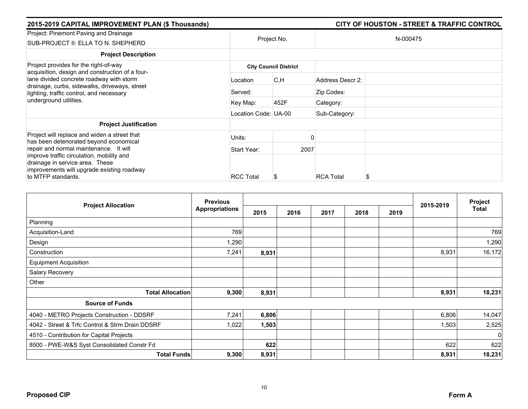| 2015-2019 CAPITAL IMPROVEMENT PLAN (\$ Thousands) |                  |                                                           |                                                                        |  |
|---------------------------------------------------|------------------|-----------------------------------------------------------|------------------------------------------------------------------------|--|
| Project No.                                       |                  |                                                           | N-000475                                                               |  |
|                                                   |                  |                                                           |                                                                        |  |
|                                                   |                  |                                                           |                                                                        |  |
| Location                                          | C, H             | Address Descr 2:                                          |                                                                        |  |
| Served:                                           |                  | Zip Codes:                                                |                                                                        |  |
| Key Map:                                          | 452F             | Category:                                                 |                                                                        |  |
|                                                   |                  | Sub-Category:                                             |                                                                        |  |
|                                                   |                  |                                                           |                                                                        |  |
| Units:                                            |                  |                                                           |                                                                        |  |
| Start Year:                                       |                  |                                                           |                                                                        |  |
|                                                   |                  |                                                           |                                                                        |  |
|                                                   | <b>RCC Total</b> | <b>City Council District</b><br>Location Code: UA-00<br>ъ | CITY OF HOUSTON - STREET & TRAFFIC CONTROL<br>2007<br><b>RCA Total</b> |  |

|                                                 | <b>Previous</b><br><b>Appropriations</b> |       |      |      | 2015-2019 | Project |       |              |
|-------------------------------------------------|------------------------------------------|-------|------|------|-----------|---------|-------|--------------|
| <b>Project Allocation</b>                       |                                          | 2015  | 2016 | 2017 | 2018      | 2019    |       | <b>Total</b> |
| Planning                                        |                                          |       |      |      |           |         |       |              |
| Acquisition-Land                                | 769                                      |       |      |      |           |         |       | 769          |
| Design                                          | 1,290                                    |       |      |      |           |         |       | 1,290        |
| Construction                                    | 7,241                                    | 8,931 |      |      |           |         | 8,931 | 16,172       |
| <b>Equipment Acquisition</b>                    |                                          |       |      |      |           |         |       |              |
| Salary Recovery                                 |                                          |       |      |      |           |         |       |              |
| Other                                           |                                          |       |      |      |           |         |       |              |
| <b>Total Allocation</b>                         | 9,300                                    | 8,931 |      |      |           |         | 8,931 | 18,231       |
| <b>Source of Funds</b>                          |                                          |       |      |      |           |         |       |              |
| 4040 - METRO Projects Construction - DDSRF      | 7,241                                    | 6,806 |      |      |           |         | 6,806 | 14,047       |
| 4042 - Street & Trfc Control & Strm Drain DDSRF | 1,022                                    | 1,503 |      |      |           |         | 1,503 | 2,525        |
| 4510 - Contribution for Capital Projects        |                                          |       |      |      |           |         |       | 0            |
| 8500 - PWE-W&S Syst Consolidated Constr Fd      |                                          | 622   |      |      |           |         | 622   | 622          |
| <b>Total Funds</b>                              | 9,300                                    | 8,931 |      |      |           |         | 8,931 | 18,231       |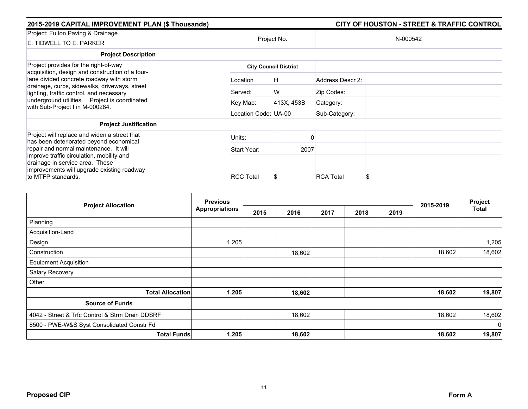| 2015-2019 CAPITAL IMPROVEMENT PLAN (\$ Thousands)                                                                                                                                                                         |                      | <b>CITY OF HOUSTON - STREET &amp; TRAFFIC CONTROL</b> |                  |          |  |
|---------------------------------------------------------------------------------------------------------------------------------------------------------------------------------------------------------------------------|----------------------|-------------------------------------------------------|------------------|----------|--|
| Project: Fulton Paving & Drainage<br>E. TIDWELL TO E. PARKER                                                                                                                                                              |                      | Project No.                                           |                  | N-000542 |  |
| <b>Project Description</b>                                                                                                                                                                                                |                      |                                                       |                  |          |  |
| Project provides for the right-of-way<br>acquisition, design and construction of a four-                                                                                                                                  |                      | <b>City Council District</b>                          |                  |          |  |
| lane divided concrete roadway with storm<br>drainage, curbs, sidewalks, driveways, street<br>lighting, traffic control, and necessary<br>underground utilities. Project is coordinated<br>with Sub-Project I in M-000284. | Location             | H                                                     | Address Descr 2: |          |  |
|                                                                                                                                                                                                                           | Served:              | W                                                     | Zip Codes:       |          |  |
|                                                                                                                                                                                                                           | Key Map:             | 413X, 453B                                            | Category:        |          |  |
|                                                                                                                                                                                                                           | Location Code: UA-00 |                                                       | Sub-Category:    |          |  |
| <b>Project Justification</b>                                                                                                                                                                                              |                      |                                                       |                  |          |  |
| Project will replace and widen a street that<br>has been deteriorated beyond economical                                                                                                                                   | Units:               |                                                       |                  |          |  |
| repair and normal maintenance. It will                                                                                                                                                                                    | Start Year:          | 2007                                                  |                  |          |  |
| improve traffic circulation, mobility and<br>drainage in service area. These<br>improvements will upgrade existing roadway<br>to MTFP standards.                                                                          | <b>RCC Total</b>     |                                                       | <b>RCA Total</b> | S        |  |

| <b>Project Allocation</b>                       | <b>Previous</b> |      |        |      |      |      | 2015-2019 | Project<br><b>Total</b> |
|-------------------------------------------------|-----------------|------|--------|------|------|------|-----------|-------------------------|
|                                                 | Appropriations  | 2015 | 2016   | 2017 | 2018 | 2019 |           |                         |
| Planning                                        |                 |      |        |      |      |      |           |                         |
| Acquisition-Land                                |                 |      |        |      |      |      |           |                         |
| Design                                          | 1,205           |      |        |      |      |      |           | 1,205                   |
| Construction                                    |                 |      | 18,602 |      |      |      | 18,602    | 18,602                  |
| <b>Equipment Acquisition</b>                    |                 |      |        |      |      |      |           |                         |
| Salary Recovery                                 |                 |      |        |      |      |      |           |                         |
| Other                                           |                 |      |        |      |      |      |           |                         |
| <b>Total Allocation</b>                         | 1,205           |      | 18,602 |      |      |      | 18,602    | 19,807                  |
| <b>Source of Funds</b>                          |                 |      |        |      |      |      |           |                         |
| 4042 - Street & Trfc Control & Strm Drain DDSRF |                 |      | 18,602 |      |      |      | 18,602    | 18,602                  |
| 8500 - PWE-W&S Syst Consolidated Constr Fd      |                 |      |        |      |      |      |           | - Ol                    |
| <b>Total Funds</b>                              | 1,205           |      | 18,602 |      |      |      | 18,602    | 19,807                  |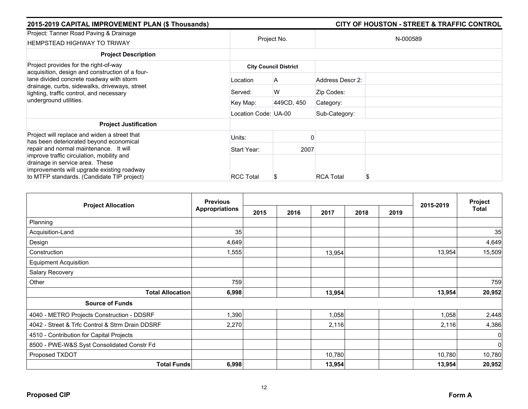| 2015-2019 CAPITAL IMPROVEMENT PLAN (\$ Thousands)                                                                                                                                                                  |                      |                              |                  | <b>CITY OF HOUSTON - STREET &amp; TRAFFIC CONTROL</b> |
|--------------------------------------------------------------------------------------------------------------------------------------------------------------------------------------------------------------------|----------------------|------------------------------|------------------|-------------------------------------------------------|
| Project: Tanner Road Paving & Drainage<br><b>HEMPSTEAD HIGHWAY TO TRIWAY</b>                                                                                                                                       |                      | Project No.                  |                  | N-000589                                              |
| <b>Project Description</b>                                                                                                                                                                                         |                      |                              |                  |                                                       |
| Project provides for the right-of-way                                                                                                                                                                              |                      | <b>City Council District</b> |                  |                                                       |
| acquisition, design and construction of a four-<br>lane divided concrete roadway with storm                                                                                                                        | Location             | A                            | Address Descr 2: |                                                       |
| drainage, curbs, sidewalks, driveways, street<br>lighting, traffic control, and necessary                                                                                                                          | Served:              | W                            | Zip Codes:       |                                                       |
| underground utilities.                                                                                                                                                                                             | Key Map:             | 449CD, 450                   | Category:        |                                                       |
|                                                                                                                                                                                                                    | Location Code: UA-00 |                              | Sub-Category:    |                                                       |
| <b>Project Justification</b>                                                                                                                                                                                       |                      |                              |                  |                                                       |
| Project will replace and widen a street that<br>has been deteriorated beyond economical                                                                                                                            | Units:               |                              |                  |                                                       |
| repair and normal maintenance. It will<br>improve traffic circulation, mobility and<br>drainage in service area. These<br>improvements will upgrade existing roadway<br>to MTFP standards. (Candidate TIP project) | Start Year:          | 2007                         |                  |                                                       |
|                                                                                                                                                                                                                    | <b>RCC Total</b>     |                              | <b>RCA Total</b> | S                                                     |

|                                                 | <b>Previous</b>       |      |      |        | Project |      |           |              |
|-------------------------------------------------|-----------------------|------|------|--------|---------|------|-----------|--------------|
| <b>Project Allocation</b>                       | <b>Appropriations</b> | 2015 | 2016 | 2017   | 2018    | 2019 | 2015-2019 | <b>Total</b> |
| Planning                                        |                       |      |      |        |         |      |           |              |
| Acquisition-Land                                | 35                    |      |      |        |         |      |           | 35           |
| Design                                          | 4,649                 |      |      |        |         |      |           | 4,649        |
| Construction                                    | 1,555                 |      |      | 13,954 |         |      | 13,954    | 15,509       |
| <b>Equipment Acquisition</b>                    |                       |      |      |        |         |      |           |              |
| Salary Recovery                                 |                       |      |      |        |         |      |           |              |
| Other                                           | 759                   |      |      |        |         |      |           | 759          |
| <b>Total Allocation</b>                         | 6,998                 |      |      | 13,954 |         |      | 13,954    | 20,952       |
| <b>Source of Funds</b>                          |                       |      |      |        |         |      |           |              |
| 4040 - METRO Projects Construction - DDSRF      | 1,390                 |      |      | 1,058  |         |      | 1,058     | 2,448        |
| 4042 - Street & Trfc Control & Strm Drain DDSRF | 2,270                 |      |      | 2,116  |         |      | 2,116     | 4,386        |
| 4510 - Contribution for Capital Projects        |                       |      |      |        |         |      |           | 0            |
| 8500 - PWE-W&S Syst Consolidated Constr Fd      |                       |      |      |        |         |      |           | $\mathbf 0$  |
| Proposed TXDOT                                  |                       |      |      | 10,780 |         |      | 10,780    | 10,780       |
| <b>Total Funds</b>                              | 6,998                 |      |      | 13,954 |         |      | 13,954    | 20,952       |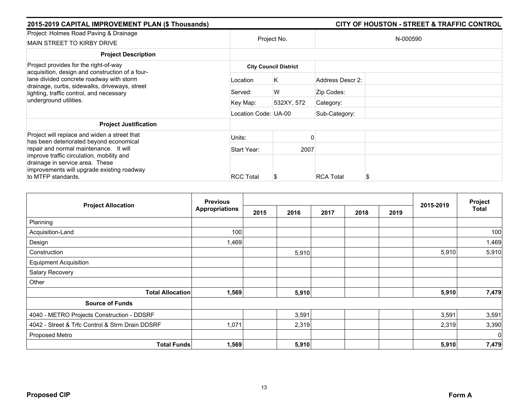| 2015-2019 CAPITAL IMPROVEMENT PLAN (\$ Thousands)                                                                                     | <b>CITY OF HOUSTON - STREET &amp; TRAFFIC CONTROL</b> |             |                  |          |  |  |  |  |
|---------------------------------------------------------------------------------------------------------------------------------------|-------------------------------------------------------|-------------|------------------|----------|--|--|--|--|
| Project: Holmes Road Paving & Drainage<br><b>MAIN STREET TO KIRBY DRIVE</b>                                                           |                                                       | Project No. |                  | N-000590 |  |  |  |  |
| <b>Project Description</b>                                                                                                            |                                                       |             |                  |          |  |  |  |  |
| Project provides for the right-of-way<br>acquisition, design and construction of a four-                                              | <b>City Council District</b>                          |             |                  |          |  |  |  |  |
| lane divided concrete roadway with storm<br>drainage, curbs, sidewalks, driveways, street<br>lighting, traffic control, and necessary | Location                                              | Κ           | Address Descr 2: |          |  |  |  |  |
|                                                                                                                                       | Served:                                               | W           | Zip Codes:       |          |  |  |  |  |
| underground utilities.                                                                                                                | Key Map:                                              | 532XY, 572  | Category:        |          |  |  |  |  |
|                                                                                                                                       | Location Code: UA-00                                  |             | Sub-Category:    |          |  |  |  |  |
| <b>Project Justification</b>                                                                                                          |                                                       |             |                  |          |  |  |  |  |
| Project will replace and widen a street that<br>has been deteriorated beyond economical                                               | Units:                                                |             |                  |          |  |  |  |  |
| repair and normal maintenance. It will                                                                                                | Start Year:                                           | 2007        |                  |          |  |  |  |  |
| improve traffic circulation, mobility and<br>drainage in service area. These<br>improvements will upgrade existing roadway            |                                                       |             |                  |          |  |  |  |  |
| to MTFP standards.                                                                                                                    | <b>RCC Total</b>                                      |             | <b>RCA Total</b> | S        |  |  |  |  |

|                                                 | <b>Previous</b>       |      |       |      |      |      |           | Project<br>Total |
|-------------------------------------------------|-----------------------|------|-------|------|------|------|-----------|------------------|
| <b>Project Allocation</b>                       | <b>Appropriations</b> | 2015 | 2016  | 2017 | 2018 | 2019 | 2015-2019 |                  |
| Planning                                        |                       |      |       |      |      |      |           |                  |
| Acquisition-Land                                | 100                   |      |       |      |      |      |           | 100              |
| Design                                          | 1,469                 |      |       |      |      |      |           | 1,469            |
| Construction                                    |                       |      | 5,910 |      |      |      | 5,910     | 5,910            |
| <b>Equipment Acquisition</b>                    |                       |      |       |      |      |      |           |                  |
| Salary Recovery                                 |                       |      |       |      |      |      |           |                  |
| Other                                           |                       |      |       |      |      |      |           |                  |
| <b>Total Allocation</b>                         | 1,569                 |      | 5,910 |      |      |      | 5,910     | 7,479            |
| <b>Source of Funds</b>                          |                       |      |       |      |      |      |           |                  |
| 4040 - METRO Projects Construction - DDSRF      |                       |      | 3,591 |      |      |      | 3,591     | 3,591            |
| 4042 - Street & Trfc Control & Strm Drain DDSRF | 1,071                 |      | 2,319 |      |      |      | 2,319     | 3,390            |
| Proposed Metro                                  |                       |      |       |      |      |      |           | $\mathbf 0$      |
| <b>Total Funds</b>                              | 1,569                 |      | 5,910 |      |      |      | 5,910     | 7,479            |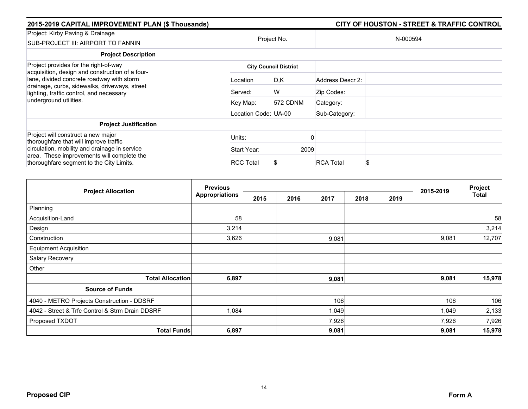| 2015-2019 CAPITAL IMPROVEMENT PLAN (\$ Thousands)                                                                                       |                      |                              |                  | <b>CITY OF HOUSTON - STREET &amp; TRAFFIC CONTROL</b> |
|-----------------------------------------------------------------------------------------------------------------------------------------|----------------------|------------------------------|------------------|-------------------------------------------------------|
| Project: Kirby Paving & Drainage<br>SUB-PROJECT III: AIRPORT TO FANNIN                                                                  | Project No.          |                              |                  | N-000594                                              |
| <b>Project Description</b>                                                                                                              |                      |                              |                  |                                                       |
| Project provides for the right-of-way<br>acquisition, design and construction of a four-                                                |                      | <b>City Council District</b> |                  |                                                       |
| lane, divided concrete roadway with storm<br>drainage, curbs, sidewalks, driveways, street<br>lighting, traffic control, and necessary  | Location             | D,K                          | Address Descr 2: |                                                       |
|                                                                                                                                         | Served:              | W                            | Zip Codes:       |                                                       |
| underground utilities.                                                                                                                  | Key Map:             | 572 CDNM                     | Category:        |                                                       |
|                                                                                                                                         | Location Code: UA-00 |                              | Sub-Category:    |                                                       |
| <b>Project Justification</b>                                                                                                            |                      |                              |                  |                                                       |
| Project will construct a new major<br>thoroughfare that will improve traffic                                                            | Units:               |                              |                  |                                                       |
| circulation, mobility and drainage in service<br>area. These improvements will complete the<br>thoroughfare segment to the City Limits. | Start Year:          | 2009                         |                  |                                                       |
|                                                                                                                                         | <b>RCC Total</b>     |                              | <b>RCA Total</b> | S                                                     |

|                                                 | <b>Previous</b>       |      |      |       | Project |      |           |        |
|-------------------------------------------------|-----------------------|------|------|-------|---------|------|-----------|--------|
| <b>Project Allocation</b>                       | <b>Appropriations</b> | 2015 | 2016 | 2017  | 2018    | 2019 | 2015-2019 | Total  |
| Planning                                        |                       |      |      |       |         |      |           |        |
| Acquisition-Land                                | 58                    |      |      |       |         |      |           | 58     |
| Design                                          | 3,214                 |      |      |       |         |      |           | 3,214  |
| Construction                                    | 3,626                 |      |      | 9,081 |         |      | 9,081     | 12,707 |
| <b>Equipment Acquisition</b>                    |                       |      |      |       |         |      |           |        |
| Salary Recovery                                 |                       |      |      |       |         |      |           |        |
| Other                                           |                       |      |      |       |         |      |           |        |
| <b>Total Allocation</b>                         | 6,897                 |      |      | 9,081 |         |      | 9,081     | 15,978 |
| <b>Source of Funds</b>                          |                       |      |      |       |         |      |           |        |
| 4040 - METRO Projects Construction - DDSRF      |                       |      |      | 106   |         |      | 106       | 106    |
| 4042 - Street & Trfc Control & Strm Drain DDSRF | 1,084                 |      |      | 1,049 |         |      | 1,049     | 2,133  |
| Proposed TXDOT                                  |                       |      |      | 7,926 |         |      | 7,926     | 7,926  |
| <b>Total Funds</b>                              | 6,897                 |      |      | 9,081 |         |      | 9,081     | 15,978 |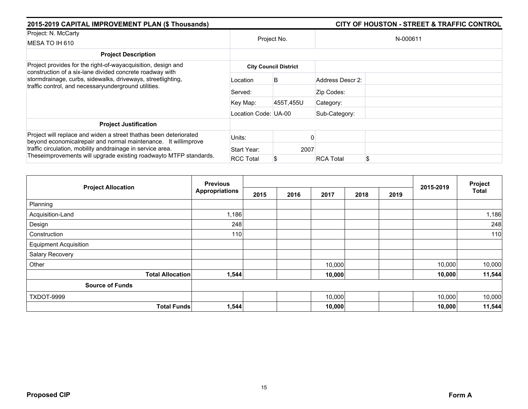| 2015-2019 CAPITAL IMPROVEMENT PLAN (\$ Thousands)                                                                                                                                                                                                                       |                      |                              |                  | <b>CITY OF HOUSTON - STREET &amp; TRAFFIC CONTROL</b> |
|-------------------------------------------------------------------------------------------------------------------------------------------------------------------------------------------------------------------------------------------------------------------------|----------------------|------------------------------|------------------|-------------------------------------------------------|
| Project: N. McCarty                                                                                                                                                                                                                                                     |                      |                              |                  |                                                       |
| MESA TO IH 610                                                                                                                                                                                                                                                          |                      | Project No.                  |                  | N-000611                                              |
| <b>Project Description</b>                                                                                                                                                                                                                                              |                      |                              |                  |                                                       |
| Project provides for the right-of-wayacquisition, design and                                                                                                                                                                                                            |                      | <b>City Council District</b> |                  |                                                       |
| construction of a six-lane divided concrete roadway with<br>stormdrainage, curbs, sidewalks, driveways, streetlighting,<br>traffic control, and necessaryunderground utilities.                                                                                         | Location             | B                            | Address Descr 2: |                                                       |
|                                                                                                                                                                                                                                                                         | Served:              |                              | Zip Codes:       |                                                       |
|                                                                                                                                                                                                                                                                         | Key Map:             | 455T.455U                    | Category:        |                                                       |
|                                                                                                                                                                                                                                                                         | Location Code: UA-00 |                              | Sub-Category:    |                                                       |
| <b>Project Justification</b>                                                                                                                                                                                                                                            |                      |                              |                  |                                                       |
| Project will replace and widen a street thathas been deteriorated<br>beyond economical repair and normal maintenance. It willimprove<br>traffic circulation, mobility anddrainage in service area.<br>Theseimprovements will upgrade existing roadwayto MTFP standards. | Units:               |                              |                  |                                                       |
|                                                                                                                                                                                                                                                                         | Start Year:          | 2007                         |                  |                                                       |
|                                                                                                                                                                                                                                                                         | <b>RCC Total</b>     |                              | <b>RCA Total</b> | \$                                                    |

|                              | <b>Previous</b>       |      |      |        |      | 2015-2019 | Project |              |
|------------------------------|-----------------------|------|------|--------|------|-----------|---------|--------------|
| <b>Project Allocation</b>    | <b>Appropriations</b> | 2015 | 2016 | 2017   | 2018 | 2019      |         | <b>Total</b> |
| Planning                     |                       |      |      |        |      |           |         |              |
| Acquisition-Land             | 1,186                 |      |      |        |      |           |         | 1,186        |
| Design                       | 248                   |      |      |        |      |           |         | 248          |
| Construction                 | 110                   |      |      |        |      |           |         | 110          |
| <b>Equipment Acquisition</b> |                       |      |      |        |      |           |         |              |
| Salary Recovery              |                       |      |      |        |      |           |         |              |
| Other                        |                       |      |      | 10,000 |      |           | 10,000  | 10,000       |
| <b>Total Allocation</b>      | 1,544                 |      |      | 10,000 |      |           | 10,000  | 11,544       |
| <b>Source of Funds</b>       |                       |      |      |        |      |           |         |              |
| TXDOT-9999                   |                       |      |      | 10,000 |      |           | 10,000  | 10,000       |
| <b>Total Funds</b>           | 1,544                 |      |      | 10,000 |      |           | 10,000  | 11,544       |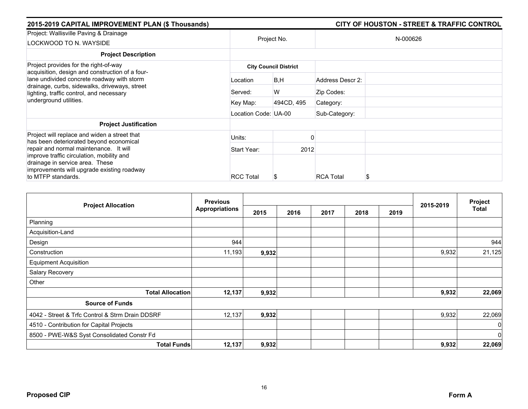| 2015-2019 CAPITAL IMPROVEMENT PLAN (\$ Thousands)                                                                                                |                      |                              |                  | <b>CITY OF HOUSTON - STREET &amp; TRAFFIC CONTROL</b> |
|--------------------------------------------------------------------------------------------------------------------------------------------------|----------------------|------------------------------|------------------|-------------------------------------------------------|
| Project: Wallisville Paving & Drainage<br>LOCKWOOD TO N. WAYSIDE                                                                                 | Project No.          |                              |                  | N-000626                                              |
| <b>Project Description</b>                                                                                                                       |                      |                              |                  |                                                       |
| Project provides for the right-of-way<br>acquisition, design and construction of a four-                                                         |                      | <b>City Council District</b> |                  |                                                       |
| lane undivided concrete roadway with storm                                                                                                       | Location             | B, H                         | Address Descr 2: |                                                       |
| drainage, curbs, sidewalks, driveways, street<br>lighting, traffic control, and necessary<br>underground utilities.                              | Served:              | W                            | Zip Codes:       |                                                       |
|                                                                                                                                                  | Key Map:             | 494CD, 495                   | Category:        |                                                       |
|                                                                                                                                                  | Location Code: UA-00 |                              | Sub-Category:    |                                                       |
| <b>Project Justification</b>                                                                                                                     |                      |                              |                  |                                                       |
| Project will replace and widen a street that<br>has been deteriorated beyond economical                                                          | Units:               |                              |                  |                                                       |
| repair and normal maintenance. It will                                                                                                           | Start Year:          | 2012                         |                  |                                                       |
| improve traffic circulation, mobility and<br>drainage in service area. These<br>improvements will upgrade existing roadway<br>to MTFP standards. | <b>RCC Total</b>     | \$                           | <b>RCA Total</b> |                                                       |
|                                                                                                                                                  |                      |                              |                  |                                                       |

|                                                 |                         | <b>Previous</b>       |       |      |      |      |      |           | Project        |
|-------------------------------------------------|-------------------------|-----------------------|-------|------|------|------|------|-----------|----------------|
| <b>Project Allocation</b>                       |                         | <b>Appropriations</b> | 2015  | 2016 | 2017 | 2018 | 2019 | 2015-2019 | Total          |
| Planning                                        |                         |                       |       |      |      |      |      |           |                |
| Acquisition-Land                                |                         |                       |       |      |      |      |      |           |                |
| Design                                          |                         | 944                   |       |      |      |      |      |           | 944            |
| Construction                                    |                         | 11,193                | 9,932 |      |      |      |      | 9,932     | 21,125         |
| <b>Equipment Acquisition</b>                    |                         |                       |       |      |      |      |      |           |                |
| Salary Recovery                                 |                         |                       |       |      |      |      |      |           |                |
| Other                                           |                         |                       |       |      |      |      |      |           |                |
|                                                 | <b>Total Allocation</b> | 12,137                | 9,932 |      |      |      |      | 9,932     | 22,069         |
| <b>Source of Funds</b>                          |                         |                       |       |      |      |      |      |           |                |
| 4042 - Street & Trfc Control & Strm Drain DDSRF |                         | 12,137                | 9,932 |      |      |      |      | 9,932     | 22,069         |
| 4510 - Contribution for Capital Projects        |                         |                       |       |      |      |      |      |           | $\overline{0}$ |
| 8500 - PWE-W&S Syst Consolidated Constr Fd      |                         |                       |       |      |      |      |      |           | $\overline{0}$ |
|                                                 | <b>Total Funds</b>      | 12,137                | 9,932 |      |      |      |      | 9,932     | 22,069         |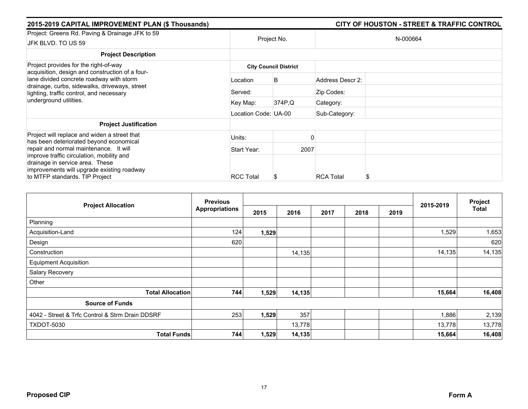| 2015-2019 CAPITAL IMPROVEMENT PLAN (\$ Thousands)                                                                          |                      |                              |                  | <b>CITY OF HOUSTON - STREET &amp; TRAFFIC CONTROL</b> |  |  |
|----------------------------------------------------------------------------------------------------------------------------|----------------------|------------------------------|------------------|-------------------------------------------------------|--|--|
| Project: Greens Rd. Paving & Drainage JFK to 59                                                                            |                      |                              |                  |                                                       |  |  |
| JFK BLVD. TO US 59                                                                                                         |                      | Project No.                  | N-000664         |                                                       |  |  |
| <b>Project Description</b>                                                                                                 |                      |                              |                  |                                                       |  |  |
| Project provides for the right-of-way                                                                                      |                      | <b>City Council District</b> |                  |                                                       |  |  |
| acquisition, design and construction of a four-<br>lane divided concrete roadway with storm                                | Location             | B                            | Address Descr 2: |                                                       |  |  |
| drainage, curbs, sidewalks, driveways, street<br>lighting, traffic control, and necessary<br>underground utilities.        | Served:              |                              | Zip Codes:       |                                                       |  |  |
|                                                                                                                            | Key Map:             | 374P.Q                       | Category:        |                                                       |  |  |
|                                                                                                                            | Location Code: UA-00 |                              | Sub-Category:    |                                                       |  |  |
| <b>Project Justification</b>                                                                                               |                      |                              |                  |                                                       |  |  |
| Project will replace and widen a street that<br>has been deteriorated beyond economical                                    | Units:               |                              |                  |                                                       |  |  |
| repair and normal maintenance. It will                                                                                     | Start Year:          | 2007                         |                  |                                                       |  |  |
| improve traffic circulation, mobility and<br>drainage in service area. These<br>improvements will upgrade existing roadway |                      |                              |                  |                                                       |  |  |
| to MTFP standards. TIP Project                                                                                             | <b>RCC Total</b>     | S                            | <b>RCA Total</b> |                                                       |  |  |

|                                                 | <b>Previous</b>       |       | 2015-2019 | Project      |  |      |        |        |
|-------------------------------------------------|-----------------------|-------|-----------|--------------|--|------|--------|--------|
| <b>Project Allocation</b>                       | <b>Appropriations</b> | 2015  | 2016      | 2017<br>2018 |  | 2019 |        | Total  |
| Planning                                        |                       |       |           |              |  |      |        |        |
| Acquisition-Land                                | 124                   | 1,529 |           |              |  |      | 1,529  | 1,653  |
| Design                                          | 620                   |       |           |              |  |      |        | 620    |
| Construction                                    |                       |       | 14,135    |              |  |      | 14,135 | 14,135 |
| <b>Equipment Acquisition</b>                    |                       |       |           |              |  |      |        |        |
| Salary Recovery                                 |                       |       |           |              |  |      |        |        |
| Other                                           |                       |       |           |              |  |      |        |        |
| <b>Total Allocation</b>                         | 744                   | 1,529 | 14,135    |              |  |      | 15,664 | 16,408 |
| <b>Source of Funds</b>                          |                       |       |           |              |  |      |        |        |
| 4042 - Street & Trfc Control & Strm Drain DDSRF | 253                   | 1,529 | 357       |              |  |      | 1,886  | 2,139  |
| <b>TXDOT-5030</b>                               |                       |       | 13,778    |              |  |      | 13,778 | 13,778 |
| <b>Total Funds</b>                              | 744                   | 1,529 | 14,135    |              |  |      | 15,664 | 16,408 |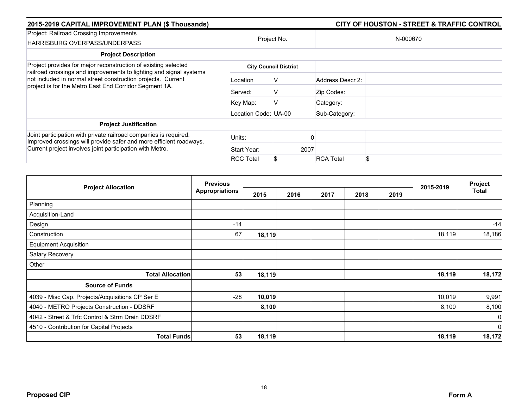| 2015-2019 CAPITAL IMPROVEMENT PLAN (\$ Thousands)                                                                                                                                            |                              | <b>CITY OF HOUSTON - STREET &amp; TRAFFIC CONTROL</b> |                  |          |  |  |  |  |
|----------------------------------------------------------------------------------------------------------------------------------------------------------------------------------------------|------------------------------|-------------------------------------------------------|------------------|----------|--|--|--|--|
| Project: Railroad Crossing Improvements<br>HARRISBURG OVERPASS/UNDERPASS                                                                                                                     |                              | Project No.                                           |                  | N-000670 |  |  |  |  |
| <b>Project Description</b>                                                                                                                                                                   |                              |                                                       |                  |          |  |  |  |  |
| Project provides for major reconstruction of existing selected                                                                                                                               | <b>City Council District</b> |                                                       |                  |          |  |  |  |  |
| railroad crossings and improvements to lighting and signal systems<br>not included in normal street construction projects. Current<br>project is for the Metro East End Corridor Segment 1A. | Location                     | ν                                                     | Address Descr 2: |          |  |  |  |  |
|                                                                                                                                                                                              | Served:                      | v                                                     | Zip Codes:       |          |  |  |  |  |
|                                                                                                                                                                                              | Key Map:                     |                                                       | Category:        |          |  |  |  |  |
|                                                                                                                                                                                              | Location Code: UA-00         |                                                       | Sub-Category:    |          |  |  |  |  |
| <b>Project Justification</b>                                                                                                                                                                 |                              |                                                       |                  |          |  |  |  |  |
| Joint participation with private railroad companies is required.<br>Improved crossings will provide safer and more efficient roadways.                                                       | Units:                       |                                                       |                  |          |  |  |  |  |
| Current project involves joint participation with Metro.                                                                                                                                     | Start Year:                  | 2007                                                  |                  |          |  |  |  |  |
|                                                                                                                                                                                              | <b>RCC Total</b>             |                                                       | <b>RCA Total</b> | \$       |  |  |  |  |

|                                                 | <b>Previous</b>       |        |      | Project |      |      |           |                |
|-------------------------------------------------|-----------------------|--------|------|---------|------|------|-----------|----------------|
| <b>Project Allocation</b>                       | <b>Appropriations</b> | 2015   | 2016 | 2017    | 2018 | 2019 | 2015-2019 | Total          |
| Planning                                        |                       |        |      |         |      |      |           |                |
| Acquisition-Land                                |                       |        |      |         |      |      |           |                |
| Design                                          | $-14$                 |        |      |         |      |      |           | $-14$          |
| Construction                                    | 67                    | 18,119 |      |         |      |      | 18,119    | 18,186         |
| <b>Equipment Acquisition</b>                    |                       |        |      |         |      |      |           |                |
| Salary Recovery                                 |                       |        |      |         |      |      |           |                |
| Other                                           |                       |        |      |         |      |      |           |                |
| <b>Total Allocation</b>                         | 53                    | 18,119 |      |         |      |      | 18,119    | 18,172         |
| <b>Source of Funds</b>                          |                       |        |      |         |      |      |           |                |
| 4039 - Misc Cap. Projects/Acquisitions CP Ser E | $-28$                 | 10,019 |      |         |      |      | 10,019    | 9,991          |
| 4040 - METRO Projects Construction - DDSRF      |                       | 8,100  |      |         |      |      | 8,100     | 8,100          |
| 4042 - Street & Trfc Control & Strm Drain DDSRF |                       |        |      |         |      |      |           | $\overline{0}$ |
| 4510 - Contribution for Capital Projects        |                       |        |      |         |      |      |           | 0              |
| <b>Total Funds</b>                              | 53                    | 18,119 |      |         |      |      | 18,119    | 18,172         |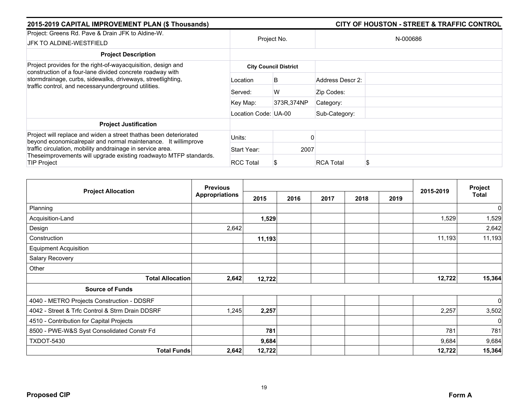| 2015-2019 CAPITAL IMPROVEMENT PLAN (\$ Thousands)                                                                                              |                      |                              |                  | <b>CITY OF HOUSTON - STREET &amp; TRAFFIC CONTROL</b> |  |
|------------------------------------------------------------------------------------------------------------------------------------------------|----------------------|------------------------------|------------------|-------------------------------------------------------|--|
| Project: Greens Rd. Pave & Drain JFK to Aldine-W.<br>JFK TO ALDINE-WESTFIELD                                                                   | Project No.          |                              | N-000686         |                                                       |  |
| <b>Project Description</b>                                                                                                                     |                      |                              |                  |                                                       |  |
| Project provides for the right-of-wayacquisition, design and<br>construction of a four-lane divided concrete roadway with                      |                      | <b>City Council District</b> |                  |                                                       |  |
| stormdrainage, curbs, sidewalks, driveways, streetlighting,<br>traffic control, and necessaryunderground utilities.                            | Location             | B                            | Address Descr 2: |                                                       |  |
|                                                                                                                                                | Served:              | W                            | Zip Codes:       |                                                       |  |
|                                                                                                                                                | Key Map:             | 373R, 374NP                  | Category:        |                                                       |  |
|                                                                                                                                                | Location Code: UA-00 |                              | Sub-Category:    |                                                       |  |
| <b>Project Justification</b>                                                                                                                   |                      |                              |                  |                                                       |  |
| Project will replace and widen a street thathas been deteriorated<br>beyond economical repair and normal maintenance. It willimprove           | Units:               |                              |                  |                                                       |  |
| traffic circulation, mobility anddrainage in service area.<br>Theseimprovements will upgrade existing roadwayto MTFP standards.<br>TIP Project | Start Year:          | 2007                         |                  |                                                       |  |
|                                                                                                                                                | <b>RCC Total</b>     |                              | <b>RCA Total</b> |                                                       |  |

|                                                 | <b>Previous</b>       |        |      |      |      |      |           | Project      |
|-------------------------------------------------|-----------------------|--------|------|------|------|------|-----------|--------------|
| <b>Project Allocation</b>                       | <b>Appropriations</b> | 2015   | 2016 | 2017 | 2018 | 2019 | 2015-2019 | <b>Total</b> |
| Planning                                        |                       |        |      |      |      |      |           | $\mathbf 0$  |
| Acquisition-Land                                |                       | 1,529  |      |      |      |      | 1,529     | 1,529        |
| Design                                          | 2,642                 |        |      |      |      |      |           | 2,642        |
| Construction                                    |                       | 11,193 |      |      |      |      | 11,193    | 11,193       |
| <b>Equipment Acquisition</b>                    |                       |        |      |      |      |      |           |              |
| Salary Recovery                                 |                       |        |      |      |      |      |           |              |
| Other                                           |                       |        |      |      |      |      |           |              |
| <b>Total Allocation</b>                         | 2,642                 | 12,722 |      |      |      |      | 12,722    | 15,364       |
| <b>Source of Funds</b>                          |                       |        |      |      |      |      |           |              |
| 4040 - METRO Projects Construction - DDSRF      |                       |        |      |      |      |      |           | 0            |
| 4042 - Street & Trfc Control & Strm Drain DDSRF | 1,245                 | 2,257  |      |      |      |      | 2,257     | 3,502        |
| 4510 - Contribution for Capital Projects        |                       |        |      |      |      |      |           | $\Omega$     |
| 8500 - PWE-W&S Syst Consolidated Constr Fd      |                       | 781    |      |      |      |      | 781       | 781          |
| <b>TXDOT-5430</b>                               |                       | 9,684  |      |      |      |      | 9,684     | 9,684        |
| <b>Total Funds</b>                              | 2,642                 | 12,722 |      |      |      |      | 12,722    | 15,364       |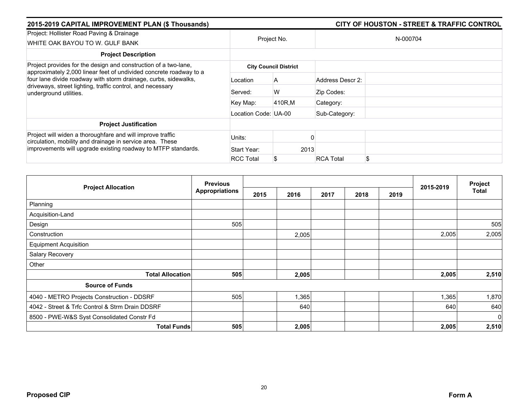| 2015-2019 CAPITAL IMPROVEMENT PLAN (\$ Thousands)                                                                                                                                                                             |                      |                              |                  | <b>CITY OF HOUSTON - STREET &amp; TRAFFIC CONTROL</b> |
|-------------------------------------------------------------------------------------------------------------------------------------------------------------------------------------------------------------------------------|----------------------|------------------------------|------------------|-------------------------------------------------------|
| Project: Hollister Road Paving & Drainage<br>WHITE OAK BAYOU TO W. GULF BANK                                                                                                                                                  | Project No.          |                              |                  | N-000704                                              |
| <b>Project Description</b>                                                                                                                                                                                                    |                      |                              |                  |                                                       |
| Project provides for the design and construction of a two-lane,                                                                                                                                                               |                      | <b>City Council District</b> |                  |                                                       |
| approximately 2,000 linear feet of undivided concrete roadway to a<br>four lane divide roadway with storm drainage, curbs, sidewalks,<br>driveways, street lighting, traffic control, and necessary<br>underground utilities. | Location             | A                            | Address Descr 2: |                                                       |
|                                                                                                                                                                                                                               | Served:              | W                            | Zip Codes:       |                                                       |
|                                                                                                                                                                                                                               | Key Map:             | 410R.M                       | Category:        |                                                       |
|                                                                                                                                                                                                                               | Location Code: UA-00 |                              | Sub-Category:    |                                                       |
| <b>Project Justification</b>                                                                                                                                                                                                  |                      |                              |                  |                                                       |
| Project will widen a thoroughfare and will improve traffic<br>circulation, mobility and drainage in service area. These                                                                                                       | Units:               |                              |                  |                                                       |
| improvements will upgrade existing roadway to MTFP standards.                                                                                                                                                                 | Start Year:          | 2013                         |                  |                                                       |
|                                                                                                                                                                                                                               | <b>RCC Total</b>     |                              | <b>RCA Total</b> | \$                                                    |

| <b>Project Allocation</b>                       | <b>Previous</b>       |      |       |      |      |      | 2015-2019 | Project<br><b>Total</b> |
|-------------------------------------------------|-----------------------|------|-------|------|------|------|-----------|-------------------------|
|                                                 | <b>Appropriations</b> | 2015 | 2016  | 2017 | 2018 | 2019 |           |                         |
| Planning                                        |                       |      |       |      |      |      |           |                         |
| Acquisition-Land                                |                       |      |       |      |      |      |           |                         |
| Design                                          | 505                   |      |       |      |      |      |           | 505                     |
| Construction                                    |                       |      | 2,005 |      |      |      | 2,005     | 2,005                   |
| <b>Equipment Acquisition</b>                    |                       |      |       |      |      |      |           |                         |
| Salary Recovery                                 |                       |      |       |      |      |      |           |                         |
| Other                                           |                       |      |       |      |      |      |           |                         |
| <b>Total Allocation</b>                         | 505                   |      | 2,005 |      |      |      | 2,005     | 2,510                   |
| <b>Source of Funds</b>                          |                       |      |       |      |      |      |           |                         |
| 4040 - METRO Projects Construction - DDSRF      | 505                   |      | 1,365 |      |      |      | 1,365     | 1,870                   |
| 4042 - Street & Trfc Control & Strm Drain DDSRF |                       |      | 640   |      |      |      | 640       | 640                     |
| 8500 - PWE-W&S Syst Consolidated Constr Fd      |                       |      |       |      |      |      |           | $\overline{0}$          |
| <b>Total Funds</b>                              | 505                   |      | 2,005 |      |      |      | 2,005     | 2,510                   |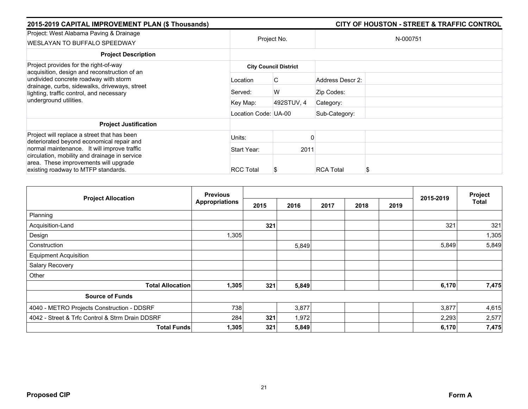| 2015-2019 CAPITAL IMPROVEMENT PLAN (\$ Thousands)                                                                                                            |                      |                              |                  | <b>CITY OF HOUSTON - STREET &amp; TRAFFIC CONTROL</b> |  |
|--------------------------------------------------------------------------------------------------------------------------------------------------------------|----------------------|------------------------------|------------------|-------------------------------------------------------|--|
| Project: West Alabama Paving & Drainage<br>WESLAYAN TO BUFFALO SPEEDWAY                                                                                      | Project No.          |                              | N-000751         |                                                       |  |
| <b>Project Description</b>                                                                                                                                   |                      |                              |                  |                                                       |  |
| Project provides for the right-of-way<br>acquisition, design and reconstruction of an                                                                        |                      | <b>City Council District</b> |                  |                                                       |  |
| undivided concrete roadway with storm<br>drainage, curbs, sidewalks, driveways, street<br>lighting, traffic control, and necessary<br>underground utilities. | Location             | C                            | Address Descr 2: |                                                       |  |
|                                                                                                                                                              | Served:              | W                            | Zip Codes:       |                                                       |  |
|                                                                                                                                                              | Key Map:             | 492STUV, 4                   | Category:        |                                                       |  |
|                                                                                                                                                              | Location Code: UA-00 |                              | Sub-Category:    |                                                       |  |
| <b>Project Justification</b>                                                                                                                                 |                      |                              |                  |                                                       |  |
| Project will replace a street that has been<br>deteriorated beyond economical repair and                                                                     | Units:               |                              |                  |                                                       |  |
| normal maintenance. It will improve traffic                                                                                                                  | Start Year:          | 2011                         |                  |                                                       |  |
| circulation, mobility and drainage in service<br>area. These improvements will upgrade<br>existing roadway to MTFP standards.                                | <b>RCC Total</b>     | \$                           | <b>RCA Total</b> |                                                       |  |

| <b>Project Allocation</b>                       | <b>Previous</b>       |      |       |      |      |      |           | Project |
|-------------------------------------------------|-----------------------|------|-------|------|------|------|-----------|---------|
|                                                 | <b>Appropriations</b> | 2015 | 2016  | 2017 | 2018 | 2019 | 2015-2019 | Total   |
| Planning                                        |                       |      |       |      |      |      |           |         |
| Acquisition-Land                                |                       | 321  |       |      |      |      | 321       | 321     |
| Design                                          | 1,305                 |      |       |      |      |      |           | 1,305   |
| Construction                                    |                       |      | 5,849 |      |      |      | 5,849     | 5,849   |
| <b>Equipment Acquisition</b>                    |                       |      |       |      |      |      |           |         |
| Salary Recovery                                 |                       |      |       |      |      |      |           |         |
| Other                                           |                       |      |       |      |      |      |           |         |
| <b>Total Allocation</b>                         | 1,305                 | 321  | 5,849 |      |      |      | 6,170     | 7,475   |
| <b>Source of Funds</b>                          |                       |      |       |      |      |      |           |         |
| 4040 - METRO Projects Construction - DDSRF      | 738                   |      | 3,877 |      |      |      | 3,877     | 4,615   |
| 4042 - Street & Trfc Control & Strm Drain DDSRF | 284                   | 321  | 1,972 |      |      |      | 2,293     | 2,577   |
| <b>Total Funds</b>                              | 1,305                 | 321  | 5,849 |      |      |      | 6,170     | 7,475   |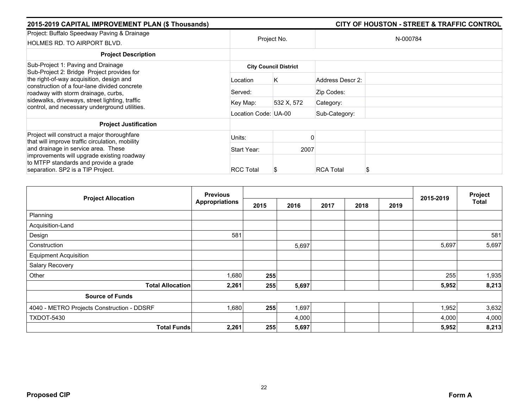| 2015-2019 CAPITAL IMPROVEMENT PLAN (\$ Thousands)                                                                                                                                                                                  |                      |                              |                  | <b>CITY OF HOUSTON - STREET &amp; TRAFFIC CONTROL</b> |
|------------------------------------------------------------------------------------------------------------------------------------------------------------------------------------------------------------------------------------|----------------------|------------------------------|------------------|-------------------------------------------------------|
| Project: Buffalo Speedway Paving & Drainage<br>HOLMES RD. TO AIRPORT BLVD.                                                                                                                                                         |                      | Project No.                  |                  | N-000784                                              |
| <b>Project Description</b>                                                                                                                                                                                                         |                      |                              |                  |                                                       |
| Sub-Project 1: Paving and Drainage<br>Sub-Project 2: Bridge Project provides for                                                                                                                                                   |                      | <b>City Council District</b> |                  |                                                       |
| the right-of-way acquisition, design and<br>construction of a four-lane divided concrete<br>roadway with storm drainage, curbs,<br>sidewalks, driveways, street lighting, traffic<br>control, and necessary underground utilities. | Location             | Κ                            | Address Descr 2: |                                                       |
|                                                                                                                                                                                                                                    | Served:              |                              | Zip Codes:       |                                                       |
|                                                                                                                                                                                                                                    | Key Map:             | 532 X, 572                   | Category:        |                                                       |
|                                                                                                                                                                                                                                    | Location Code: UA-00 |                              | Sub-Category:    |                                                       |
| <b>Project Justification</b>                                                                                                                                                                                                       |                      |                              |                  |                                                       |
| Project will construct a major thoroughfare<br>that will improve traffic circulation, mobility                                                                                                                                     | Units:               |                              |                  |                                                       |
| and drainage in service area. These                                                                                                                                                                                                | Start Year:          | 2007                         |                  |                                                       |
| improvements will upgrade existing roadway<br>to MTFP standards and provide a grade                                                                                                                                                |                      |                              |                  |                                                       |
| separation. SP2 is a TIP Project.                                                                                                                                                                                                  | <b>RCC Total</b>     | S                            | <b>RCA Total</b> |                                                       |

| <b>Project Allocation</b>                  | <b>Previous</b>             |      |       | 2015-2019 | Project |      |       |              |
|--------------------------------------------|-----------------------------|------|-------|-----------|---------|------|-------|--------------|
|                                            | <b>Appropriations</b>       | 2015 | 2016  | 2017      | 2018    | 2019 |       | <b>Total</b> |
| Planning                                   |                             |      |       |           |         |      |       |              |
| Acquisition-Land                           |                             |      |       |           |         |      |       |              |
| Design                                     | 581                         |      |       |           |         |      |       | 581          |
| Construction                               |                             |      | 5,697 |           |         |      | 5,697 | 5,697        |
| <b>Equipment Acquisition</b>               |                             |      |       |           |         |      |       |              |
| Salary Recovery                            |                             |      |       |           |         |      |       |              |
| Other                                      | 1,680                       | 255  |       |           |         |      | 255   | 1,935        |
| <b>Total Allocation</b>                    | 2,261                       | 255  | 5,697 |           |         |      | 5,952 | 8,213        |
| <b>Source of Funds</b>                     |                             |      |       |           |         |      |       |              |
| 4040 - METRO Projects Construction - DDSRF | 1,680                       | 255  | 1,697 |           |         |      | 1,952 | 3,632        |
| <b>TXDOT-5430</b>                          |                             |      | 4,000 |           |         |      | 4,000 | 4,000        |
|                                            | <b>Total Funds</b><br>2,261 | 255  | 5,697 |           |         |      | 5,952 | 8,213        |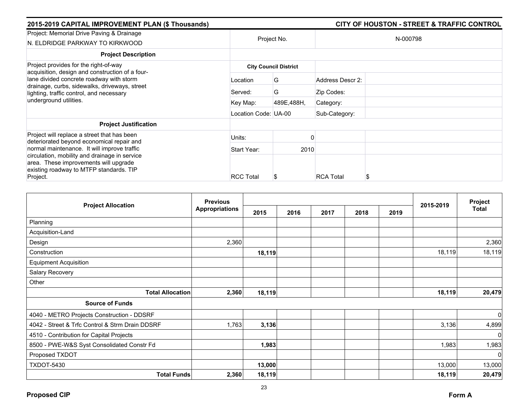| 2015-2019 CAPITAL IMPROVEMENT PLAN (\$ Thousands)                                                                                             |                      |                              |                  | <b>CITY OF HOUSTON - STREET &amp; TRAFFIC CONTROL</b> |
|-----------------------------------------------------------------------------------------------------------------------------------------------|----------------------|------------------------------|------------------|-------------------------------------------------------|
| Project: Memorial Drive Paving & Drainage<br>N. ELDRIDGE PARKWAY TO KIRKWOOD                                                                  |                      | Project No.                  |                  | N-000798                                              |
| <b>Project Description</b>                                                                                                                    |                      |                              |                  |                                                       |
| Project provides for the right-of-way<br>acquisition, design and construction of a four-                                                      |                      | <b>City Council District</b> |                  |                                                       |
| lane divided concrete roadway with storm<br>drainage, curbs, sidewalks, driveways, street<br>lighting, traffic control, and necessary         | Location             | G                            | Address Descr 2: |                                                       |
|                                                                                                                                               | Served:              | G                            | Zip Codes:       |                                                       |
| underground utilities.                                                                                                                        | Key Map:             | 489E,488H,                   | Category:        |                                                       |
|                                                                                                                                               | Location Code: UA-00 |                              | Sub-Category:    |                                                       |
| <b>Project Justification</b>                                                                                                                  |                      |                              |                  |                                                       |
| Project will replace a street that has been<br>deteriorated beyond economical repair and                                                      | Units:               |                              |                  |                                                       |
| normal maintenance. It will improve traffic                                                                                                   | Start Year:          | 2010                         |                  |                                                       |
| circulation, mobility and drainage in service<br>area. These improvements will upgrade<br>existing roadway to MTFP standards. TIP<br>Project. | <b>RCC Total</b>     |                              | <b>RCA Total</b> | S                                                     |

| <b>Project Allocation</b>                       | <b>Previous</b>       |        |      |      |      |      |           | Project      |
|-------------------------------------------------|-----------------------|--------|------|------|------|------|-----------|--------------|
|                                                 | <b>Appropriations</b> | 2015   | 2016 | 2017 | 2018 | 2019 | 2015-2019 | <b>Total</b> |
| Planning                                        |                       |        |      |      |      |      |           |              |
| Acquisition-Land                                |                       |        |      |      |      |      |           |              |
| Design                                          | 2,360                 |        |      |      |      |      |           | 2,360        |
| Construction                                    |                       | 18,119 |      |      |      |      | 18,119    | 18,119       |
| <b>Equipment Acquisition</b>                    |                       |        |      |      |      |      |           |              |
| Salary Recovery                                 |                       |        |      |      |      |      |           |              |
| Other                                           |                       |        |      |      |      |      |           |              |
| <b>Total Allocation</b>                         | 2,360                 | 18,119 |      |      |      |      | 18,119    | 20,479       |
| <b>Source of Funds</b>                          |                       |        |      |      |      |      |           |              |
| 4040 - METRO Projects Construction - DDSRF      |                       |        |      |      |      |      |           | $\mathbf 0$  |
| 4042 - Street & Trfc Control & Strm Drain DDSRF | 1,763                 | 3,136  |      |      |      |      | 3,136     | 4,899        |
| 4510 - Contribution for Capital Projects        |                       |        |      |      |      |      |           | $\mathbf 0$  |
| 8500 - PWE-W&S Syst Consolidated Constr Fd      |                       | 1,983  |      |      |      |      | 1,983     | 1,983        |
| Proposed TXDOT                                  |                       |        |      |      |      |      |           | $\mathbf 0$  |
| <b>TXDOT-5430</b>                               |                       | 13,000 |      |      |      |      | 13,000    | 13,000       |
| <b>Total Funds</b>                              | 2,360                 | 18,119 |      |      |      |      | 18,119    | 20,479       |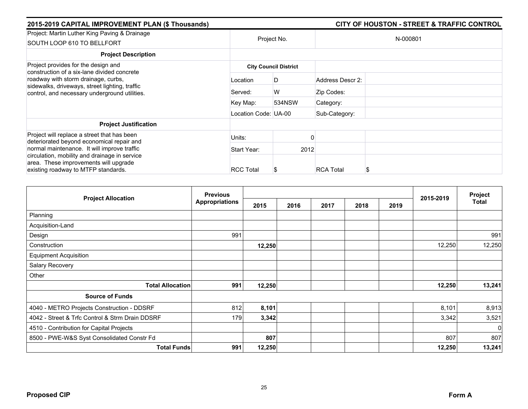|             |                  |                                                            | <b>CITY OF HOUSTON - STREET &amp; TRAFFIC CONTROL</b> |  |
|-------------|------------------|------------------------------------------------------------|-------------------------------------------------------|--|
| Project No. |                  | N-000801                                                   |                                                       |  |
|             |                  |                                                            |                                                       |  |
|             |                  |                                                            |                                                       |  |
| Location    | D                | Address Descr 2:                                           |                                                       |  |
| Served:     | W                | Zip Codes:                                                 |                                                       |  |
| Key Map:    | 534NSW           | Category:                                                  |                                                       |  |
|             |                  | Sub-Category:                                              |                                                       |  |
|             |                  |                                                            |                                                       |  |
| Units:      |                  |                                                            |                                                       |  |
| Start Year: |                  |                                                            |                                                       |  |
|             |                  |                                                            |                                                       |  |
|             | <b>RCC Total</b> | <b>City Council District</b><br>Location Code: UA-00<br>\$ | 2012<br><b>RCA Total</b>                              |  |

| <b>Project Allocation</b>                       | <b>Previous</b>       |        |      |      |      |      | 2015-2019 | Project      |
|-------------------------------------------------|-----------------------|--------|------|------|------|------|-----------|--------------|
|                                                 | <b>Appropriations</b> | 2015   | 2016 | 2017 | 2018 | 2019 |           | <b>Total</b> |
| Planning                                        |                       |        |      |      |      |      |           |              |
| Acquisition-Land                                |                       |        |      |      |      |      |           |              |
| Design                                          | 991                   |        |      |      |      |      |           | 991          |
| Construction                                    |                       | 12,250 |      |      |      |      | 12,250    | 12,250       |
| <b>Equipment Acquisition</b>                    |                       |        |      |      |      |      |           |              |
| Salary Recovery                                 |                       |        |      |      |      |      |           |              |
| Other                                           |                       |        |      |      |      |      |           |              |
| <b>Total Allocation</b>                         | 991                   | 12,250 |      |      |      |      | 12,250    | 13,241       |
| <b>Source of Funds</b>                          |                       |        |      |      |      |      |           |              |
| 4040 - METRO Projects Construction - DDSRF      | 812                   | 8,101  |      |      |      |      | 8,101     | 8,913        |
| 4042 - Street & Trfc Control & Strm Drain DDSRF | 179                   | 3,342  |      |      |      |      | 3,342     | 3,521        |
| 4510 - Contribution for Capital Projects        |                       |        |      |      |      |      |           | $\Omega$     |
| 8500 - PWE-W&S Syst Consolidated Constr Fd      |                       | 807    |      |      |      |      | 807       | 807          |
| <b>Total Funds</b>                              | 991                   | 12,250 |      |      |      |      | 12,250    | 13,241       |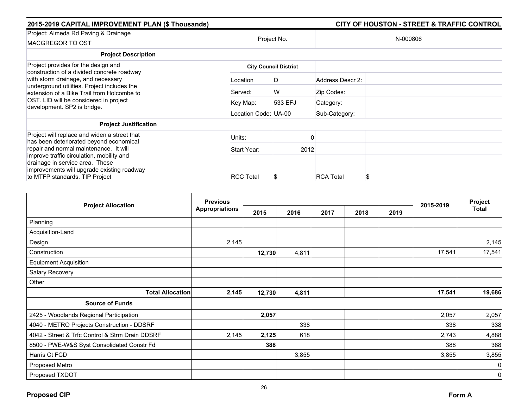| 2015-2019 CAPITAL IMPROVEMENT PLAN (\$ Thousands)                                                                                                                                                        |                              | <b>CITY OF HOUSTON - STREET &amp; TRAFFIC CONTROL</b> |                  |          |  |  |  |  |
|----------------------------------------------------------------------------------------------------------------------------------------------------------------------------------------------------------|------------------------------|-------------------------------------------------------|------------------|----------|--|--|--|--|
| Project: Almeda Rd Paving & Drainage<br>MACGREGOR TO OST                                                                                                                                                 |                              | Project No.                                           |                  | N-000806 |  |  |  |  |
| <b>Project Description</b>                                                                                                                                                                               |                              |                                                       |                  |          |  |  |  |  |
| Project provides for the design and<br>construction of a divided concrete roadway                                                                                                                        | <b>City Council District</b> |                                                       |                  |          |  |  |  |  |
| with storm drainage, and necessary<br>underground utilities. Project includes the<br>extension of a Bike Trail from Holcombe to<br>OST. LID will be considered in project<br>development. SP2 is bridge. | Location                     | D                                                     | Address Descr 2: |          |  |  |  |  |
|                                                                                                                                                                                                          | Served:                      | W                                                     | Zip Codes:       |          |  |  |  |  |
|                                                                                                                                                                                                          | Key Map:                     | 533 EFJ                                               | Category:        |          |  |  |  |  |
|                                                                                                                                                                                                          | Location Code: UA-00         |                                                       | Sub-Category:    |          |  |  |  |  |
| <b>Project Justification</b>                                                                                                                                                                             |                              |                                                       |                  |          |  |  |  |  |
| Project will replace and widen a street that<br>has been deteriorated beyond economical                                                                                                                  | Units:                       |                                                       |                  |          |  |  |  |  |
| repair and normal maintenance. It will                                                                                                                                                                   | Start Year:                  |                                                       | 2012             |          |  |  |  |  |
| improve traffic circulation, mobility and<br>drainage in service area. These<br>improvements will upgrade existing roadway<br>to MTFP standards. TIP Project                                             | <b>RCC Total</b>             |                                                       | <b>RCA Total</b> | S        |  |  |  |  |

| <b>Project Allocation</b>                       | <b>Previous</b>       |        |       |      |      |      |           | Project      |
|-------------------------------------------------|-----------------------|--------|-------|------|------|------|-----------|--------------|
|                                                 | <b>Appropriations</b> | 2015   | 2016  | 2017 | 2018 | 2019 | 2015-2019 | <b>Total</b> |
| Planning                                        |                       |        |       |      |      |      |           |              |
| Acquisition-Land                                |                       |        |       |      |      |      |           |              |
| Design                                          | 2,145                 |        |       |      |      |      |           | 2,145        |
| Construction                                    |                       | 12,730 | 4,811 |      |      |      | 17,541    | 17,541       |
| <b>Equipment Acquisition</b>                    |                       |        |       |      |      |      |           |              |
| Salary Recovery                                 |                       |        |       |      |      |      |           |              |
| Other                                           |                       |        |       |      |      |      |           |              |
| <b>Total Allocation</b>                         | 2,145                 | 12,730 | 4,811 |      |      |      | 17,541    | 19,686       |
| <b>Source of Funds</b>                          |                       |        |       |      |      |      |           |              |
| 2425 - Woodlands Regional Participation         |                       | 2,057  |       |      |      |      | 2,057     | 2,057        |
| 4040 - METRO Projects Construction - DDSRF      |                       |        | 338   |      |      |      | 338       | 338          |
| 4042 - Street & Trfc Control & Strm Drain DDSRF | 2,145                 | 2,125  | 618   |      |      |      | 2,743     | 4,888        |
| 8500 - PWE-W&S Syst Consolidated Constr Fd      |                       | 388    |       |      |      |      | 388       | 388          |
| Harris Ct FCD                                   |                       |        | 3,855 |      |      |      | 3,855     | 3,855        |
| Proposed Metro                                  |                       |        |       |      |      |      |           | 0            |
| Proposed TXDOT                                  |                       |        |       |      |      |      |           | $\mathbf 0$  |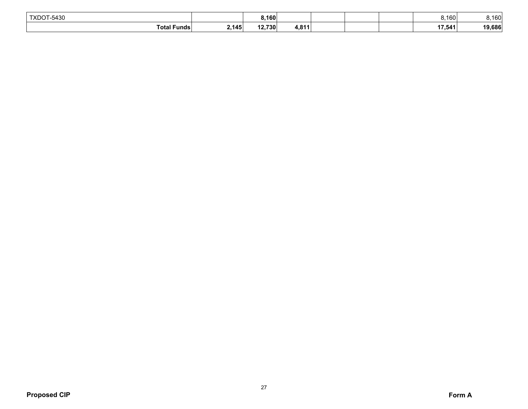| TXDOT-5430 |                    |       | ا01, د |       | 8.160  | 160    |
|------------|--------------------|-------|--------|-------|--------|--------|
|            | <b>Total Funds</b> | 2.145 | 12,730 | 4.811 | 17,541 | 19,686 |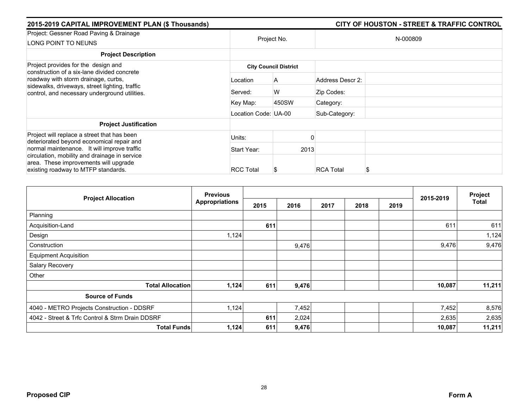| 2015-2019 CAPITAL IMPROVEMENT PLAN (\$ Thousands)                                                                                      |                      |                              |                  | <b>CITY OF HOUSTON - STREET &amp; TRAFFIC CONTROL</b> |  |  |  |
|----------------------------------------------------------------------------------------------------------------------------------------|----------------------|------------------------------|------------------|-------------------------------------------------------|--|--|--|
| Project: Gessner Road Paving & Drainage<br>LONG POINT TO NEUNS                                                                         |                      | Project No.                  | N-000809         |                                                       |  |  |  |
| <b>Project Description</b>                                                                                                             |                      |                              |                  |                                                       |  |  |  |
| Project provides for the design and<br>construction of a six-lane divided concrete                                                     |                      | <b>City Council District</b> |                  |                                                       |  |  |  |
| roadway with storm drainage, curbs,<br>sidewalks, driveways, street lighting, traffic<br>control, and necessary underground utilities. | Location             | A                            | Address Descr 2: |                                                       |  |  |  |
|                                                                                                                                        | Served:              | W                            | Zip Codes:       |                                                       |  |  |  |
|                                                                                                                                        | Key Map:             | 450SW                        | Category:        |                                                       |  |  |  |
|                                                                                                                                        | Location Code: UA-00 |                              | Sub-Category:    |                                                       |  |  |  |
| <b>Project Justification</b>                                                                                                           |                      |                              |                  |                                                       |  |  |  |
| Project will replace a street that has been<br>deteriorated beyond economical repair and                                               | Units:               |                              |                  |                                                       |  |  |  |
| normal maintenance. It will improve traffic                                                                                            | Start Year:          | 2013                         |                  |                                                       |  |  |  |
| circulation, mobility and drainage in service<br>area. These improvements will upgrade<br>existing roadway to MTFP standards.          | <b>RCC Total</b>     | \$                           | <b>RCA Total</b> |                                                       |  |  |  |

| <b>Project Allocation</b>                       | <b>Previous</b>       |      |       | 2015-2019 | Project |      |        |              |
|-------------------------------------------------|-----------------------|------|-------|-----------|---------|------|--------|--------------|
|                                                 | <b>Appropriations</b> | 2015 | 2016  | 2017      | 2018    | 2019 |        | <b>Total</b> |
| Planning                                        |                       |      |       |           |         |      |        |              |
| Acquisition-Land                                |                       | 611  |       |           |         |      | 611    | 611          |
| Design                                          | 1,124                 |      |       |           |         |      |        | 1,124        |
| Construction                                    |                       |      | 9,476 |           |         |      | 9,476  | 9,476        |
| <b>Equipment Acquisition</b>                    |                       |      |       |           |         |      |        |              |
| Salary Recovery                                 |                       |      |       |           |         |      |        |              |
| Other                                           |                       |      |       |           |         |      |        |              |
| <b>Total Allocation</b>                         | 1,124                 | 611  | 9,476 |           |         |      | 10,087 | 11,211       |
| <b>Source of Funds</b>                          |                       |      |       |           |         |      |        |              |
| 4040 - METRO Projects Construction - DDSRF      | 1,124                 |      | 7,452 |           |         |      | 7,452  | 8,576        |
| 4042 - Street & Trfc Control & Strm Drain DDSRF |                       | 611  | 2,024 |           |         |      | 2,635  | 2,635        |
| <b>Total Funds</b>                              | 1,124                 | 611  | 9,476 |           |         |      | 10,087 | 11,211       |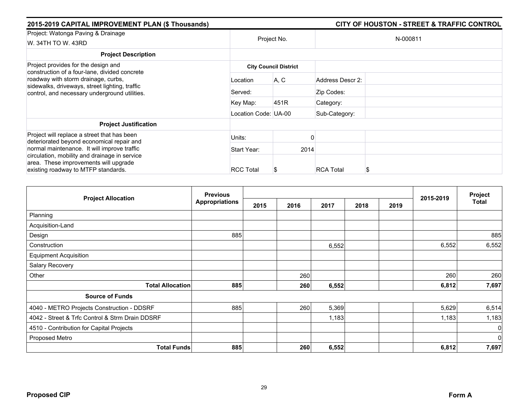| 2015-2019 CAPITAL IMPROVEMENT PLAN (\$ Thousands)                                                                                                                                       |                      |                              |                  | <b>CITY OF HOUSTON - STREET &amp; TRAFFIC CONTROL</b> |
|-----------------------------------------------------------------------------------------------------------------------------------------------------------------------------------------|----------------------|------------------------------|------------------|-------------------------------------------------------|
| Project: Watonga Paving & Drainage<br>W. 34TH TO W. 43RD                                                                                                                                |                      | Project No.                  |                  | N-000811                                              |
| <b>Project Description</b>                                                                                                                                                              |                      |                              |                  |                                                       |
| Project provides for the design and                                                                                                                                                     |                      | <b>City Council District</b> |                  |                                                       |
| construction of a four-lane, divided concrete<br>roadway with storm drainage, curbs,<br>sidewalks, driveways, street lighting, traffic<br>control, and necessary underground utilities. | Location             | A, C                         | Address Descr 2: |                                                       |
|                                                                                                                                                                                         | Served:              |                              | Zip Codes:       |                                                       |
|                                                                                                                                                                                         | Key Map:             | 451R                         | Category:        |                                                       |
|                                                                                                                                                                                         | Location Code: UA-00 |                              | Sub-Category:    |                                                       |
| <b>Project Justification</b>                                                                                                                                                            |                      |                              |                  |                                                       |
| Project will replace a street that has been<br>deteriorated beyond economical repair and                                                                                                | Units:               |                              |                  |                                                       |
| normal maintenance. It will improve traffic                                                                                                                                             | Start Year:          | 2014                         |                  |                                                       |
| circulation, mobility and drainage in service<br>area. These improvements will upgrade<br>existing roadway to MTFP standards.                                                           | <b>RCC Total</b>     | \$                           | <b>RCA Total</b> |                                                       |

|                                                 | <b>Previous</b>       |      |      |                      |  | 2015-2019    | Project     |
|-------------------------------------------------|-----------------------|------|------|----------------------|--|--------------|-------------|
| <b>Project Allocation</b>                       | <b>Appropriations</b> | 2015 | 2016 | 2017<br>2018<br>2019 |  | <b>Total</b> |             |
| Planning                                        |                       |      |      |                      |  |              |             |
| Acquisition-Land                                |                       |      |      |                      |  |              |             |
| Design                                          | 885                   |      |      |                      |  |              | 885         |
| Construction                                    |                       |      |      | 6,552                |  | 6,552        | 6,552       |
| <b>Equipment Acquisition</b>                    |                       |      |      |                      |  |              |             |
| Salary Recovery                                 |                       |      |      |                      |  |              |             |
| Other                                           |                       |      | 260  |                      |  | 260          | 260         |
| <b>Total Allocation</b>                         | 885                   |      | 260  | 6,552                |  | 6,812        | 7,697       |
| <b>Source of Funds</b>                          |                       |      |      |                      |  |              |             |
| 4040 - METRO Projects Construction - DDSRF      | 885                   |      | 260  | 5,369                |  | 5,629        | 6,514       |
| 4042 - Street & Trfc Control & Strm Drain DDSRF |                       |      |      | 1,183                |  | 1,183        | 1,183       |
| 4510 - Contribution for Capital Projects        |                       |      |      |                      |  |              | $\mathbf 0$ |
| Proposed Metro                                  |                       |      |      |                      |  |              | $\mathbf 0$ |
| <b>Total Funds</b>                              | 885                   |      | 260  | 6,552                |  | 6,812        | 7,697       |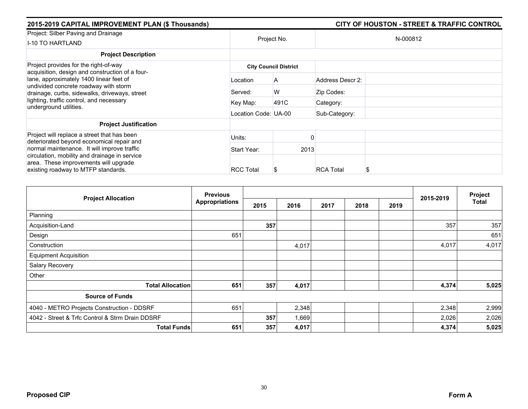| 2015-2019 CAPITAL IMPROVEMENT PLAN (\$ Thousands)                                                                                                                                                                             |                      |                              |                  | <b>CITY OF HOUSTON - STREET &amp; TRAFFIC CONTROL</b> |  |  |
|-------------------------------------------------------------------------------------------------------------------------------------------------------------------------------------------------------------------------------|----------------------|------------------------------|------------------|-------------------------------------------------------|--|--|
| Project: Silber Paving and Drainage<br><b>I-10 TO HARTLAND</b>                                                                                                                                                                |                      | Project No.                  | N-000812         |                                                       |  |  |
| <b>Project Description</b>                                                                                                                                                                                                    |                      |                              |                  |                                                       |  |  |
| Project provides for the right-of-way<br>acquisition, design and construction of a four-<br>lane, approximately 1400 linear feet of<br>undivided concrete roadway with storm<br>drainage, curbs, sidewalks, driveways, street |                      | <b>City Council District</b> |                  |                                                       |  |  |
|                                                                                                                                                                                                                               | Location             | A                            | Address Descr 2: |                                                       |  |  |
|                                                                                                                                                                                                                               | Served:              | W                            | Zip Codes:       |                                                       |  |  |
| lighting, traffic control, and necessary<br>underground utilities.                                                                                                                                                            | Key Map:             | 491C                         | Category:        |                                                       |  |  |
|                                                                                                                                                                                                                               | Location Code: UA-00 |                              | Sub-Category:    |                                                       |  |  |
| <b>Project Justification</b>                                                                                                                                                                                                  |                      |                              |                  |                                                       |  |  |
| Project will replace a street that has been<br>deteriorated beyond economical repair and                                                                                                                                      | Units:               |                              |                  |                                                       |  |  |
| normal maintenance. It will improve traffic                                                                                                                                                                                   | Start Year:          | 2013                         |                  |                                                       |  |  |
| circulation, mobility and drainage in service<br>area. These improvements will upgrade<br>existing roadway to MTFP standards.                                                                                                 | <b>RCC Total</b>     | S                            | <b>RCA Total</b> |                                                       |  |  |

|                                                 | <b>Previous</b>       |      |       |      |      |      |           | Project |
|-------------------------------------------------|-----------------------|------|-------|------|------|------|-----------|---------|
| <b>Project Allocation</b>                       | <b>Appropriations</b> | 2015 | 2016  | 2017 | 2018 | 2019 | 2015-2019 | Total   |
| Planning                                        |                       |      |       |      |      |      |           |         |
| Acquisition-Land                                |                       | 357  |       |      |      |      | 357       | 357     |
| Design                                          | 651                   |      |       |      |      |      |           | 651     |
| Construction                                    |                       |      | 4,017 |      |      |      | 4,017     | 4,017   |
| <b>Equipment Acquisition</b>                    |                       |      |       |      |      |      |           |         |
| Salary Recovery                                 |                       |      |       |      |      |      |           |         |
| Other                                           |                       |      |       |      |      |      |           |         |
| <b>Total Allocation</b>                         | 651                   | 357  | 4,017 |      |      |      | 4,374     | 5,025   |
| <b>Source of Funds</b>                          |                       |      |       |      |      |      |           |         |
| 4040 - METRO Projects Construction - DDSRF      | 651                   |      | 2,348 |      |      |      | 2,348     | 2,999   |
| 4042 - Street & Trfc Control & Strm Drain DDSRF |                       | 357  | 1,669 |      |      |      | 2,026     | 2,026   |
| <b>Total Funds</b>                              | 651                   | 357  | 4,017 |      |      |      | 4,374     | 5,025   |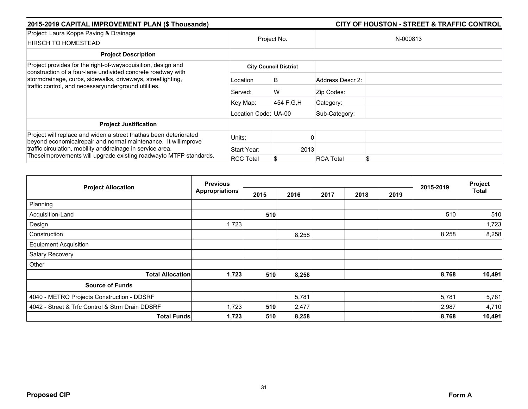| 2015-2019 CAPITAL IMPROVEMENT PLAN (\$ Thousands)                                                                                                                                                                                                                       |                      | <b>CITY OF HOUSTON - STREET &amp; TRAFFIC CONTROL</b> |                  |    |  |  |
|-------------------------------------------------------------------------------------------------------------------------------------------------------------------------------------------------------------------------------------------------------------------------|----------------------|-------------------------------------------------------|------------------|----|--|--|
| Project: Laura Koppe Paving & Drainage<br>HIRSCH TO HOMESTEAD                                                                                                                                                                                                           | Project No.          |                                                       | N-000813         |    |  |  |
| <b>Project Description</b>                                                                                                                                                                                                                                              |                      |                                                       |                  |    |  |  |
| Project provides for the right-of-wayacquisition, design and<br>construction of a four-lane undivided concrete roadway with<br>stormdrainage, curbs, sidewalks, driveways, streetlighting,<br>traffic control, and necessaryunderground utilities.                      |                      | <b>City Council District</b>                          |                  |    |  |  |
|                                                                                                                                                                                                                                                                         | Location             | B                                                     | Address Descr 2: |    |  |  |
|                                                                                                                                                                                                                                                                         | Served:              | W                                                     | Zip Codes:       |    |  |  |
|                                                                                                                                                                                                                                                                         | Key Map:             | 454 F.G.H                                             | Category:        |    |  |  |
|                                                                                                                                                                                                                                                                         | Location Code: UA-00 |                                                       | Sub-Category:    |    |  |  |
| <b>Project Justification</b>                                                                                                                                                                                                                                            |                      |                                                       |                  |    |  |  |
| Project will replace and widen a street thathas been deteriorated<br>beyond economical repair and normal maintenance. It willimprove<br>traffic circulation, mobility anddrainage in service area.<br>Theseimprovements will upgrade existing roadwayto MTFP standards. | Units:               |                                                       |                  |    |  |  |
|                                                                                                                                                                                                                                                                         | Start Year:          | 2013                                                  |                  |    |  |  |
|                                                                                                                                                                                                                                                                         | <b>RCC Total</b>     | S                                                     | <b>RCA Total</b> | \$ |  |  |

|                                                 | <b>Previous</b>       |      |       |      |      | Project |           |        |
|-------------------------------------------------|-----------------------|------|-------|------|------|---------|-----------|--------|
| <b>Project Allocation</b>                       | <b>Appropriations</b> | 2015 | 2016  | 2017 | 2018 | 2019    | 2015-2019 | Total  |
| Planning                                        |                       |      |       |      |      |         |           |        |
| Acquisition-Land                                |                       | 510  |       |      |      |         | 510       | 510    |
| Design                                          | 1,723                 |      |       |      |      |         |           | 1,723  |
| Construction                                    |                       |      | 8,258 |      |      |         | 8,258     | 8,258  |
| <b>Equipment Acquisition</b>                    |                       |      |       |      |      |         |           |        |
| Salary Recovery                                 |                       |      |       |      |      |         |           |        |
| Other                                           |                       |      |       |      |      |         |           |        |
| <b>Total Allocation</b>                         | 1,723                 | 510  | 8,258 |      |      |         | 8,768     | 10,491 |
| <b>Source of Funds</b>                          |                       |      |       |      |      |         |           |        |
| 4040 - METRO Projects Construction - DDSRF      |                       |      | 5,781 |      |      |         | 5,781     | 5,781  |
| 4042 - Street & Trfc Control & Strm Drain DDSRF | 1,723                 | 510  | 2,477 |      |      |         | 2,987     | 4,710  |
| <b>Total Funds</b>                              | 1,723                 | 510  | 8,258 |      |      |         | 8,768     | 10,491 |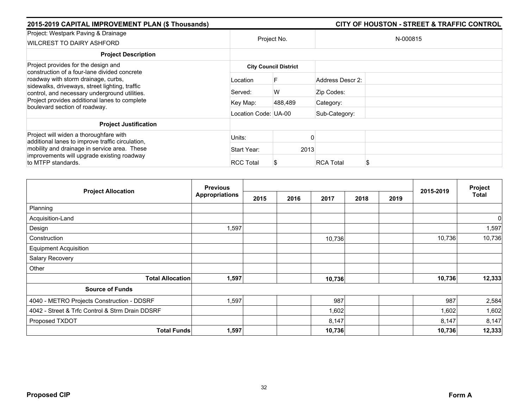| 2015-2019 CAPITAL IMPROVEMENT PLAN (\$ Thousands)                                                                          |                      |                              |                  | <b>CITY OF HOUSTON - STREET &amp; TRAFFIC CONTROL</b> |  |  |  |
|----------------------------------------------------------------------------------------------------------------------------|----------------------|------------------------------|------------------|-------------------------------------------------------|--|--|--|
| Project: Westpark Paving & Drainage<br>WILCREST TO DAIRY ASHFORD                                                           | Project No.          |                              | N-000815         |                                                       |  |  |  |
| <b>Project Description</b>                                                                                                 |                      |                              |                  |                                                       |  |  |  |
| Project provides for the design and<br>construction of a four-lane divided concrete<br>roadway with storm drainage, curbs, |                      | <b>City Council District</b> |                  |                                                       |  |  |  |
|                                                                                                                            | Location             |                              | Address Descr 2: |                                                       |  |  |  |
| sidewalks, driveways, street lighting, traffic<br>control, and necessary underground utilities.                            | Served:              | W                            | Zip Codes:       |                                                       |  |  |  |
| Project provides additional lanes to complete<br>boulevard section of roadway.                                             | Key Map:             | 488,489                      | Category:        |                                                       |  |  |  |
|                                                                                                                            | Location Code: UA-00 |                              | Sub-Category:    |                                                       |  |  |  |
| <b>Project Justification</b>                                                                                               |                      |                              |                  |                                                       |  |  |  |
| Project will widen a thoroughfare with<br>additional lanes to improve traffic circulation,                                 | Units:               |                              |                  |                                                       |  |  |  |
| mobility and drainage in service area. These                                                                               | Start Year:          | 2013                         |                  |                                                       |  |  |  |
| improvements will upgrade existing roadway<br>to MTFP standards.                                                           | <b>RCC Total</b>     |                              | <b>RCA Total</b> |                                                       |  |  |  |

|                                                 | <b>Previous</b>       |      |      |        |      |      |           | Project |
|-------------------------------------------------|-----------------------|------|------|--------|------|------|-----------|---------|
| <b>Project Allocation</b>                       | <b>Appropriations</b> | 2015 | 2016 | 2017   | 2018 | 2019 | 2015-2019 | Total   |
| Planning                                        |                       |      |      |        |      |      |           |         |
| Acquisition-Land                                |                       |      |      |        |      |      |           | 0       |
| Design                                          | 1,597                 |      |      |        |      |      |           | 1,597   |
| Construction                                    |                       |      |      | 10,736 |      |      | 10,736    | 10,736  |
| <b>Equipment Acquisition</b>                    |                       |      |      |        |      |      |           |         |
| Salary Recovery                                 |                       |      |      |        |      |      |           |         |
| Other                                           |                       |      |      |        |      |      |           |         |
| <b>Total Allocation</b>                         | 1,597                 |      |      | 10,736 |      |      | 10,736    | 12,333  |
| <b>Source of Funds</b>                          |                       |      |      |        |      |      |           |         |
| 4040 - METRO Projects Construction - DDSRF      | 1,597                 |      |      | 987    |      |      | 987       | 2,584   |
| 4042 - Street & Trfc Control & Strm Drain DDSRF |                       |      |      | 1,602  |      |      | 1,602     | 1,602   |
| Proposed TXDOT                                  |                       |      |      | 8,147  |      |      | 8,147     | 8,147   |
| <b>Total Funds</b>                              | 1,597                 |      |      | 10,736 |      |      | 10,736    | 12,333  |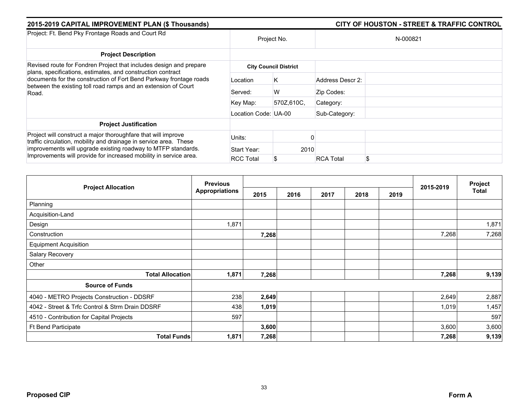| 2015-2019 CAPITAL IMPROVEMENT PLAN (\$ Thousands)                                                                                                                                                       | <b>CITY OF HOUSTON - STREET &amp; TRAFFIC CONTROL</b> |                              |                  |  |  |  |
|---------------------------------------------------------------------------------------------------------------------------------------------------------------------------------------------------------|-------------------------------------------------------|------------------------------|------------------|--|--|--|
| Project: Ft. Bend Pky Frontage Roads and Court Rd                                                                                                                                                       | Project No.                                           |                              | N-000821         |  |  |  |
| <b>Project Description</b>                                                                                                                                                                              |                                                       |                              |                  |  |  |  |
| Revised route for Fondren Project that includes design and prepare<br>plans, specifications, estimates, and construction contract<br>documents for the construction of Fort Bend Parkway frontage roads |                                                       | <b>City Council District</b> |                  |  |  |  |
|                                                                                                                                                                                                         | Location                                              | K                            | Address Descr 2: |  |  |  |
| between the existing toll road ramps and an extension of Court<br>Road.                                                                                                                                 | Served:                                               | W                            | Zip Codes:       |  |  |  |
|                                                                                                                                                                                                         | Key Map:                                              | 570Z,610C,                   | Category:        |  |  |  |
|                                                                                                                                                                                                         |                                                       | Location Code: UA-00         |                  |  |  |  |
| <b>Project Justification</b>                                                                                                                                                                            |                                                       |                              |                  |  |  |  |
| Project will construct a major thoroughfare that will improve<br>traffic circulation, mobility and drainage in service area. These                                                                      | Units:                                                |                              |                  |  |  |  |
| improvements will upgrade existing roadway to MTFP standards.<br>Improvements will provide for increased mobility in service area.                                                                      | Start Year:                                           | 2010                         |                  |  |  |  |
|                                                                                                                                                                                                         | <b>RCC Total</b>                                      | \$                           | <b>RCA Total</b> |  |  |  |

| <b>Project Allocation</b>                       | <b>Previous</b>       |       |      |      |      |      |           | Project<br><b>Total</b> |
|-------------------------------------------------|-----------------------|-------|------|------|------|------|-----------|-------------------------|
|                                                 | <b>Appropriations</b> | 2015  | 2016 | 2017 | 2018 | 2019 | 2015-2019 |                         |
| Planning                                        |                       |       |      |      |      |      |           |                         |
| Acquisition-Land                                |                       |       |      |      |      |      |           |                         |
| Design                                          | 1,871                 |       |      |      |      |      |           | 1,871                   |
| Construction                                    |                       | 7,268 |      |      |      |      | 7,268     | 7,268                   |
| <b>Equipment Acquisition</b>                    |                       |       |      |      |      |      |           |                         |
| Salary Recovery                                 |                       |       |      |      |      |      |           |                         |
| Other                                           |                       |       |      |      |      |      |           |                         |
| <b>Total Allocation</b>                         | 1,871                 | 7,268 |      |      |      |      | 7,268     | 9,139                   |
| <b>Source of Funds</b>                          |                       |       |      |      |      |      |           |                         |
| 4040 - METRO Projects Construction - DDSRF      | 238                   | 2,649 |      |      |      |      | 2,649     | 2,887                   |
| 4042 - Street & Trfc Control & Strm Drain DDSRF | 438                   | 1,019 |      |      |      |      | 1,019     | 1,457                   |
| 4510 - Contribution for Capital Projects        | 597                   |       |      |      |      |      |           | 597                     |
| Ft Bend Participate                             |                       | 3,600 |      |      |      |      | 3,600     | 3,600                   |
| <b>Total Funds</b>                              | 1,871                 | 7,268 |      |      |      |      | 7,268     | 9,139                   |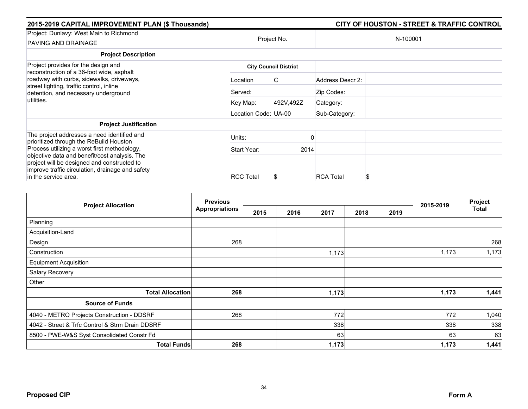| 2015-2019 CAPITAL IMPROVEMENT PLAN (\$ Thousands)                                                                                                                                                |                      |                              |                  | CITY OF HOUSTON - STREET & TRAFFIC CONTROL |
|--------------------------------------------------------------------------------------------------------------------------------------------------------------------------------------------------|----------------------|------------------------------|------------------|--------------------------------------------|
| Project: Dunlavy: West Main to Richmond<br>PAVING AND DRAINAGE                                                                                                                                   | Project No.          |                              |                  | N-100001                                   |
| <b>Project Description</b>                                                                                                                                                                       |                      |                              |                  |                                            |
| Project provides for the design and                                                                                                                                                              |                      | <b>City Council District</b> |                  |                                            |
| reconstruction of a 36-foot wide, asphalt<br>roadway with curbs, sidewalks, driveways,<br>street lighting, traffic control, inline<br>detention, and necessary underground                       | Location             | C                            | Address Descr 2: |                                            |
|                                                                                                                                                                                                  | Served:              |                              | Zip Codes:       |                                            |
| utilities.                                                                                                                                                                                       | Key Map:             | 492V,492Z                    | Category:        |                                            |
|                                                                                                                                                                                                  | Location Code: UA-00 |                              | Sub-Category:    |                                            |
| <b>Project Justification</b>                                                                                                                                                                     |                      |                              |                  |                                            |
| The project addresses a need identified and<br>prioritized through the ReBuild Houston                                                                                                           | Units:               |                              |                  |                                            |
| Process utilizing a worst first methodology,<br>objective data and benefit/cost analysis. The<br>project will be designed and constructed to<br>improve traffic circulation, drainage and safety | Start Year:          | 2014                         |                  |                                            |
|                                                                                                                                                                                                  |                      |                              |                  |                                            |
| in the service area.                                                                                                                                                                             | <b>RCC Total</b>     | Æ                            | <b>RCA Total</b> | S                                          |

| <b>Project Allocation</b>                       | <b>Previous</b>       |      |      |       |      |      |           | Project<br><b>Total</b> |
|-------------------------------------------------|-----------------------|------|------|-------|------|------|-----------|-------------------------|
|                                                 | <b>Appropriations</b> | 2015 | 2016 | 2017  | 2018 | 2019 | 2015-2019 |                         |
| Planning                                        |                       |      |      |       |      |      |           |                         |
| Acquisition-Land                                |                       |      |      |       |      |      |           |                         |
| Design                                          | 268                   |      |      |       |      |      |           | 268                     |
| Construction                                    |                       |      |      | 1,173 |      |      | 1,173     | 1,173                   |
| <b>Equipment Acquisition</b>                    |                       |      |      |       |      |      |           |                         |
| Salary Recovery                                 |                       |      |      |       |      |      |           |                         |
| Other                                           |                       |      |      |       |      |      |           |                         |
| <b>Total Allocation</b>                         | 268                   |      |      | 1,173 |      |      | 1,173     | 1,441                   |
| <b>Source of Funds</b>                          |                       |      |      |       |      |      |           |                         |
| 4040 - METRO Projects Construction - DDSRF      | 268                   |      |      | 772   |      |      | 772       | 1,040                   |
| 4042 - Street & Trfc Control & Strm Drain DDSRF |                       |      |      | 338   |      |      | 338       | 338                     |
| 8500 - PWE-W&S Syst Consolidated Constr Fd      |                       |      |      | 63    |      |      | 63        | 63                      |
| <b>Total Funds</b>                              | 268                   |      |      | 1,173 |      |      | 1,173     | 1,441                   |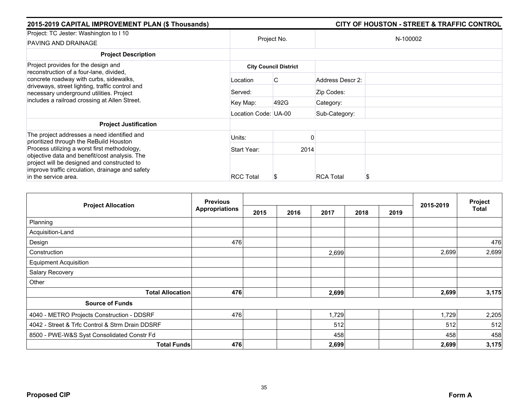| 2015-2019 CAPITAL IMPROVEMENT PLAN (\$ Thousands)                                                                                                                                                |                              |             |                  | <b>CITY OF HOUSTON - STREET &amp; TRAFFIC CONTROL</b> |  |  |  |  |
|--------------------------------------------------------------------------------------------------------------------------------------------------------------------------------------------------|------------------------------|-------------|------------------|-------------------------------------------------------|--|--|--|--|
| Project: TC Jester: Washington to I 10<br>PAVING AND DRAINAGE                                                                                                                                    |                              | Project No. |                  | N-100002                                              |  |  |  |  |
| <b>Project Description</b>                                                                                                                                                                       |                              |             |                  |                                                       |  |  |  |  |
| Project provides for the design and<br>reconstruction of a four-lane, divided,                                                                                                                   | <b>City Council District</b> |             |                  |                                                       |  |  |  |  |
| concrete roadway with curbs, sidewalks,<br>driveways, street lighting, traffic control and<br>necessary underground utilities. Project                                                           | Location                     | C           | Address Descr 2: |                                                       |  |  |  |  |
|                                                                                                                                                                                                  | Served:                      |             | Zip Codes:       |                                                       |  |  |  |  |
| includes a railroad crossing at Allen Street.                                                                                                                                                    | Key Map:                     | 492G        | Category:        |                                                       |  |  |  |  |
|                                                                                                                                                                                                  | Location Code: UA-00         |             | Sub-Category:    |                                                       |  |  |  |  |
| <b>Project Justification</b>                                                                                                                                                                     |                              |             |                  |                                                       |  |  |  |  |
| The project addresses a need identified and<br>prioritized through the ReBuild Houston                                                                                                           | Units:                       |             |                  |                                                       |  |  |  |  |
| Process utilizing a worst first methodology,<br>objective data and benefit/cost analysis. The<br>project will be designed and constructed to<br>improve traffic circulation, drainage and safety | Start Year:                  |             | 2014             |                                                       |  |  |  |  |
|                                                                                                                                                                                                  |                              |             |                  |                                                       |  |  |  |  |
| in the service area.                                                                                                                                                                             | <b>RCC Total</b>             |             | <b>RCA Total</b> | S                                                     |  |  |  |  |

| <b>Project Allocation</b>                       | <b>Previous</b>       |      |      |       |      |      | 2015-2019 | Project<br>Total |
|-------------------------------------------------|-----------------------|------|------|-------|------|------|-----------|------------------|
|                                                 | <b>Appropriations</b> | 2015 | 2016 | 2017  | 2018 | 2019 |           |                  |
| Planning                                        |                       |      |      |       |      |      |           |                  |
| Acquisition-Land                                |                       |      |      |       |      |      |           |                  |
| Design                                          | 476                   |      |      |       |      |      |           | 476              |
| Construction                                    |                       |      |      | 2,699 |      |      | 2,699     | 2,699            |
| <b>Equipment Acquisition</b>                    |                       |      |      |       |      |      |           |                  |
| Salary Recovery                                 |                       |      |      |       |      |      |           |                  |
| Other                                           |                       |      |      |       |      |      |           |                  |
| <b>Total Allocation</b>                         | 476                   |      |      | 2,699 |      |      | 2,699     | 3,175            |
| <b>Source of Funds</b>                          |                       |      |      |       |      |      |           |                  |
| 4040 - METRO Projects Construction - DDSRF      | 476                   |      |      | 1,729 |      |      | 1,729     | 2,205            |
| 4042 - Street & Trfc Control & Strm Drain DDSRF |                       |      |      | 512   |      |      | 512       | 512              |
| 8500 - PWE-W&S Syst Consolidated Constr Fd      |                       |      |      | 458   |      |      | 458       | 458              |
| <b>Total Funds</b>                              | 476                   |      |      | 2,699 |      |      | 2,699     | 3,175            |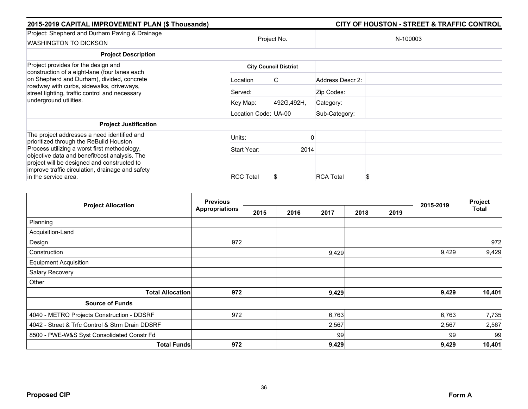| 2015-2019 CAPITAL IMPROVEMENT PLAN (\$ Thousands)                                                                                                                                                                        |                      |                              |                  | <b>CITY OF HOUSTON - STREET &amp; TRAFFIC CONTROL</b> |
|--------------------------------------------------------------------------------------------------------------------------------------------------------------------------------------------------------------------------|----------------------|------------------------------|------------------|-------------------------------------------------------|
| Project: Shepherd and Durham Paving & Drainage<br><b>WASHINGTON TO DICKSON</b>                                                                                                                                           | Project No.          |                              |                  | N-100003                                              |
| <b>Project Description</b>                                                                                                                                                                                               |                      |                              |                  |                                                       |
| Project provides for the design and                                                                                                                                                                                      |                      | <b>City Council District</b> |                  |                                                       |
| construction of a eight-lane (four lanes each<br>on Shepherd and Durham), divided, concrete<br>roadway with curbs, sidewalks, driveways,<br>street lighting, traffic control and necessary<br>underground utilities.     | Location             | C                            | Address Descr 2: |                                                       |
|                                                                                                                                                                                                                          | Served:              |                              | Zip Codes:       |                                                       |
|                                                                                                                                                                                                                          | Key Map:             | 492G, 492H,                  | Category:        |                                                       |
|                                                                                                                                                                                                                          | Location Code: UA-00 |                              | Sub-Category:    |                                                       |
| <b>Project Justification</b>                                                                                                                                                                                             |                      |                              |                  |                                                       |
| The project addresses a need identified and<br>prioritized through the ReBuild Houston                                                                                                                                   | Units:               |                              |                  |                                                       |
| Process utilizing a worst first methodology,<br>objective data and benefit/cost analysis. The<br>project will be designed and constructed to<br>improve traffic circulation, drainage and safety<br>in the service area. | Start Year:          | 2014                         |                  |                                                       |
|                                                                                                                                                                                                                          | <b>RCC Total</b>     | æ                            | <b>RCA Total</b> |                                                       |

|                                                 | <b>Previous</b>       |      |      |       |      |      | 2015-2019 | Project |
|-------------------------------------------------|-----------------------|------|------|-------|------|------|-----------|---------|
| <b>Project Allocation</b>                       | <b>Appropriations</b> | 2015 | 2016 | 2017  | 2018 | 2019 |           | Total   |
| Planning                                        |                       |      |      |       |      |      |           |         |
| Acquisition-Land                                |                       |      |      |       |      |      |           |         |
| Design                                          | 972                   |      |      |       |      |      |           | 972     |
| Construction                                    |                       |      |      | 9,429 |      |      | 9,429     | 9,429   |
| <b>Equipment Acquisition</b>                    |                       |      |      |       |      |      |           |         |
| Salary Recovery                                 |                       |      |      |       |      |      |           |         |
| Other                                           |                       |      |      |       |      |      |           |         |
| <b>Total Allocation</b>                         | 972                   |      |      | 9,429 |      |      | 9,429     | 10,401  |
| <b>Source of Funds</b>                          |                       |      |      |       |      |      |           |         |
| 4040 - METRO Projects Construction - DDSRF      | 972                   |      |      | 6,763 |      |      | 6,763     | 7,735   |
| 4042 - Street & Trfc Control & Strm Drain DDSRF |                       |      |      | 2,567 |      |      | 2,567     | 2,567   |
| 8500 - PWE-W&S Syst Consolidated Constr Fd      |                       |      |      | 99    |      |      | 99        | 99      |
| <b>Total Funds</b>                              | 972                   |      |      | 9,429 |      |      | 9,429     | 10,401  |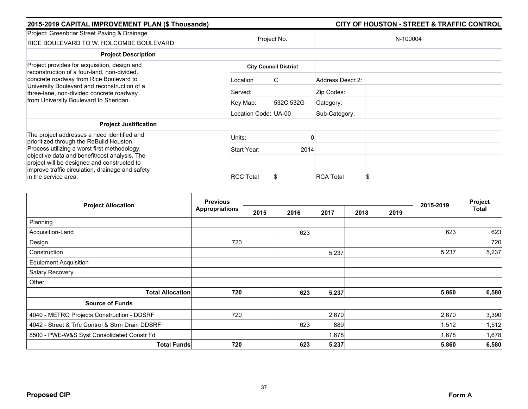| 2015-2019 CAPITAL IMPROVEMENT PLAN (\$ Thousands)                                                                                                                             |                      |                              |                  | <b>CITY OF HOUSTON - STREET &amp; TRAFFIC CONTROL</b> |
|-------------------------------------------------------------------------------------------------------------------------------------------------------------------------------|----------------------|------------------------------|------------------|-------------------------------------------------------|
| Project: Greenbriar Street Paving & Drainage<br>RICE BOULEVARD TO W. HOLCOMBE BOULEVARD                                                                                       | Project No.          |                              |                  | N-100004                                              |
| <b>Project Description</b>                                                                                                                                                    |                      |                              |                  |                                                       |
| Project provides for acquisition, design and<br>reconstruction of a four-land, non-divided,                                                                                   |                      | <b>City Council District</b> |                  |                                                       |
| concrete roadway from Rice Boulevard to<br>University Boulevard and reconstruction of a<br>three-lane, non-divided concrete roadway<br>from University Boulevard to Sheridan. | Location             | C                            | Address Descr 2: |                                                       |
|                                                                                                                                                                               | Served:              |                              | Zip Codes:       |                                                       |
|                                                                                                                                                                               | Key Map:             | 532C,532G                    | Category:        |                                                       |
|                                                                                                                                                                               | Location Code: UA-00 |                              | Sub-Category:    |                                                       |
| <b>Project Justification</b>                                                                                                                                                  |                      |                              |                  |                                                       |
| The project addresses a need identified and<br>prioritized through the ReBuild Houston                                                                                        | Units:               |                              |                  |                                                       |
| Process utilizing a worst first methodology,                                                                                                                                  | Start Year:          | 2014                         |                  |                                                       |
| objective data and benefit/cost analysis. The<br>project will be designed and constructed to<br>improve traffic circulation, drainage and safety                              |                      |                              |                  |                                                       |
| in the service area.                                                                                                                                                          | <b>RCC Total</b>     | S                            | <b>RCA Total</b> |                                                       |

|                                                 | <b>Previous</b>       |      |      |       | Project |      |           |       |
|-------------------------------------------------|-----------------------|------|------|-------|---------|------|-----------|-------|
| <b>Project Allocation</b>                       | <b>Appropriations</b> | 2015 | 2016 | 2017  | 2018    | 2019 | 2015-2019 | Total |
| Planning                                        |                       |      |      |       |         |      |           |       |
| Acquisition-Land                                |                       |      | 623  |       |         |      | 623       | 623   |
| Design                                          | 720                   |      |      |       |         |      |           | 720   |
| Construction                                    |                       |      |      | 5,237 |         |      | 5,237     | 5,237 |
| <b>Equipment Acquisition</b>                    |                       |      |      |       |         |      |           |       |
| Salary Recovery                                 |                       |      |      |       |         |      |           |       |
| Other                                           |                       |      |      |       |         |      |           |       |
| <b>Total Allocation</b>                         | 720                   |      | 623  | 5,237 |         |      | 5,860     | 6,580 |
| <b>Source of Funds</b>                          |                       |      |      |       |         |      |           |       |
| 4040 - METRO Projects Construction - DDSRF      | 720                   |      |      | 2,670 |         |      | 2,670     | 3,390 |
| 4042 - Street & Trfc Control & Strm Drain DDSRF |                       |      | 623  | 889   |         |      | 1,512     | 1,512 |
| 8500 - PWE-W&S Syst Consolidated Constr Fd      |                       |      |      | 1,678 |         |      | 1,678     | 1,678 |
| <b>Total Funds</b>                              | 720                   |      | 623  | 5,237 |         |      | 5,860     | 6,580 |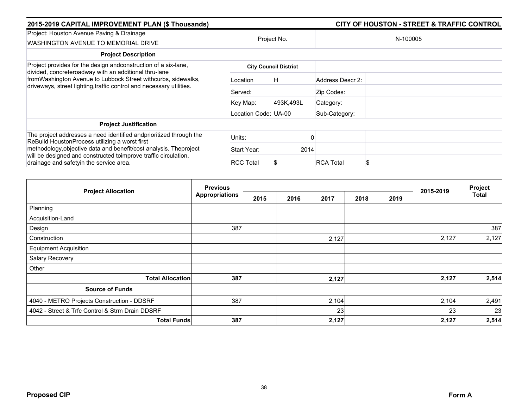| 2015-2019 CAPITAL IMPROVEMENT PLAN (\$ Thousands)                                                                                     |                      |                              |                  | <b>CITY OF HOUSTON - STREET &amp; TRAFFIC CONTROL</b> |
|---------------------------------------------------------------------------------------------------------------------------------------|----------------------|------------------------------|------------------|-------------------------------------------------------|
| Project: Houston Avenue Paving & Drainage<br>WASHINGTON AVENUE TO MEMORIAL DRIVE                                                      | Project No.          |                              |                  | N-100005                                              |
| <b>Project Description</b>                                                                                                            |                      |                              |                  |                                                       |
| Project provides for the design andconstruction of a six-lane,<br>divided, concreteroadway with an additional thru-lane               |                      | <b>City Council District</b> |                  |                                                       |
| fromWashington Avenue to Lubbock Street withcurbs, sidewalks,<br>driveways, street lighting, traffic control and necessary utilities. | Location             | H                            | Address Descr 2: |                                                       |
|                                                                                                                                       | Served:              |                              | Zip Codes:       |                                                       |
|                                                                                                                                       | Key Map:             | 493K,493L                    | Category:        |                                                       |
|                                                                                                                                       | Location Code: UA-00 |                              | Sub-Category:    |                                                       |
| <b>Project Justification</b>                                                                                                          |                      |                              |                  |                                                       |
| The project addresses a need identified and prioritized through the<br>ReBuild HoustonProcess utilizing a worst first                 | Units:               |                              |                  |                                                       |
| methodology, objective data and benefit/cost analysis. The project                                                                    | Start Year:          | 2014                         |                  |                                                       |
| will be designed and constructed toimprove traffic circulation,<br>drainage and safetyin the service area.                            | <b>RCC Total</b>     |                              | <b>RCA Total</b> |                                                       |

| <b>Project Allocation</b>                       | <b>Previous</b>       |      |      |       |      |      |           | Project |
|-------------------------------------------------|-----------------------|------|------|-------|------|------|-----------|---------|
|                                                 | <b>Appropriations</b> | 2015 | 2016 | 2017  | 2018 | 2019 | 2015-2019 | Total   |
| Planning                                        |                       |      |      |       |      |      |           |         |
| Acquisition-Land                                |                       |      |      |       |      |      |           |         |
| Design                                          | 387                   |      |      |       |      |      |           | 387     |
| Construction                                    |                       |      |      | 2,127 |      |      | 2,127     | 2,127   |
| <b>Equipment Acquisition</b>                    |                       |      |      |       |      |      |           |         |
| Salary Recovery                                 |                       |      |      |       |      |      |           |         |
| Other                                           |                       |      |      |       |      |      |           |         |
| <b>Total Allocation</b>                         | 387                   |      |      | 2,127 |      |      | 2,127     | 2,514   |
| <b>Source of Funds</b>                          |                       |      |      |       |      |      |           |         |
| 4040 - METRO Projects Construction - DDSRF      | 387                   |      |      | 2,104 |      |      | 2,104     | 2,491   |
| 4042 - Street & Trfc Control & Strm Drain DDSRF |                       |      |      | 23    |      |      | 23        | 23      |
| <b>Total Funds</b>                              | 387                   |      |      | 2,127 |      |      | 2,127     | 2,514   |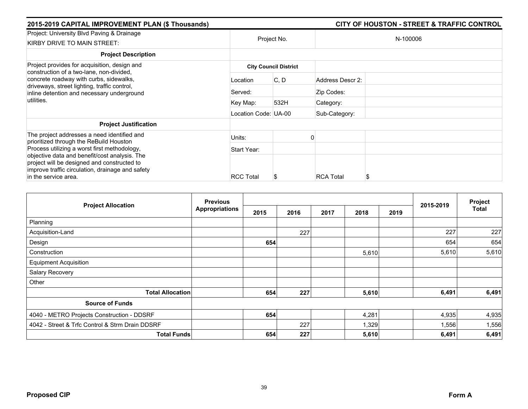| 2015-2019 CAPITAL IMPROVEMENT PLAN (\$ Thousands)                                                                                                                        |                      | <b>CITY OF HOUSTON - STREET &amp; TRAFFIC CONTROL</b> |                  |  |  |  |
|--------------------------------------------------------------------------------------------------------------------------------------------------------------------------|----------------------|-------------------------------------------------------|------------------|--|--|--|
| Project: University Blvd Paving & Drainage<br>KIRBY DRIVE TO MAIN STREET:                                                                                                | Project No.          |                                                       | N-100006         |  |  |  |
| <b>Project Description</b>                                                                                                                                               |                      |                                                       |                  |  |  |  |
| Project provides for acquisition, design and<br>construction of a two-lane, non-divided,                                                                                 |                      | <b>City Council District</b>                          |                  |  |  |  |
| concrete roadway with curbs, sidewalks,<br>driveways, street lighting, traffic control,<br>inline detention and necessary underground                                    | Location             | C, D                                                  | Address Descr 2: |  |  |  |
|                                                                                                                                                                          | Served:              |                                                       | Zip Codes:       |  |  |  |
| utilities.                                                                                                                                                               | Key Map:             | 532H                                                  | Category:        |  |  |  |
|                                                                                                                                                                          | Location Code: UA-00 |                                                       | Sub-Category:    |  |  |  |
| <b>Project Justification</b>                                                                                                                                             |                      |                                                       |                  |  |  |  |
| The project addresses a need identified and<br>prioritized through the ReBuild Houston                                                                                   | Units:               |                                                       |                  |  |  |  |
| Process utilizing a worst first methodology,                                                                                                                             | Start Year:          |                                                       |                  |  |  |  |
| objective data and benefit/cost analysis. The<br>project will be designed and constructed to<br>improve traffic circulation, drainage and safety<br>in the service area. | <b>RCC Total</b>     | S                                                     | <b>RCA Total</b> |  |  |  |

| <b>Project Allocation</b>                       | <b>Previous</b>       |      |      |      |       |      | 2015-2019 | Project<br><b>Total</b> |
|-------------------------------------------------|-----------------------|------|------|------|-------|------|-----------|-------------------------|
|                                                 | <b>Appropriations</b> | 2015 | 2016 | 2017 | 2018  | 2019 |           |                         |
| Planning                                        |                       |      |      |      |       |      |           |                         |
| Acquisition-Land                                |                       |      | 227  |      |       |      | 227       | 227                     |
| Design                                          |                       | 654  |      |      |       |      | 654       | 654                     |
| Construction                                    |                       |      |      |      | 5,610 |      | 5,610     | 5,610                   |
| <b>Equipment Acquisition</b>                    |                       |      |      |      |       |      |           |                         |
| Salary Recovery                                 |                       |      |      |      |       |      |           |                         |
| Other                                           |                       |      |      |      |       |      |           |                         |
| <b>Total Allocation</b>                         |                       | 654  | 227  |      | 5,610 |      | 6,491     | 6,491                   |
| <b>Source of Funds</b>                          |                       |      |      |      |       |      |           |                         |
| 4040 - METRO Projects Construction - DDSRF      |                       | 654  |      |      | 4,281 |      | 4,935     | 4,935                   |
| 4042 - Street & Trfc Control & Strm Drain DDSRF |                       |      | 227  |      | 1,329 |      | 1,556     | 1,556                   |
| <b>Total Funds</b>                              |                       | 654  | 227  |      | 5,610 |      | 6,491     | 6,491                   |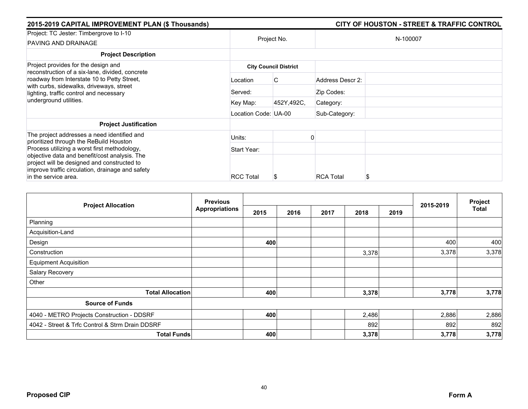| 2015-2019 CAPITAL IMPROVEMENT PLAN (\$ Thousands)                                                                                                |                      |                              |                  | CITY OF HOUSTON - STREET & TRAFFIC CONTROL |
|--------------------------------------------------------------------------------------------------------------------------------------------------|----------------------|------------------------------|------------------|--------------------------------------------|
| Project: TC Jester: Timbergrove to I-10<br>PAVING AND DRAINAGE                                                                                   |                      | Project No.                  |                  | N-100007                                   |
| <b>Project Description</b>                                                                                                                       |                      |                              |                  |                                            |
| Project provides for the design and<br>reconstruction of a six-lane, divided, concrete                                                           |                      | <b>City Council District</b> |                  |                                            |
| roadway from Interstate 10 to Petty Street,<br>with curbs, sidewalks, driveways, street<br>lighting, traffic control and necessary               | Location             | C                            | Address Descr 2: |                                            |
|                                                                                                                                                  | Served:              |                              | Zip Codes:       |                                            |
| underground utilities.                                                                                                                           | Key Map:             | 452Y,492C,                   | Category:        |                                            |
|                                                                                                                                                  | Location Code: UA-00 |                              | Sub-Category:    |                                            |
| <b>Project Justification</b>                                                                                                                     |                      |                              |                  |                                            |
| The project addresses a need identified and<br>prioritized through the ReBuild Houston                                                           | Units:               |                              |                  |                                            |
| Process utilizing a worst first methodology,                                                                                                     | Start Year:          |                              |                  |                                            |
| objective data and benefit/cost analysis. The<br>project will be designed and constructed to<br>improve traffic circulation, drainage and safety |                      |                              |                  |                                            |
| in the service area.                                                                                                                             | <b>RCC Total</b>     |                              | <b>RCA Total</b> | S                                          |

| <b>Project Allocation</b>                       | <b>Previous</b>       |      |      |      |       |      |           | Project |
|-------------------------------------------------|-----------------------|------|------|------|-------|------|-----------|---------|
|                                                 | <b>Appropriations</b> | 2015 | 2016 | 2017 | 2018  | 2019 | 2015-2019 | Total   |
| Planning                                        |                       |      |      |      |       |      |           |         |
| Acquisition-Land                                |                       |      |      |      |       |      |           |         |
| Design                                          |                       | 400  |      |      |       |      | 400       | 400     |
| Construction                                    |                       |      |      |      | 3,378 |      | 3,378     | 3,378   |
| <b>Equipment Acquisition</b>                    |                       |      |      |      |       |      |           |         |
| <b>Salary Recovery</b>                          |                       |      |      |      |       |      |           |         |
| Other                                           |                       |      |      |      |       |      |           |         |
| <b>Total Allocation</b>                         |                       | 400  |      |      | 3,378 |      | 3,778     | 3,778   |
| <b>Source of Funds</b>                          |                       |      |      |      |       |      |           |         |
| 4040 - METRO Projects Construction - DDSRF      |                       | 400  |      |      | 2,486 |      | 2,886     | 2,886   |
| 4042 - Street & Trfc Control & Strm Drain DDSRF |                       |      |      |      | 892   |      | 892       | 892     |
| <b>Total Funds</b>                              |                       | 400  |      |      | 3,378 |      | 3,778     | 3,778   |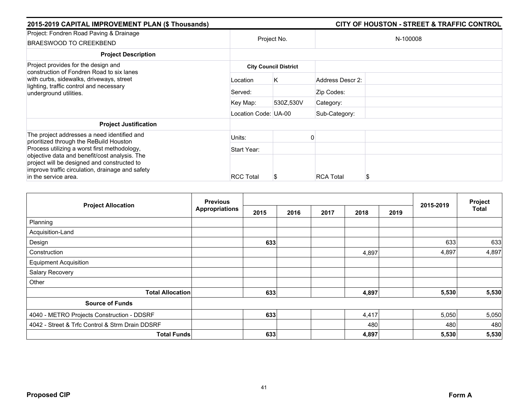| 2015-2019 CAPITAL IMPROVEMENT PLAN (\$ Thousands) |                  |                                                           |                                                                           |  |
|---------------------------------------------------|------------------|-----------------------------------------------------------|---------------------------------------------------------------------------|--|
| Project No.                                       |                  |                                                           | N-100008                                                                  |  |
|                                                   |                  |                                                           |                                                                           |  |
|                                                   |                  |                                                           |                                                                           |  |
| Location                                          | K                | Address Descr 2:                                          |                                                                           |  |
| Served:                                           |                  | Zip Codes:                                                |                                                                           |  |
| Key Map:                                          | 530Z,530V        | Category:                                                 |                                                                           |  |
|                                                   |                  | Sub-Category:                                             |                                                                           |  |
|                                                   |                  |                                                           |                                                                           |  |
| Units:                                            |                  |                                                           |                                                                           |  |
| Start Year:                                       |                  |                                                           |                                                                           |  |
|                                                   |                  |                                                           |                                                                           |  |
|                                                   | <b>RCC Total</b> | <b>City Council District</b><br>Location Code: UA-00<br>S | <b>CITY OF HOUSTON - STREET &amp; TRAFFIC CONTROL</b><br><b>RCA Total</b> |  |

|                                                 | <b>Previous</b>       |      |      | Project |       |      |           |              |
|-------------------------------------------------|-----------------------|------|------|---------|-------|------|-----------|--------------|
| <b>Project Allocation</b>                       | <b>Appropriations</b> | 2015 | 2016 | 2017    | 2018  | 2019 | 2015-2019 | <b>Total</b> |
| Planning                                        |                       |      |      |         |       |      |           |              |
| Acquisition-Land                                |                       |      |      |         |       |      |           |              |
| Design                                          |                       | 633  |      |         |       |      | 633       | 633          |
| Construction                                    |                       |      |      |         | 4,897 |      | 4,897     | 4,897        |
| <b>Equipment Acquisition</b>                    |                       |      |      |         |       |      |           |              |
| Salary Recovery                                 |                       |      |      |         |       |      |           |              |
| Other                                           |                       |      |      |         |       |      |           |              |
| <b>Total Allocation</b>                         |                       | 633  |      |         | 4,897 |      | 5,530     | 5,530        |
| <b>Source of Funds</b>                          |                       |      |      |         |       |      |           |              |
| 4040 - METRO Projects Construction - DDSRF      |                       | 633  |      |         | 4,417 |      | 5,050     | 5,050        |
| 4042 - Street & Trfc Control & Strm Drain DDSRF |                       |      |      |         | 480   |      | 480       | 480          |
| <b>Total Funds</b>                              |                       | 633  |      |         | 4,897 |      | 5,530     | 5,530        |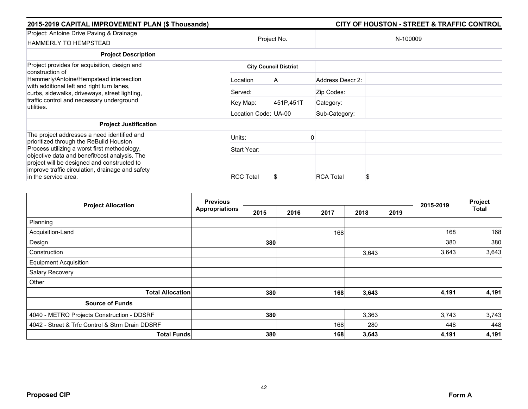| 2015-2019 CAPITAL IMPROVEMENT PLAN (\$ Thousands)                                                                                                                        |                      |                              |                  | <b>CITY OF HOUSTON - STREET &amp; TRAFFIC CONTROL</b> |  |  |  |
|--------------------------------------------------------------------------------------------------------------------------------------------------------------------------|----------------------|------------------------------|------------------|-------------------------------------------------------|--|--|--|
| Project: Antoine Drive Paving & Drainage<br><b>HAMMERLY TO HEMPSTEAD</b>                                                                                                 |                      | Project No.                  | N-100009         |                                                       |  |  |  |
| <b>Project Description</b>                                                                                                                                               |                      |                              |                  |                                                       |  |  |  |
| Project provides for acquisition, design and                                                                                                                             |                      | <b>City Council District</b> |                  |                                                       |  |  |  |
| construction of<br>Hammerly/Antoine/Hempstead intersection<br>with additional left and right turn lanes,<br>curbs, sidewalks, driveways, street lighting,                | Location             | A                            | Address Descr 2: |                                                       |  |  |  |
|                                                                                                                                                                          | Served:              |                              | Zip Codes:       |                                                       |  |  |  |
| traffic control and necessary underground<br>utilities.                                                                                                                  | Key Map:             | 451P,451T                    | Category:        |                                                       |  |  |  |
|                                                                                                                                                                          | Location Code: UA-00 |                              | Sub-Category:    |                                                       |  |  |  |
| <b>Project Justification</b>                                                                                                                                             |                      |                              |                  |                                                       |  |  |  |
| The project addresses a need identified and<br>prioritized through the ReBuild Houston                                                                                   | Units:               |                              |                  |                                                       |  |  |  |
| Process utilizing a worst first methodology,                                                                                                                             | Start Year:          |                              |                  |                                                       |  |  |  |
| objective data and benefit/cost analysis. The<br>project will be designed and constructed to<br>improve traffic circulation, drainage and safety<br>in the service area. | <b>RCC Total</b>     | S                            | <b>RCA Total</b> |                                                       |  |  |  |

| <b>Project Allocation</b>                       | <b>Previous</b>       |      |      |      |       |      |           | Project      |
|-------------------------------------------------|-----------------------|------|------|------|-------|------|-----------|--------------|
|                                                 | <b>Appropriations</b> | 2015 | 2016 | 2017 | 2018  | 2019 | 2015-2019 | <b>Total</b> |
| Planning                                        |                       |      |      |      |       |      |           |              |
| Acquisition-Land                                |                       |      |      | 168  |       |      | 168       | 168          |
| Design                                          |                       | 380  |      |      |       |      | 380       | 380          |
| Construction                                    |                       |      |      |      | 3,643 |      | 3,643     | 3,643        |
| <b>Equipment Acquisition</b>                    |                       |      |      |      |       |      |           |              |
| Salary Recovery                                 |                       |      |      |      |       |      |           |              |
| Other                                           |                       |      |      |      |       |      |           |              |
| <b>Total Allocation</b>                         |                       | 380  |      | 168  | 3,643 |      | 4,191     | 4,191        |
| <b>Source of Funds</b>                          |                       |      |      |      |       |      |           |              |
| 4040 - METRO Projects Construction - DDSRF      |                       | 380  |      |      | 3,363 |      | 3,743     | 3,743        |
| 4042 - Street & Trfc Control & Strm Drain DDSRF |                       |      |      | 168  | 280   |      | 448       | 448          |
| <b>Total Funds</b>                              |                       | 380  |      | 168  | 3,643 |      | 4,191     | 4,191        |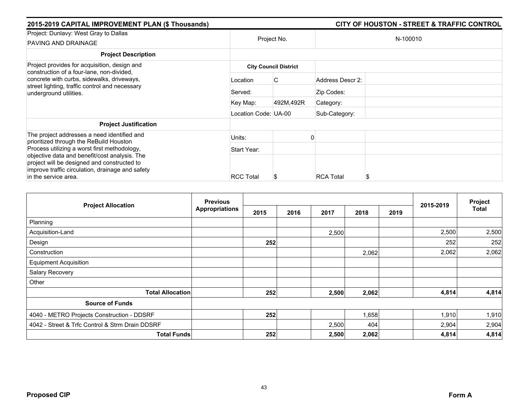| 2015-2019 CAPITAL IMPROVEMENT PLAN (\$ Thousands)                                                                                                | CITY OF HOUSTON - STREET & TRAFFIC CONTROL |             |                  |          |  |  |  |  |
|--------------------------------------------------------------------------------------------------------------------------------------------------|--------------------------------------------|-------------|------------------|----------|--|--|--|--|
| Project: Dunlavy: West Gray to Dallas<br>PAVING AND DRAINAGE                                                                                     |                                            | Project No. |                  | N-100010 |  |  |  |  |
| <b>Project Description</b>                                                                                                                       |                                            |             |                  |          |  |  |  |  |
| Project provides for acquisition, design and<br>construction of a four-lane, non-divided,                                                        | <b>City Council District</b>               |             |                  |          |  |  |  |  |
| concrete with curbs, sidewalks, driveways,<br>street lighting, traffic control and necessary<br>underground utilities.                           | Location                                   | C           | Address Descr 2: |          |  |  |  |  |
|                                                                                                                                                  | Served:                                    |             | Zip Codes:       |          |  |  |  |  |
|                                                                                                                                                  | Key Map:                                   | 492M,492R   | Category:        |          |  |  |  |  |
|                                                                                                                                                  | Location Code: UA-00                       |             | Sub-Category:    |          |  |  |  |  |
| <b>Project Justification</b>                                                                                                                     |                                            |             |                  |          |  |  |  |  |
| The project addresses a need identified and<br>prioritized through the ReBuild Houston                                                           | Units:                                     |             |                  |          |  |  |  |  |
| Process utilizing a worst first methodology,                                                                                                     | Start Year:                                |             |                  |          |  |  |  |  |
| objective data and benefit/cost analysis. The<br>project will be designed and constructed to<br>improve traffic circulation, drainage and safety |                                            |             |                  |          |  |  |  |  |
| in the service area.                                                                                                                             | <b>RCC Total</b>                           |             | <b>RCA Total</b> | S        |  |  |  |  |

| <b>Project Allocation</b>                       | <b>Previous</b><br><b>Appropriations</b> |      |      |       |       | Project |           |              |
|-------------------------------------------------|------------------------------------------|------|------|-------|-------|---------|-----------|--------------|
|                                                 |                                          | 2015 | 2016 | 2017  | 2018  | 2019    | 2015-2019 | <b>Total</b> |
| Planning                                        |                                          |      |      |       |       |         |           |              |
| Acquisition-Land                                |                                          |      |      | 2,500 |       |         | 2,500     | 2,500        |
| Design                                          |                                          | 252  |      |       |       |         | 252       | 252          |
| Construction                                    |                                          |      |      |       | 2,062 |         | 2,062     | 2,062        |
| <b>Equipment Acquisition</b>                    |                                          |      |      |       |       |         |           |              |
| Salary Recovery                                 |                                          |      |      |       |       |         |           |              |
| Other                                           |                                          |      |      |       |       |         |           |              |
| <b>Total Allocation</b>                         |                                          | 252  |      | 2,500 | 2,062 |         | 4,814     | 4,814        |
| <b>Source of Funds</b>                          |                                          |      |      |       |       |         |           |              |
| 4040 - METRO Projects Construction - DDSRF      |                                          | 252  |      |       | 1,658 |         | 1,910     | 1,910        |
| 4042 - Street & Trfc Control & Strm Drain DDSRF |                                          |      |      | 2,500 | 404   |         | 2,904     | 2,904        |
| <b>Total Funds</b>                              |                                          | 252  |      | 2,500 | 2,062 |         | 4,814     | 4,814        |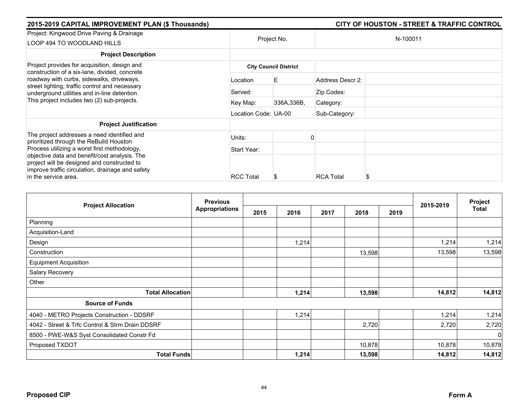| 2015-2019 CAPITAL IMPROVEMENT PLAN (\$ Thousands)                                                                                                                                                                                                                   |                      |                              |                  | <b>CITY OF HOUSTON - STREET &amp; TRAFFIC CONTROL</b> |
|---------------------------------------------------------------------------------------------------------------------------------------------------------------------------------------------------------------------------------------------------------------------|----------------------|------------------------------|------------------|-------------------------------------------------------|
| Project: Kingwood Drive Paving & Drainage<br>LOOP 494 TO WOODLAND HILLS                                                                                                                                                                                             | Project No.          |                              |                  | N-100011                                              |
| <b>Project Description</b>                                                                                                                                                                                                                                          |                      |                              |                  |                                                       |
| Project provides for acquisition, design and                                                                                                                                                                                                                        |                      | <b>City Council District</b> |                  |                                                       |
| construction of a six-lane, divided, concrete<br>roadway with curbs, sidewalks, driveways,                                                                                                                                                                          | Location             | E                            | Address Descr 2: |                                                       |
| street lighting, traffic control and necessary<br>underground utilities and in-line detention.<br>This project includes two (2) sub-projects.                                                                                                                       | Served:              |                              | Zip Codes:       |                                                       |
|                                                                                                                                                                                                                                                                     | Key Map:             | 336A, 336B,                  | Category:        |                                                       |
|                                                                                                                                                                                                                                                                     | Location Code: UA-00 |                              | Sub-Category:    |                                                       |
| <b>Project Justification</b>                                                                                                                                                                                                                                        |                      |                              |                  |                                                       |
| The project addresses a need identified and                                                                                                                                                                                                                         | Units:               |                              |                  |                                                       |
| prioritized through the ReBuild Houston<br>Process utilizing a worst first methodology,<br>objective data and benefit/cost analysis. The<br>project will be designed and constructed to<br>improve traffic circulation, drainage and safety<br>in the service area. | Start Year:          |                              |                  |                                                       |
|                                                                                                                                                                                                                                                                     | <b>RCC Total</b>     | S                            | <b>RCA Total</b> |                                                       |

|                                                 | <b>Previous</b>       |      |       |      |        |      |           | Project     |
|-------------------------------------------------|-----------------------|------|-------|------|--------|------|-----------|-------------|
| <b>Project Allocation</b>                       | <b>Appropriations</b> | 2015 | 2016  | 2017 | 2018   | 2019 | 2015-2019 | Total       |
| Planning                                        |                       |      |       |      |        |      |           |             |
| Acquisition-Land                                |                       |      |       |      |        |      |           |             |
| Design                                          |                       |      | 1,214 |      |        |      | 1,214     | 1,214       |
| Construction                                    |                       |      |       |      | 13,598 |      | 13,598    | 13,598      |
| <b>Equipment Acquisition</b>                    |                       |      |       |      |        |      |           |             |
| Salary Recovery                                 |                       |      |       |      |        |      |           |             |
| Other                                           |                       |      |       |      |        |      |           |             |
| <b>Total Allocation</b>                         |                       |      | 1,214 |      | 13,598 |      | 14,812    | 14,812      |
| <b>Source of Funds</b>                          |                       |      |       |      |        |      |           |             |
| 4040 - METRO Projects Construction - DDSRF      |                       |      | 1,214 |      |        |      | 1,214     | 1,214       |
| 4042 - Street & Trfc Control & Strm Drain DDSRF |                       |      |       |      | 2,720  |      | 2,720     | 2,720       |
| 8500 - PWE-W&S Syst Consolidated Constr Fd      |                       |      |       |      |        |      |           | $\mathbf 0$ |
| Proposed TXDOT                                  |                       |      |       |      | 10,878 |      | 10,878    | 10,878      |
| <b>Total Funds</b>                              |                       |      | 1,214 |      | 13,598 |      | 14,812    | 14,812      |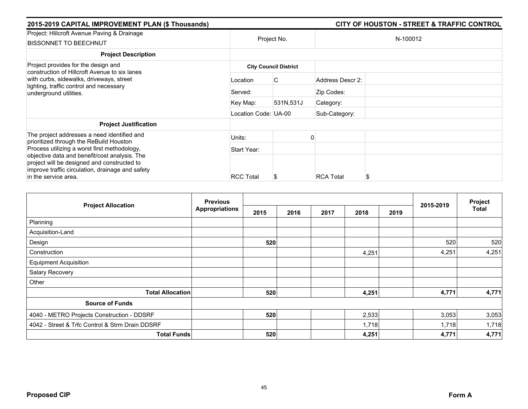| 2015-2019 CAPITAL IMPROVEMENT PLAN (\$ Thousands)                                                                                                                        |                      |                              |                  | <b>CITY OF HOUSTON - STREET &amp; TRAFFIC CONTROL</b> |  |  |
|--------------------------------------------------------------------------------------------------------------------------------------------------------------------------|----------------------|------------------------------|------------------|-------------------------------------------------------|--|--|
| Project: Hlilcroft Avenue Paving & Drainage<br><b>BISSONNET TO BEECHNUT</b>                                                                                              | Project No.          |                              | N-100012         |                                                       |  |  |
| <b>Project Description</b>                                                                                                                                               |                      |                              |                  |                                                       |  |  |
| Project provides for the design and<br>construction of Hillcroft Avenue to six lanes                                                                                     |                      | <b>City Council District</b> |                  |                                                       |  |  |
| with curbs, sidewalks, driveways, street<br>lighting, traffic control and necessary<br>underground utilities.                                                            | Location             | C                            | Address Descr 2: |                                                       |  |  |
|                                                                                                                                                                          | Served:              |                              | Zip Codes:       |                                                       |  |  |
|                                                                                                                                                                          | Key Map:             | 531N,531J                    | Category:        |                                                       |  |  |
|                                                                                                                                                                          | Location Code: UA-00 |                              | Sub-Category:    |                                                       |  |  |
| <b>Project Justification</b>                                                                                                                                             |                      |                              |                  |                                                       |  |  |
| The project addresses a need identified and<br>prioritized through the ReBuild Houston                                                                                   | Units:               |                              |                  |                                                       |  |  |
| Process utilizing a worst first methodology,                                                                                                                             | Start Year:          |                              |                  |                                                       |  |  |
| objective data and benefit/cost analysis. The<br>project will be designed and constructed to<br>improve traffic circulation, drainage and safety<br>in the service area. | <b>RCC Total</b>     | S                            | <b>RCA Total</b> |                                                       |  |  |

|                                                 | <b>Previous</b>       |      |      |      |       |      |           | Project      |
|-------------------------------------------------|-----------------------|------|------|------|-------|------|-----------|--------------|
| <b>Project Allocation</b>                       | <b>Appropriations</b> | 2015 | 2016 | 2017 | 2018  | 2019 | 2015-2019 | <b>Total</b> |
| Planning                                        |                       |      |      |      |       |      |           |              |
| Acquisition-Land                                |                       |      |      |      |       |      |           |              |
| Design                                          |                       | 520  |      |      |       |      | 520       | 520          |
| Construction                                    |                       |      |      |      | 4,251 |      | 4,251     | 4,251        |
| <b>Equipment Acquisition</b>                    |                       |      |      |      |       |      |           |              |
| Salary Recovery                                 |                       |      |      |      |       |      |           |              |
| Other                                           |                       |      |      |      |       |      |           |              |
| <b>Total Allocation</b>                         |                       | 520  |      |      | 4,251 |      | 4,771     | 4,771        |
| <b>Source of Funds</b>                          |                       |      |      |      |       |      |           |              |
| 4040 - METRO Projects Construction - DDSRF      |                       | 520  |      |      | 2,533 |      | 3,053     | 3,053        |
| 4042 - Street & Trfc Control & Strm Drain DDSRF |                       |      |      |      | 1,718 |      | 1,718     | 1,718        |
| <b>Total Funds</b>                              |                       | 520  |      |      | 4,251 |      | 4,771     | 4,771        |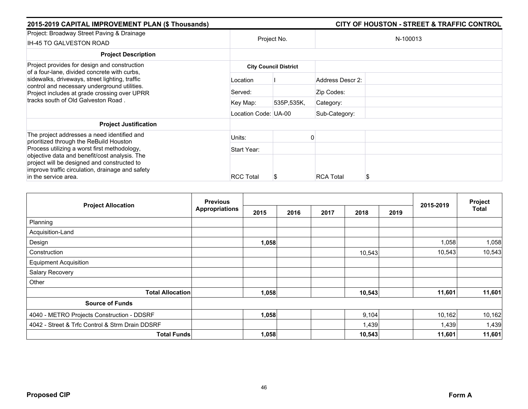| 2015-2019 CAPITAL IMPROVEMENT PLAN (\$ Thousands)                                                                                                                        |                      |                              |                  | <b>CITY OF HOUSTON - STREET &amp; TRAFFIC CONTROL</b> |  |
|--------------------------------------------------------------------------------------------------------------------------------------------------------------------------|----------------------|------------------------------|------------------|-------------------------------------------------------|--|
| Project: Broadway Street Paving & Drainage<br>IH-45 TO GALVESTON ROAD                                                                                                    | Project No.          |                              | N-100013         |                                                       |  |
| <b>Project Description</b>                                                                                                                                               |                      |                              |                  |                                                       |  |
| Project provides for design and construction                                                                                                                             |                      | <b>City Council District</b> |                  |                                                       |  |
| of a four-lane, divided concrete with curbs,<br>sidewalks, driveways, street lighting, traffic                                                                           | Location             |                              | Address Descr 2: |                                                       |  |
| control and necessary underground utilities.<br>Project includes at grade crossing over UPRR<br>tracks south of Old Galveston Road.                                      | Served:              |                              | Zip Codes:       |                                                       |  |
|                                                                                                                                                                          | Key Map:             | 535P,535K,                   | Category:        |                                                       |  |
|                                                                                                                                                                          | Location Code: UA-00 |                              | Sub-Category:    |                                                       |  |
| <b>Project Justification</b>                                                                                                                                             |                      |                              |                  |                                                       |  |
| The project addresses a need identified and<br>prioritized through the ReBuild Houston                                                                                   | Units:               |                              |                  |                                                       |  |
| Process utilizing a worst first methodology,                                                                                                                             | Start Year:          |                              |                  |                                                       |  |
| objective data and benefit/cost analysis. The<br>project will be designed and constructed to<br>improve traffic circulation, drainage and safety<br>in the service area. | <b>RCC Total</b>     | S.                           | <b>RCA Total</b> |                                                       |  |

| <b>Project Allocation</b>                       | <b>Previous</b><br><b>Appropriations</b> |       |      |      |        | Project |           |              |
|-------------------------------------------------|------------------------------------------|-------|------|------|--------|---------|-----------|--------------|
|                                                 |                                          | 2015  | 2016 | 2017 | 2018   | 2019    | 2015-2019 | <b>Total</b> |
| Planning                                        |                                          |       |      |      |        |         |           |              |
| Acquisition-Land                                |                                          |       |      |      |        |         |           |              |
| Design                                          |                                          | 1,058 |      |      |        |         | 1,058     | 1,058        |
| Construction                                    |                                          |       |      |      | 10,543 |         | 10,543    | 10,543       |
| <b>Equipment Acquisition</b>                    |                                          |       |      |      |        |         |           |              |
| Salary Recovery                                 |                                          |       |      |      |        |         |           |              |
| Other                                           |                                          |       |      |      |        |         |           |              |
| <b>Total Allocation</b>                         |                                          | 1,058 |      |      | 10,543 |         | 11,601    | 11,601       |
| <b>Source of Funds</b>                          |                                          |       |      |      |        |         |           |              |
| 4040 - METRO Projects Construction - DDSRF      |                                          | 1,058 |      |      | 9,104  |         | 10,162    | 10,162       |
| 4042 - Street & Trfc Control & Strm Drain DDSRF |                                          |       |      |      | 1,439  |         | 1,439     | 1,439        |
| <b>Total Funds</b>                              |                                          | 1,058 |      |      | 10,543 |         | 11,601    | 11,601       |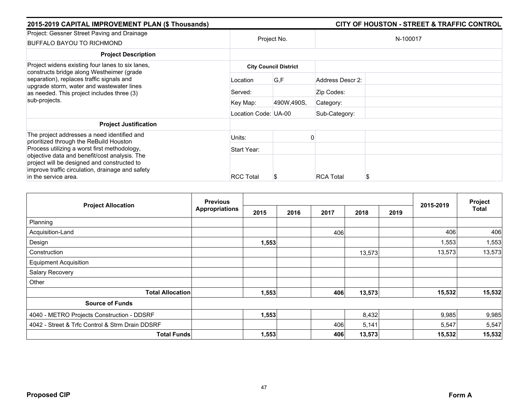| 2015-2019 CAPITAL IMPROVEMENT PLAN (\$ Thousands)                                                                                                                        |                      |                              |                  | <b>CITY OF HOUSTON - STREET &amp; TRAFFIC CONTROL</b> |
|--------------------------------------------------------------------------------------------------------------------------------------------------------------------------|----------------------|------------------------------|------------------|-------------------------------------------------------|
| Project: Gessner Street Paving and Drainage<br>BUFFALO BAYOU TO RICHMOND                                                                                                 | Project No.          |                              |                  | N-100017                                              |
| <b>Project Description</b>                                                                                                                                               |                      |                              |                  |                                                       |
| Project widens existing four lanes to six lanes,<br>constructs bridge along Westheimer (grade                                                                            |                      | <b>City Council District</b> |                  |                                                       |
| separation), replaces traffic signals and<br>upgrade storm, water and wastewater lines<br>as needed. This project includes three (3)<br>sub-projects.                    | Location             | G,F                          | Address Descr 2: |                                                       |
|                                                                                                                                                                          | Served:              |                              | Zip Codes:       |                                                       |
|                                                                                                                                                                          | Key Map:             | 490W,490S,                   | Category:        |                                                       |
|                                                                                                                                                                          | Location Code: UA-00 |                              | Sub-Category:    |                                                       |
| <b>Project Justification</b>                                                                                                                                             |                      |                              |                  |                                                       |
| The project addresses a need identified and<br>prioritized through the ReBuild Houston                                                                                   | Units:               |                              |                  |                                                       |
| Process utilizing a worst first methodology,                                                                                                                             | Start Year:          |                              |                  |                                                       |
| objective data and benefit/cost analysis. The<br>project will be designed and constructed to<br>improve traffic circulation, drainage and safety<br>in the service area. | <b>RCC Total</b>     | S                            | <b>RCA Total</b> |                                                       |

| <b>Project Allocation</b>                       | <b>Previous</b><br><b>Appropriations</b> |       |      |      | 2015-2019 | Project |        |              |
|-------------------------------------------------|------------------------------------------|-------|------|------|-----------|---------|--------|--------------|
|                                                 |                                          | 2015  | 2016 | 2017 | 2018      | 2019    |        | <b>Total</b> |
| Planning                                        |                                          |       |      |      |           |         |        |              |
| Acquisition-Land                                |                                          |       |      | 406  |           |         | 406    | 406          |
| Design                                          |                                          | 1,553 |      |      |           |         | 1,553  | 1,553        |
| Construction                                    |                                          |       |      |      | 13,573    |         | 13,573 | 13,573       |
| <b>Equipment Acquisition</b>                    |                                          |       |      |      |           |         |        |              |
| Salary Recovery                                 |                                          |       |      |      |           |         |        |              |
| Other                                           |                                          |       |      |      |           |         |        |              |
| <b>Total Allocation</b>                         |                                          | 1,553 |      | 406  | 13,573    |         | 15,532 | 15,532       |
| <b>Source of Funds</b>                          |                                          |       |      |      |           |         |        |              |
| 4040 - METRO Projects Construction - DDSRF      |                                          | 1,553 |      |      | 8,432     |         | 9,985  | 9,985        |
| 4042 - Street & Trfc Control & Strm Drain DDSRF |                                          |       |      | 406  | 5,141     |         | 5,547  | 5,547        |
| <b>Total Funds</b>                              |                                          | 1,553 |      | 406  | 13,573    |         | 15,532 | 15,532       |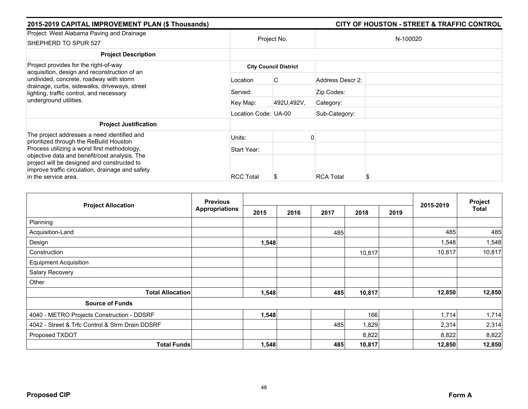| 2015-2019 CAPITAL IMPROVEMENT PLAN (\$ Thousands)                                                                                                                        |                      | <b>CITY OF HOUSTON - STREET &amp; TRAFFIC CONTROL</b> |                  |          |  |  |
|--------------------------------------------------------------------------------------------------------------------------------------------------------------------------|----------------------|-------------------------------------------------------|------------------|----------|--|--|
| Project: West Alabama Paving and Drainage<br>SHEPHERD TO SPUR 527                                                                                                        | Project No.          |                                                       |                  | N-100020 |  |  |
| <b>Project Description</b>                                                                                                                                               |                      |                                                       |                  |          |  |  |
| Project provides for the right-of-way                                                                                                                                    |                      | <b>City Council District</b>                          |                  |          |  |  |
| acquisition, design and reconstruction of an<br>undivided, concrete, roadway with storm                                                                                  | Location             | C                                                     | Address Descr 2: |          |  |  |
| drainage, curbs, sidewalks, driveways, street<br>lighting, traffic control, and necessary<br>underground utilities.                                                      | Served:              |                                                       | Zip Codes:       |          |  |  |
|                                                                                                                                                                          | Key Map:             | 492U,492V,                                            | Category:        |          |  |  |
|                                                                                                                                                                          | Location Code: UA-00 |                                                       | Sub-Category:    |          |  |  |
| <b>Project Justification</b>                                                                                                                                             |                      |                                                       |                  |          |  |  |
| The project addresses a need identified and<br>prioritized through the ReBuild Houston                                                                                   | Units:               |                                                       |                  |          |  |  |
| Process utilizing a worst first methodology,                                                                                                                             | Start Year:          |                                                       |                  |          |  |  |
| objective data and benefit/cost analysis. The<br>project will be designed and constructed to<br>improve traffic circulation, drainage and safety<br>in the service area. | <b>RCC Total</b>     | Ъ                                                     | <b>RCA Total</b> | S        |  |  |

|                                                 | <b>Previous</b>       |       |      |      |        |      |           | Project |
|-------------------------------------------------|-----------------------|-------|------|------|--------|------|-----------|---------|
| <b>Project Allocation</b>                       | <b>Appropriations</b> | 2015  | 2016 | 2017 | 2018   | 2019 | 2015-2019 | Total   |
| Planning                                        |                       |       |      |      |        |      |           |         |
| Acquisition-Land                                |                       |       |      | 485  |        |      | 485       | 485     |
| Design                                          |                       | 1,548 |      |      |        |      | 1,548     | 1,548   |
| Construction                                    |                       |       |      |      | 10,817 |      | 10,817    | 10,817  |
| <b>Equipment Acquisition</b>                    |                       |       |      |      |        |      |           |         |
| Salary Recovery                                 |                       |       |      |      |        |      |           |         |
| Other                                           |                       |       |      |      |        |      |           |         |
| <b>Total Allocation</b>                         |                       | 1,548 |      | 485  | 10,817 |      | 12,850    | 12,850  |
| <b>Source of Funds</b>                          |                       |       |      |      |        |      |           |         |
| 4040 - METRO Projects Construction - DDSRF      |                       | 1,548 |      |      | 166    |      | 1,714     | 1,714   |
| 4042 - Street & Trfc Control & Strm Drain DDSRF |                       |       |      | 485  | 1,829  |      | 2,314     | 2,314   |
| Proposed TXDOT                                  |                       |       |      |      | 8,822  |      | 8,822     | 8,822   |
| <b>Total Funds</b>                              |                       | 1,548 |      | 485  | 10,817 |      | 12,850    | 12,850  |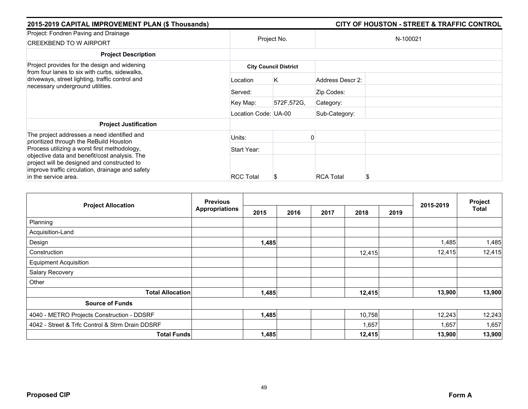| 2015-2019 CAPITAL IMPROVEMENT PLAN (\$ Thousands)                                                                                                                        |                      |                              |                  | <b>CITY OF HOUSTON - STREET &amp; TRAFFIC CONTROL</b> |
|--------------------------------------------------------------------------------------------------------------------------------------------------------------------------|----------------------|------------------------------|------------------|-------------------------------------------------------|
| Project: Fondren Paving and Drainage<br><b>CREEKBEND TO W AIRPORT</b>                                                                                                    |                      | Project No.                  |                  | N-100021                                              |
| <b>Project Description</b>                                                                                                                                               |                      |                              |                  |                                                       |
| Project provides for the design and widening                                                                                                                             |                      | <b>City Council District</b> |                  |                                                       |
| from four lanes to six with curbs, sidewalks,<br>driveways, street lighting, traffic control and<br>necessary underground utilities.                                     | Location             | Κ                            | Address Descr 2: |                                                       |
|                                                                                                                                                                          | Served:              |                              | Zip Codes:       |                                                       |
|                                                                                                                                                                          | Key Map:             | 572F,572G,                   | Category:        |                                                       |
|                                                                                                                                                                          | Location Code: UA-00 |                              | Sub-Category:    |                                                       |
| <b>Project Justification</b>                                                                                                                                             |                      |                              |                  |                                                       |
| The project addresses a need identified and<br>prioritized through the ReBuild Houston                                                                                   | Units:               |                              |                  |                                                       |
| Process utilizing a worst first methodology,                                                                                                                             | Start Year:          |                              |                  |                                                       |
| objective data and benefit/cost analysis. The<br>project will be designed and constructed to<br>improve traffic circulation, drainage and safety<br>in the service area. | <b>RCC Total</b>     | Ъ                            | <b>RCA Total</b> | S                                                     |

| <b>Project Allocation</b>                       | <b>Previous</b><br><b>Appropriations</b> |       |      |      |        | Project |           |              |
|-------------------------------------------------|------------------------------------------|-------|------|------|--------|---------|-----------|--------------|
|                                                 |                                          | 2015  | 2016 | 2017 | 2018   | 2019    | 2015-2019 | <b>Total</b> |
| Planning                                        |                                          |       |      |      |        |         |           |              |
| Acquisition-Land                                |                                          |       |      |      |        |         |           |              |
| Design                                          |                                          | 1,485 |      |      |        |         | 1,485     | 1,485        |
| Construction                                    |                                          |       |      |      | 12,415 |         | 12,415    | 12,415       |
| <b>Equipment Acquisition</b>                    |                                          |       |      |      |        |         |           |              |
| Salary Recovery                                 |                                          |       |      |      |        |         |           |              |
| Other                                           |                                          |       |      |      |        |         |           |              |
| <b>Total Allocation</b>                         |                                          | 1,485 |      |      | 12,415 |         | 13,900    | 13,900       |
| <b>Source of Funds</b>                          |                                          |       |      |      |        |         |           |              |
| 4040 - METRO Projects Construction - DDSRF      |                                          | 1,485 |      |      | 10,758 |         | 12,243    | 12,243       |
| 4042 - Street & Trfc Control & Strm Drain DDSRF |                                          |       |      |      | 1,657  |         | 1,657     | 1,657        |
| <b>Total Funds</b>                              |                                          | 1,485 |      |      | 12,415 |         | 13,900    | 13,900       |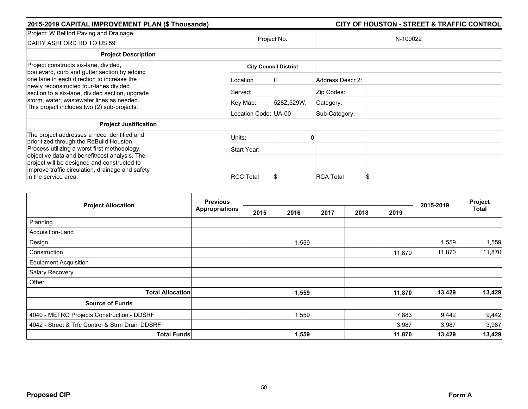| 2015-2019 CAPITAL IMPROVEMENT PLAN (\$ Thousands)                                                                                                                                                                                   |                      |                              |                  | <b>CITY OF HOUSTON - STREET &amp; TRAFFIC CONTROL</b> |
|-------------------------------------------------------------------------------------------------------------------------------------------------------------------------------------------------------------------------------------|----------------------|------------------------------|------------------|-------------------------------------------------------|
| Project: W Bellfort Paving and Drainage<br>DAIRY ASHFORD RD TO US 59                                                                                                                                                                | Project No.          |                              |                  | N-100022                                              |
| <b>Project Description</b>                                                                                                                                                                                                          |                      |                              |                  |                                                       |
| Project constructs six-lane, divided,<br>boulevard, curb and gutter section by adding                                                                                                                                               |                      | <b>City Council District</b> |                  |                                                       |
| one lane in each direction to increase the<br>newly reconstructed four-lanes divided<br>section to a six-lane, divided section, upgrade<br>storm, water, wastewater lines as needed.<br>This project includes two (2) sub-projects. | Location             | F                            | Address Descr 2: |                                                       |
|                                                                                                                                                                                                                                     | Served:              |                              | Zip Codes:       |                                                       |
|                                                                                                                                                                                                                                     | Key Map:             | 528Z,529W,                   | Category:        |                                                       |
|                                                                                                                                                                                                                                     | Location Code: UA-00 |                              | Sub-Category:    |                                                       |
| <b>Project Justification</b>                                                                                                                                                                                                        |                      |                              |                  |                                                       |
| The project addresses a need identified and<br>prioritized through the ReBuild Houston                                                                                                                                              | Units:               |                              |                  |                                                       |
| Process utilizing a worst first methodology,                                                                                                                                                                                        | Start Year:          |                              |                  |                                                       |
| objective data and benefit/cost analysis. The<br>project will be designed and constructed to<br>improve traffic circulation, drainage and safety<br>in the service area.                                                            | <b>RCC Total</b>     | S                            | <b>RCA Total</b> |                                                       |

|                                                 | <b>Previous</b>    |      |       |      |      |        |           | Project      |
|-------------------------------------------------|--------------------|------|-------|------|------|--------|-----------|--------------|
| <b>Project Allocation</b>                       | Appropriations     | 2015 | 2016  | 2017 | 2018 | 2019   | 2015-2019 | <b>Total</b> |
| Planning                                        |                    |      |       |      |      |        |           |              |
| Acquisition-Land                                |                    |      |       |      |      |        |           |              |
| Design                                          |                    |      | 1,559 |      |      |        | 1,559     | 1,559        |
| Construction                                    |                    |      |       |      |      | 11,870 | 11,870    | 11,870       |
| <b>Equipment Acquisition</b>                    |                    |      |       |      |      |        |           |              |
| Salary Recovery                                 |                    |      |       |      |      |        |           |              |
| Other                                           |                    |      |       |      |      |        |           |              |
| <b>Total Allocation</b>                         |                    |      | 1,559 |      |      | 11,870 | 13,429    | 13,429       |
| <b>Source of Funds</b>                          |                    |      |       |      |      |        |           |              |
| 4040 - METRO Projects Construction - DDSRF      |                    |      | 1,559 |      |      | 7,883  | 9,442     | 9,442        |
| 4042 - Street & Trfc Control & Strm Drain DDSRF |                    |      |       |      |      | 3,987  | 3,987     | 3,987        |
|                                                 | <b>Total Funds</b> |      | 1,559 |      |      | 11,870 | 13,429    | 13,429       |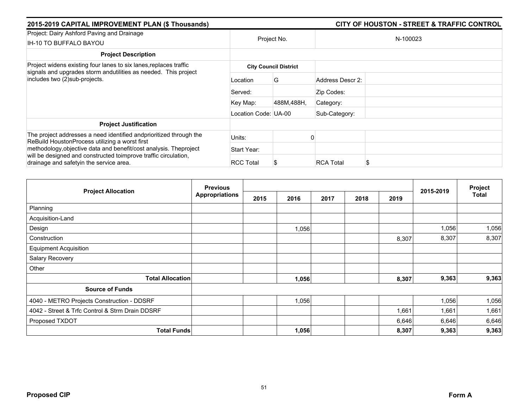| 2015-2019 CAPITAL IMPROVEMENT PLAN (\$ Thousands)                                                                                                                                |                      |                              |                  | <b>CITY OF HOUSTON - STREET &amp; TRAFFIC CONTROL</b> |
|----------------------------------------------------------------------------------------------------------------------------------------------------------------------------------|----------------------|------------------------------|------------------|-------------------------------------------------------|
| Project: Dairy Ashford Paving and Drainage<br>IH-10 TO BUFFALO BAYOU                                                                                                             |                      | Project No.                  |                  | N-100023                                              |
| <b>Project Description</b>                                                                                                                                                       |                      |                              |                  |                                                       |
| Project widens existing four lanes to six lanes, replaces traffic                                                                                                                |                      | <b>City Council District</b> |                  |                                                       |
| signals and upgrades storm andutilities as needed. This project<br>includes two (2)sub-projects.                                                                                 | Location             | G                            | Address Descr 2: |                                                       |
|                                                                                                                                                                                  | Served:              |                              | Zip Codes:       |                                                       |
|                                                                                                                                                                                  | Key Map:             | 488M,488H,                   | Category:        |                                                       |
|                                                                                                                                                                                  | Location Code: UA-00 |                              | Sub-Category:    |                                                       |
| <b>Project Justification</b>                                                                                                                                                     |                      |                              |                  |                                                       |
| The project addresses a need identified and prioritized through the<br>ReBuild HoustonProcess utilizing a worst first                                                            | Units:               |                              |                  |                                                       |
| methodology, objective data and benefit/cost analysis. The project<br>will be designed and constructed toimprove traffic circulation,<br>drainage and safetyin the service area. | Start Year:          |                              |                  |                                                       |
|                                                                                                                                                                                  | <b>RCC Total</b>     | S                            | <b>RCA Total</b> |                                                       |

| <b>Project Allocation</b>                       | <b>Previous</b>       |      |       |      |      |       |           | Project |
|-------------------------------------------------|-----------------------|------|-------|------|------|-------|-----------|---------|
|                                                 | <b>Appropriations</b> | 2015 | 2016  | 2017 | 2018 | 2019  | 2015-2019 | Total   |
| Planning                                        |                       |      |       |      |      |       |           |         |
| Acquisition-Land                                |                       |      |       |      |      |       |           |         |
| Design                                          |                       |      | 1,056 |      |      |       | 1,056     | 1,056   |
| Construction                                    |                       |      |       |      |      | 8,307 | 8,307     | 8,307   |
| <b>Equipment Acquisition</b>                    |                       |      |       |      |      |       |           |         |
| Salary Recovery                                 |                       |      |       |      |      |       |           |         |
| Other                                           |                       |      |       |      |      |       |           |         |
| <b>Total Allocation</b>                         |                       |      | 1,056 |      |      | 8,307 | 9,363     | 9,363   |
| <b>Source of Funds</b>                          |                       |      |       |      |      |       |           |         |
| 4040 - METRO Projects Construction - DDSRF      |                       |      | 1,056 |      |      |       | 1,056     | 1,056   |
| 4042 - Street & Trfc Control & Strm Drain DDSRF |                       |      |       |      |      | 1,661 | 1,661     | 1,661   |
| Proposed TXDOT                                  |                       |      |       |      |      | 6,646 | 6,646     | 6,646   |
| <b>Total Funds</b>                              |                       |      | 1,056 |      |      | 8,307 | 9,363     | 9,363   |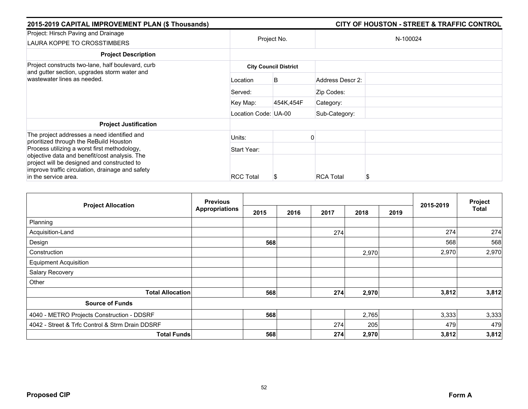| 2015-2019 CAPITAL IMPROVEMENT PLAN (\$ Thousands)                                                                                                                        |                              |             |                  | <b>CITY OF HOUSTON - STREET &amp; TRAFFIC CONTROL</b> |  |  |  |  |
|--------------------------------------------------------------------------------------------------------------------------------------------------------------------------|------------------------------|-------------|------------------|-------------------------------------------------------|--|--|--|--|
| Project: Hirsch Paving and Drainage<br>LAURA KOPPE TO CROSSTIMBERS                                                                                                       |                              | Project No. |                  | N-100024                                              |  |  |  |  |
| <b>Project Description</b>                                                                                                                                               |                              |             |                  |                                                       |  |  |  |  |
| Project constructs two-lane, half boulevard, curb<br>and gutter section, upgrades storm water and                                                                        | <b>City Council District</b> |             |                  |                                                       |  |  |  |  |
| wastewater lines as needed.                                                                                                                                              | Location                     | B           | Address Descr 2: |                                                       |  |  |  |  |
|                                                                                                                                                                          | Served:                      |             | Zip Codes:       |                                                       |  |  |  |  |
|                                                                                                                                                                          | Key Map:                     | 454K.454F   | Category:        |                                                       |  |  |  |  |
|                                                                                                                                                                          | Location Code: UA-00         |             | Sub-Category:    |                                                       |  |  |  |  |
| <b>Project Justification</b>                                                                                                                                             |                              |             |                  |                                                       |  |  |  |  |
| The project addresses a need identified and                                                                                                                              | Units:                       |             |                  |                                                       |  |  |  |  |
| prioritized through the ReBuild Houston<br>Process utilizing a worst first methodology,                                                                                  | Start Year:                  |             |                  |                                                       |  |  |  |  |
| objective data and benefit/cost analysis. The<br>project will be designed and constructed to<br>improve traffic circulation, drainage and safety<br>in the service area. | <b>RCC Total</b>             | ъ           | <b>RCA Total</b> | S                                                     |  |  |  |  |

| <b>Project Allocation</b>                       | <b>Previous</b><br><b>Appropriations</b> |      |      |      |       |      |           | Project      |
|-------------------------------------------------|------------------------------------------|------|------|------|-------|------|-----------|--------------|
|                                                 |                                          | 2015 | 2016 | 2017 | 2018  | 2019 | 2015-2019 | <b>Total</b> |
| Planning                                        |                                          |      |      |      |       |      |           |              |
| Acquisition-Land                                |                                          |      |      | 274  |       |      | 274       | 274          |
| Design                                          |                                          | 568  |      |      |       |      | 568       | 568          |
| Construction                                    |                                          |      |      |      | 2,970 |      | 2,970     | 2,970        |
| <b>Equipment Acquisition</b>                    |                                          |      |      |      |       |      |           |              |
| Salary Recovery                                 |                                          |      |      |      |       |      |           |              |
| Other                                           |                                          |      |      |      |       |      |           |              |
| <b>Total Allocation</b>                         |                                          | 568  |      | 274  | 2,970 |      | 3,812     | 3,812        |
| <b>Source of Funds</b>                          |                                          |      |      |      |       |      |           |              |
| 4040 - METRO Projects Construction - DDSRF      |                                          | 568  |      |      | 2,765 |      | 3,333     | 3,333        |
| 4042 - Street & Trfc Control & Strm Drain DDSRF |                                          |      |      | 274  | 205   |      | 479       | 479          |
| <b>Total Funds</b>                              |                                          | 568  |      | 274  | 2,970 |      | 3,812     | 3,812        |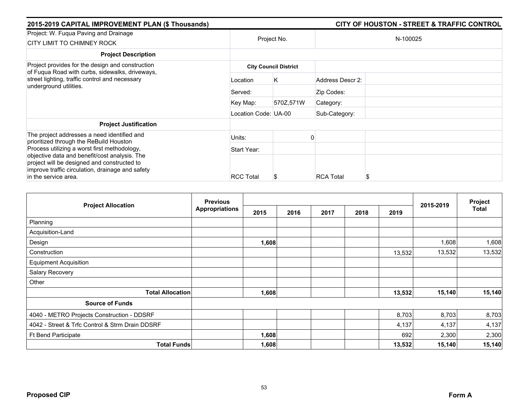| 2015-2019 CAPITAL IMPROVEMENT PLAN (\$ Thousands)                                                                                                                        |                              |             |                  | <b>CITY OF HOUSTON - STREET &amp; TRAFFIC CONTROL</b> |  |  |  |  |
|--------------------------------------------------------------------------------------------------------------------------------------------------------------------------|------------------------------|-------------|------------------|-------------------------------------------------------|--|--|--|--|
| Project: W. Fuqua Paving and Drainage<br>CITY LIMIT TO CHIMNEY ROCK                                                                                                      |                              | Project No. |                  | N-100025                                              |  |  |  |  |
| <b>Project Description</b>                                                                                                                                               |                              |             |                  |                                                       |  |  |  |  |
| Project provides for the design and construction<br>of Fuqua Road with curbs, sidewalks, driveways,                                                                      | <b>City Council District</b> |             |                  |                                                       |  |  |  |  |
| street lighting, traffic control and necessary<br>underground utilities.                                                                                                 | Location                     | Κ           | Address Descr 2: |                                                       |  |  |  |  |
|                                                                                                                                                                          | Served:                      |             | Zip Codes:       |                                                       |  |  |  |  |
|                                                                                                                                                                          | Key Map:                     | 570Z,571W   | Category:        |                                                       |  |  |  |  |
|                                                                                                                                                                          | Location Code: UA-00         |             | Sub-Category:    |                                                       |  |  |  |  |
| <b>Project Justification</b>                                                                                                                                             |                              |             |                  |                                                       |  |  |  |  |
| The project addresses a need identified and<br>prioritized through the ReBuild Houston                                                                                   | Units:                       |             |                  |                                                       |  |  |  |  |
| Process utilizing a worst first methodology,                                                                                                                             | Start Year:                  |             |                  |                                                       |  |  |  |  |
| objective data and benefit/cost analysis. The<br>project will be designed and constructed to<br>improve traffic circulation, drainage and safety<br>in the service area. | <b>RCC Total</b>             |             | <b>RCA Total</b> | S                                                     |  |  |  |  |

|                                                 | <b>Previous</b>       |       |      |      |      | Project |           |        |
|-------------------------------------------------|-----------------------|-------|------|------|------|---------|-----------|--------|
| <b>Project Allocation</b>                       | <b>Appropriations</b> | 2015  | 2016 | 2017 | 2018 | 2019    | 2015-2019 | Total  |
| Planning                                        |                       |       |      |      |      |         |           |        |
| Acquisition-Land                                |                       |       |      |      |      |         |           |        |
| Design                                          |                       | 1,608 |      |      |      |         | 1,608     | 1,608  |
| Construction                                    |                       |       |      |      |      | 13,532  | 13,532    | 13,532 |
| <b>Equipment Acquisition</b>                    |                       |       |      |      |      |         |           |        |
| Salary Recovery                                 |                       |       |      |      |      |         |           |        |
| Other                                           |                       |       |      |      |      |         |           |        |
| <b>Total Allocation</b>                         |                       | 1,608 |      |      |      | 13,532  | 15,140    | 15,140 |
| <b>Source of Funds</b>                          |                       |       |      |      |      |         |           |        |
| 4040 - METRO Projects Construction - DDSRF      |                       |       |      |      |      | 8,703   | 8,703     | 8,703  |
| 4042 - Street & Trfc Control & Strm Drain DDSRF |                       |       |      |      |      | 4,137   | 4,137     | 4,137  |
| <b>Ft Bend Participate</b>                      |                       | 1,608 |      |      |      | 692     | 2,300     | 2,300  |
| <b>Total Funds</b>                              |                       | 1,608 |      |      |      | 13,532  | 15,140    | 15,140 |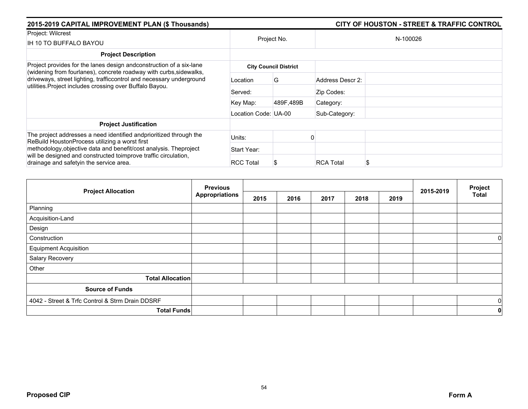| 2015-2019 CAPITAL IMPROVEMENT PLAN (\$ Thousands)                                                                                                                                |                      |                              |                  | <b>CITY OF HOUSTON - STREET &amp; TRAFFIC CONTROL</b> |
|----------------------------------------------------------------------------------------------------------------------------------------------------------------------------------|----------------------|------------------------------|------------------|-------------------------------------------------------|
| Project: Wilcrest<br>IH 10 TO BUFFALO BAYOU                                                                                                                                      | Project No.          |                              |                  | N-100026                                              |
| <b>Project Description</b>                                                                                                                                                       |                      |                              |                  |                                                       |
| Project provides for the lanes design andconstruction of a six-lane<br>(widening from fourlanes), concrete roadway with curbs, sidewalks,                                        |                      | <b>City Council District</b> |                  |                                                       |
| driveways, street lighting, trafficcontrol and necessary underground<br>utilities. Project includes crossing over Buffalo Bayou.                                                 | Location             | G                            | Address Descr 2: |                                                       |
|                                                                                                                                                                                  | Served:              |                              | Zip Codes:       |                                                       |
|                                                                                                                                                                                  | Key Map:             | 489F.489B                    | Category:        |                                                       |
|                                                                                                                                                                                  | Location Code: UA-00 |                              | Sub-Category:    |                                                       |
| <b>Project Justification</b>                                                                                                                                                     |                      |                              |                  |                                                       |
| The project addresses a need identified andprioritized through the<br>ReBuild HoustonProcess utilizing a worst first                                                             | Units:               |                              |                  |                                                       |
| methodology, objective data and benefit/cost analysis. The project<br>will be designed and constructed toimprove traffic circulation,<br>drainage and safetyin the service area. | Start Year:          |                              |                  |                                                       |
|                                                                                                                                                                                  | <b>RCC Total</b>     |                              | <b>RCA Total</b> |                                                       |

| <b>Project Allocation</b>                       | <b>Previous</b>       |      |      |      | 2015-2019 | Project |  |                |
|-------------------------------------------------|-----------------------|------|------|------|-----------|---------|--|----------------|
|                                                 | <b>Appropriations</b> | 2015 | 2016 | 2017 | 2018      | 2019    |  | <b>Total</b>   |
| Planning                                        |                       |      |      |      |           |         |  |                |
| Acquisition-Land                                |                       |      |      |      |           |         |  |                |
| Design                                          |                       |      |      |      |           |         |  |                |
| Construction                                    |                       |      |      |      |           |         |  | $\overline{0}$ |
| <b>Equipment Acquisition</b>                    |                       |      |      |      |           |         |  |                |
| Salary Recovery                                 |                       |      |      |      |           |         |  |                |
| Other                                           |                       |      |      |      |           |         |  |                |
| <b>Total Allocation</b>                         |                       |      |      |      |           |         |  |                |
| <b>Source of Funds</b>                          |                       |      |      |      |           |         |  |                |
| 4042 - Street & Trfc Control & Strm Drain DDSRF |                       |      |      |      |           |         |  | $\overline{0}$ |
| <b>Total Funds</b>                              |                       |      |      |      |           |         |  | $\mathbf 0$    |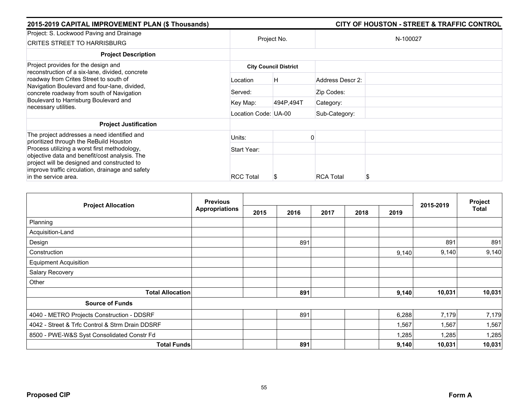| 2015-2019 CAPITAL IMPROVEMENT PLAN (\$ Thousands)                                                                                                                                                                                                                                              |                      |                              |                  | <b>CITY OF HOUSTON - STREET &amp; TRAFFIC CONTROL</b> |
|------------------------------------------------------------------------------------------------------------------------------------------------------------------------------------------------------------------------------------------------------------------------------------------------|----------------------|------------------------------|------------------|-------------------------------------------------------|
| Project: S. Lockwood Paving and Drainage<br><b>CRITES STREET TO HARRISBURG</b>                                                                                                                                                                                                                 |                      | Project No.                  |                  | N-100027                                              |
| <b>Project Description</b>                                                                                                                                                                                                                                                                     |                      |                              |                  |                                                       |
| Project provides for the design and<br>reconstruction of a six-lane, divided, concrete<br>roadway from Crites Street to south of<br>Navigation Boulevard and four-lane, divided,<br>concrete roadway from south of Navigation<br>Boulevard to Harrisburg Boulevard and<br>necessary utilities. |                      | <b>City Council District</b> |                  |                                                       |
|                                                                                                                                                                                                                                                                                                | Location             | Η                            | Address Descr 2: |                                                       |
|                                                                                                                                                                                                                                                                                                | Served:              |                              | Zip Codes:       |                                                       |
|                                                                                                                                                                                                                                                                                                | Key Map:             | 494P,494T                    | Category:        |                                                       |
|                                                                                                                                                                                                                                                                                                | Location Code: UA-00 |                              | Sub-Category:    |                                                       |
| <b>Project Justification</b>                                                                                                                                                                                                                                                                   |                      |                              |                  |                                                       |
| The project addresses a need identified and<br>prioritized through the ReBuild Houston                                                                                                                                                                                                         | Units:               |                              |                  |                                                       |
| Process utilizing a worst first methodology,                                                                                                                                                                                                                                                   | Start Year:          |                              |                  |                                                       |
| objective data and benefit/cost analysis. The<br>project will be designed and constructed to<br>improve traffic circulation, drainage and safety<br>in the service area.                                                                                                                       | <b>RCC Total</b>     | S                            | <b>RCA Total</b> |                                                       |

| <b>Project Allocation</b>                       | <b>Previous</b>       |      |      |      |      | Project |           |        |
|-------------------------------------------------|-----------------------|------|------|------|------|---------|-----------|--------|
|                                                 | <b>Appropriations</b> | 2015 | 2016 | 2017 | 2018 | 2019    | 2015-2019 | Total  |
| Planning                                        |                       |      |      |      |      |         |           |        |
| Acquisition-Land                                |                       |      |      |      |      |         |           |        |
| Design                                          |                       |      | 891  |      |      |         | 891       | 891    |
| Construction                                    |                       |      |      |      |      | 9,140   | 9,140     | 9,140  |
| <b>Equipment Acquisition</b>                    |                       |      |      |      |      |         |           |        |
| Salary Recovery                                 |                       |      |      |      |      |         |           |        |
| Other                                           |                       |      |      |      |      |         |           |        |
| <b>Total Allocation</b>                         |                       |      | 891  |      |      | 9,140   | 10,031    | 10,031 |
| <b>Source of Funds</b>                          |                       |      |      |      |      |         |           |        |
| 4040 - METRO Projects Construction - DDSRF      |                       |      | 891  |      |      | 6,288   | 7,179     | 7,179  |
| 4042 - Street & Trfc Control & Strm Drain DDSRF |                       |      |      |      |      | 1,567   | 1,567     | 1,567  |
| 8500 - PWE-W&S Syst Consolidated Constr Fd      |                       |      |      |      |      | 1,285   | 1,285     | 1,285  |
| <b>Total Funds</b>                              |                       |      | 891  |      |      | 9,140   | 10,031    | 10,031 |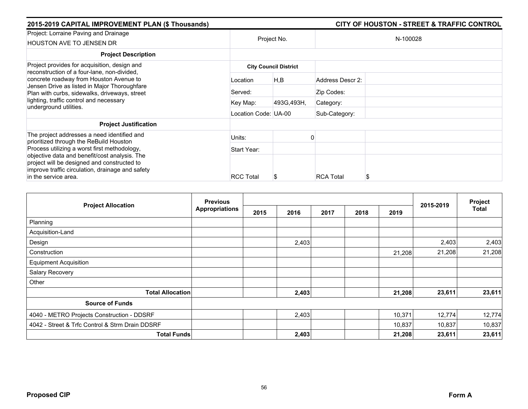| 2015-2019 CAPITAL IMPROVEMENT PLAN (\$ Thousands)                                                                                                                                                                                                                   |                      |                              |                  | <b>CITY OF HOUSTON - STREET &amp; TRAFFIC CONTROL</b> |
|---------------------------------------------------------------------------------------------------------------------------------------------------------------------------------------------------------------------------------------------------------------------|----------------------|------------------------------|------------------|-------------------------------------------------------|
| Project: Lorraine Paving and Drainage<br><b>HOUSTON AVE TO JENSEN DR</b>                                                                                                                                                                                            | Project No.          |                              |                  | N-100028                                              |
| <b>Project Description</b>                                                                                                                                                                                                                                          |                      |                              |                  |                                                       |
| Project provides for acquisition, design and                                                                                                                                                                                                                        |                      | <b>City Council District</b> |                  |                                                       |
| reconstruction of a four-lane, non-divided,<br>concrete roadway from Houston Avenue to                                                                                                                                                                              | Location             | H,B                          | Address Descr 2: |                                                       |
| Jensen Drive as listed in Major Thoroughfare<br>Plan with curbs, sidewalks, driveways, street<br>lighting, traffic control and necessary<br>underground utilities.                                                                                                  | Served:              |                              | Zip Codes:       |                                                       |
|                                                                                                                                                                                                                                                                     | Key Map:             | 493G, 493H,                  | Category:        |                                                       |
|                                                                                                                                                                                                                                                                     | Location Code: UA-00 |                              | Sub-Category:    |                                                       |
| <b>Project Justification</b>                                                                                                                                                                                                                                        |                      |                              |                  |                                                       |
| The project addresses a need identified and                                                                                                                                                                                                                         | Units:               |                              |                  |                                                       |
| prioritized through the ReBuild Houston<br>Process utilizing a worst first methodology,<br>objective data and benefit/cost analysis. The<br>project will be designed and constructed to<br>improve traffic circulation, drainage and safety<br>in the service area. | Start Year:          |                              |                  |                                                       |
|                                                                                                                                                                                                                                                                     | <b>RCC Total</b>     | Ъ                            | <b>RCA Total</b> |                                                       |

| <b>Project Allocation</b>                       | <b>Previous</b>       |      |       |      | 2015-2019 | Project |        |        |
|-------------------------------------------------|-----------------------|------|-------|------|-----------|---------|--------|--------|
|                                                 | <b>Appropriations</b> | 2015 | 2016  | 2017 | 2018      | 2019    |        | Total  |
| Planning                                        |                       |      |       |      |           |         |        |        |
| Acquisition-Land                                |                       |      |       |      |           |         |        |        |
| Design                                          |                       |      | 2,403 |      |           |         | 2,403  | 2,403  |
| Construction                                    |                       |      |       |      |           | 21,208  | 21,208 | 21,208 |
| <b>Equipment Acquisition</b>                    |                       |      |       |      |           |         |        |        |
| Salary Recovery                                 |                       |      |       |      |           |         |        |        |
| Other                                           |                       |      |       |      |           |         |        |        |
| <b>Total Allocation</b>                         |                       |      | 2,403 |      |           | 21,208  | 23,611 | 23,611 |
| <b>Source of Funds</b>                          |                       |      |       |      |           |         |        |        |
| 4040 - METRO Projects Construction - DDSRF      |                       |      | 2,403 |      |           | 10,371  | 12,774 | 12,774 |
| 4042 - Street & Trfc Control & Strm Drain DDSRF |                       |      |       |      |           | 10,837  | 10,837 | 10,837 |
| <b>Total Funds</b>                              |                       |      | 2,403 |      |           | 21,208  | 23,611 | 23,611 |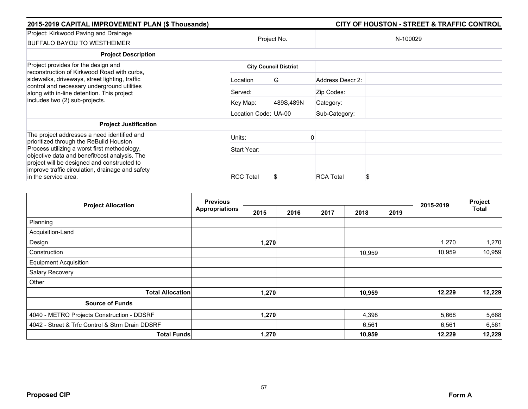| 2015-2019 CAPITAL IMPROVEMENT PLAN (\$ Thousands)                                                                                                                                                                                                                   |                      |                              |                  | <b>CITY OF HOUSTON - STREET &amp; TRAFFIC CONTROL</b> |
|---------------------------------------------------------------------------------------------------------------------------------------------------------------------------------------------------------------------------------------------------------------------|----------------------|------------------------------|------------------|-------------------------------------------------------|
| Project: Kirkwood Paving and Drainage<br><b>BUFFALO BAYOU TO WESTHEIMER</b>                                                                                                                                                                                         | Project No.          |                              |                  | N-100029                                              |
| <b>Project Description</b>                                                                                                                                                                                                                                          |                      |                              |                  |                                                       |
| Project provides for the design and<br>reconstruction of Kirkwood Road with curbs.                                                                                                                                                                                  |                      | <b>City Council District</b> |                  |                                                       |
| sidewalks, driveways, street lighting, traffic<br>control and necessary underground utilities<br>along with in-line detention. This project<br>includes two (2) sub-projects.                                                                                       | Location             | G                            | Address Descr 2: |                                                       |
|                                                                                                                                                                                                                                                                     | Served:              |                              | Zip Codes:       |                                                       |
|                                                                                                                                                                                                                                                                     | Key Map:             | 489S,489N                    | Category:        |                                                       |
|                                                                                                                                                                                                                                                                     | Location Code: UA-00 |                              | Sub-Category:    |                                                       |
| <b>Project Justification</b>                                                                                                                                                                                                                                        |                      |                              |                  |                                                       |
| The project addresses a need identified and                                                                                                                                                                                                                         | Units:               |                              |                  |                                                       |
| prioritized through the ReBuild Houston<br>Process utilizing a worst first methodology,<br>objective data and benefit/cost analysis. The<br>project will be designed and constructed to<br>improve traffic circulation, drainage and safety<br>in the service area. | Start Year:          |                              |                  |                                                       |
|                                                                                                                                                                                                                                                                     | <b>RCC Total</b>     | Ъ                            | <b>RCA Total</b> |                                                       |

| <b>Project Allocation</b>                       | <b>Previous</b>       |       |      |      |        |      |           | Project      |
|-------------------------------------------------|-----------------------|-------|------|------|--------|------|-----------|--------------|
|                                                 | <b>Appropriations</b> | 2015  | 2016 | 2017 | 2018   | 2019 | 2015-2019 | <b>Total</b> |
| Planning                                        |                       |       |      |      |        |      |           |              |
| Acquisition-Land                                |                       |       |      |      |        |      |           |              |
| Design                                          |                       | 1,270 |      |      |        |      | 1,270     | 1,270        |
| Construction                                    |                       |       |      |      | 10,959 |      | 10,959    | 10,959       |
| <b>Equipment Acquisition</b>                    |                       |       |      |      |        |      |           |              |
| Salary Recovery                                 |                       |       |      |      |        |      |           |              |
| Other                                           |                       |       |      |      |        |      |           |              |
| <b>Total Allocation</b>                         |                       | 1,270 |      |      | 10,959 |      | 12,229    | 12,229       |
| <b>Source of Funds</b>                          |                       |       |      |      |        |      |           |              |
| 4040 - METRO Projects Construction - DDSRF      |                       | 1,270 |      |      | 4,398  |      | 5,668     | 5,668        |
| 4042 - Street & Trfc Control & Strm Drain DDSRF |                       |       |      |      | 6,561  |      | 6,561     | 6,561        |
| <b>Total Funds</b>                              |                       | 1,270 |      |      | 10,959 |      | 12,229    | 12,229       |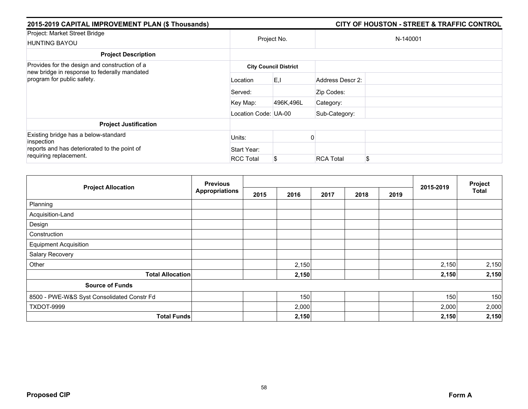| 2015-2019 CAPITAL IMPROVEMENT PLAN (\$ Thousands)                                                  |                              |             |                  | <b>CITY OF HOUSTON - STREET &amp; TRAFFIC CONTROL</b> |  |  |  |
|----------------------------------------------------------------------------------------------------|------------------------------|-------------|------------------|-------------------------------------------------------|--|--|--|
| Project: Market Street Bridge<br><b>HUNTING BAYOU</b>                                              |                              | Project No. |                  | N-140001                                              |  |  |  |
| <b>Project Description</b>                                                                         |                              |             |                  |                                                       |  |  |  |
| Provides for the design and construction of a<br>new bridge in response to federally mandated      | <b>City Council District</b> |             |                  |                                                       |  |  |  |
| program for public safety.                                                                         | Location                     | E, I        | Address Descr 2: |                                                       |  |  |  |
|                                                                                                    | Served:                      |             | Zip Codes:       |                                                       |  |  |  |
|                                                                                                    | Key Map:                     | 496K,496L   | Category:        |                                                       |  |  |  |
|                                                                                                    | Location Code: UA-00         |             | Sub-Category:    |                                                       |  |  |  |
| <b>Project Justification</b>                                                                       |                              |             |                  |                                                       |  |  |  |
| Existing bridge has a below-standard<br>inspection<br>reports and has deteriorated to the point of | Units:                       |             |                  |                                                       |  |  |  |
|                                                                                                    | Start Year:                  |             |                  |                                                       |  |  |  |
| requiring replacement.                                                                             | <b>RCC Total</b>             | S           | <b>RCA Total</b> | \$                                                    |  |  |  |

|                                            | <b>Previous</b> |      |       |      |      |      | 2015-2019 | Project      |
|--------------------------------------------|-----------------|------|-------|------|------|------|-----------|--------------|
| <b>Project Allocation</b>                  | Appropriations  | 2015 | 2016  | 2017 | 2018 | 2019 |           | <b>Total</b> |
| Planning                                   |                 |      |       |      |      |      |           |              |
| Acquisition-Land                           |                 |      |       |      |      |      |           |              |
| Design                                     |                 |      |       |      |      |      |           |              |
| Construction                               |                 |      |       |      |      |      |           |              |
| <b>Equipment Acquisition</b>               |                 |      |       |      |      |      |           |              |
| Salary Recovery                            |                 |      |       |      |      |      |           |              |
| Other                                      |                 |      | 2,150 |      |      |      | 2,150     | 2,150        |
| <b>Total Allocation</b>                    |                 |      | 2,150 |      |      |      | 2,150     | 2,150        |
| <b>Source of Funds</b>                     |                 |      |       |      |      |      |           |              |
| 8500 - PWE-W&S Syst Consolidated Constr Fd |                 |      | 150   |      |      |      | 150       | 150          |
| TXDOT-9999                                 |                 |      | 2,000 |      |      |      | 2,000     | 2,000        |
| <b>Total Funds</b>                         |                 |      | 2,150 |      |      |      | 2,150     | 2,150        |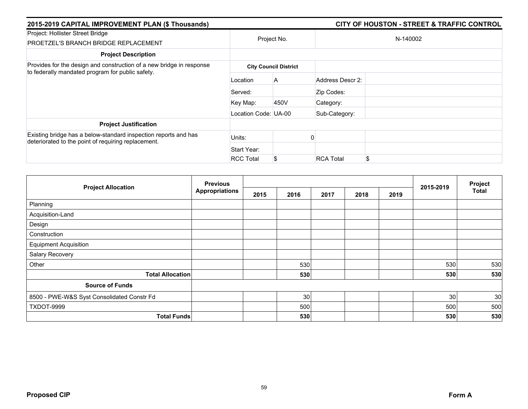| 2015-2019 CAPITAL IMPROVEMENT PLAN (\$ Thousands)                                                                      |                      |                              |                  |          |  |
|------------------------------------------------------------------------------------------------------------------------|----------------------|------------------------------|------------------|----------|--|
| Project: Hollister Street Bridge<br><b>PROETZEL'S BRANCH BRIDGE REPLACEMENT</b>                                        |                      | Project No.                  |                  | N-140002 |  |
| <b>Project Description</b>                                                                                             |                      |                              |                  |          |  |
| Provides for the design and construction of a new bridge in response                                                   |                      | <b>City Council District</b> |                  |          |  |
| to federally mandated program for public safety.                                                                       | Location             | A                            | Address Descr 2: |          |  |
|                                                                                                                        | Served:              |                              | Zip Codes:       |          |  |
|                                                                                                                        | Key Map:             | 450V                         | Category:        |          |  |
|                                                                                                                        | Location Code: UA-00 |                              | Sub-Category:    |          |  |
| <b>Project Justification</b>                                                                                           |                      |                              |                  |          |  |
| Existing bridge has a below-standard inspection reports and has<br>deteriorated to the point of requiring replacement. | Units:               |                              |                  |          |  |
|                                                                                                                        | Start Year:          |                              |                  |          |  |
|                                                                                                                        | <b>RCC Total</b>     | S.                           | <b>RCA Total</b> | \$       |  |

| <b>Project Allocation</b>                  | <b>Previous</b><br><b>Appropriations</b> |      |      |      |      | Project |           |              |
|--------------------------------------------|------------------------------------------|------|------|------|------|---------|-----------|--------------|
|                                            |                                          | 2015 | 2016 | 2017 | 2018 | 2019    | 2015-2019 | <b>Total</b> |
| Planning                                   |                                          |      |      |      |      |         |           |              |
| Acquisition-Land                           |                                          |      |      |      |      |         |           |              |
| Design                                     |                                          |      |      |      |      |         |           |              |
| Construction                               |                                          |      |      |      |      |         |           |              |
| <b>Equipment Acquisition</b>               |                                          |      |      |      |      |         |           |              |
| Salary Recovery                            |                                          |      |      |      |      |         |           |              |
| Other                                      |                                          |      | 530  |      |      |         | 530       | 530          |
| <b>Total Allocation</b>                    |                                          |      | 530  |      |      |         | 530       | 530          |
| <b>Source of Funds</b>                     |                                          |      |      |      |      |         |           |              |
| 8500 - PWE-W&S Syst Consolidated Constr Fd |                                          |      | 30   |      |      |         | 30        | 30           |
| TXDOT-9999                                 |                                          |      | 500  |      |      |         | 500       | 500          |
| <b>Total Funds</b>                         |                                          |      | 530  |      |      |         | 530       | 530          |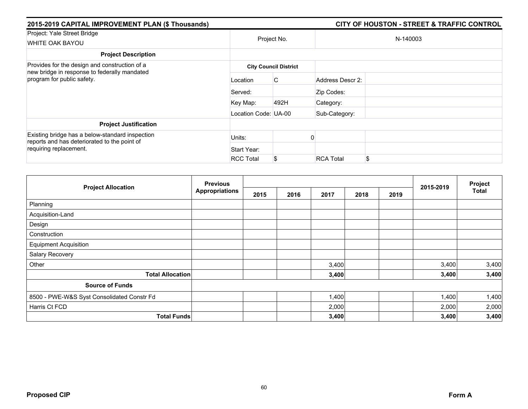| 2015-2019 CAPITAL IMPROVEMENT PLAN (\$ Thousands)                                               |                      |                              |                  | <b>CITY OF HOUSTON - STREET &amp; TRAFFIC CONTROL</b> |  |  |  |
|-------------------------------------------------------------------------------------------------|----------------------|------------------------------|------------------|-------------------------------------------------------|--|--|--|
| Project: Yale Street Bridge<br>WHITE OAK BAYOU                                                  | Project No.          |                              | N-140003         |                                                       |  |  |  |
| <b>Project Description</b>                                                                      |                      |                              |                  |                                                       |  |  |  |
| Provides for the design and construction of a                                                   |                      | <b>City Council District</b> |                  |                                                       |  |  |  |
| new bridge in response to federally mandated<br>program for public safety.                      | Location             | C                            | Address Descr 2: |                                                       |  |  |  |
|                                                                                                 | Served:              |                              | Zip Codes:       |                                                       |  |  |  |
|                                                                                                 | Key Map:             | 492H                         | Category:        |                                                       |  |  |  |
|                                                                                                 | Location Code: UA-00 |                              | Sub-Category:    |                                                       |  |  |  |
| <b>Project Justification</b>                                                                    |                      |                              |                  |                                                       |  |  |  |
| Existing bridge has a below-standard inspection<br>reports and has deteriorated to the point of | Units:               |                              |                  |                                                       |  |  |  |
| requiring replacement.                                                                          | Start Year:          |                              |                  |                                                       |  |  |  |
|                                                                                                 | <b>RCC Total</b>     | S                            | <b>RCA Total</b> | \$                                                    |  |  |  |

|                                            | <b>Previous</b><br><b>Appropriations</b> |      |      |       |      | Project |           |              |
|--------------------------------------------|------------------------------------------|------|------|-------|------|---------|-----------|--------------|
| <b>Project Allocation</b>                  |                                          | 2015 | 2016 | 2017  | 2018 | 2019    | 2015-2019 | <b>Total</b> |
| Planning                                   |                                          |      |      |       |      |         |           |              |
| Acquisition-Land                           |                                          |      |      |       |      |         |           |              |
| Design                                     |                                          |      |      |       |      |         |           |              |
| Construction                               |                                          |      |      |       |      |         |           |              |
| <b>Equipment Acquisition</b>               |                                          |      |      |       |      |         |           |              |
| Salary Recovery                            |                                          |      |      |       |      |         |           |              |
| Other                                      |                                          |      |      | 3,400 |      |         | 3,400     | 3,400        |
| <b>Total Allocation</b>                    |                                          |      |      | 3,400 |      |         | 3,400     | 3,400        |
| <b>Source of Funds</b>                     |                                          |      |      |       |      |         |           |              |
| 8500 - PWE-W&S Syst Consolidated Constr Fd |                                          |      |      | 1,400 |      |         | 1,400     | 1,400        |
| Harris Ct FCD                              |                                          |      |      | 2,000 |      |         | 2,000     | 2,000        |
| <b>Total Funds</b>                         |                                          |      |      | 3,400 |      |         | 3,400     | 3,400        |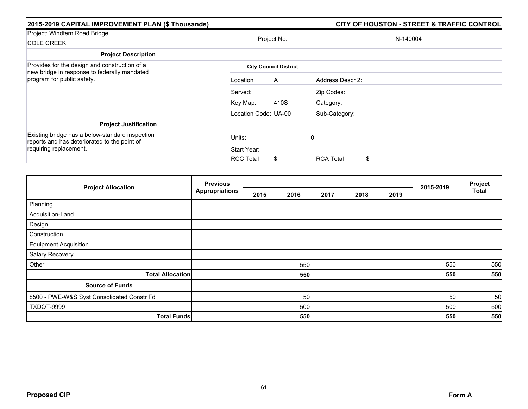| 2015-2019 CAPITAL IMPROVEMENT PLAN (\$ Thousands)                                               |                      |                              |                  | <b>CITY OF HOUSTON - STREET &amp; TRAFFIC CONTROL</b> |
|-------------------------------------------------------------------------------------------------|----------------------|------------------------------|------------------|-------------------------------------------------------|
| Project: Windfern Road Bridge                                                                   |                      |                              |                  |                                                       |
| <b>COLE CREEK</b>                                                                               |                      | Project No.                  |                  | N-140004                                              |
| <b>Project Description</b>                                                                      |                      |                              |                  |                                                       |
| Provides for the design and construction of a<br>new bridge in response to federally mandated   |                      | <b>City Council District</b> |                  |                                                       |
| program for public safety.                                                                      | Location             | A                            | Address Descr 2: |                                                       |
|                                                                                                 | Served:              |                              | Zip Codes:       |                                                       |
|                                                                                                 | Key Map:             | 410S                         | Category:        |                                                       |
|                                                                                                 | Location Code: UA-00 |                              | Sub-Category:    |                                                       |
| <b>Project Justification</b>                                                                    |                      |                              |                  |                                                       |
| Existing bridge has a below-standard inspection<br>reports and has deteriorated to the point of | Units:               |                              |                  |                                                       |
| requiring replacement.                                                                          | Start Year:          |                              |                  |                                                       |
|                                                                                                 | <b>RCC Total</b>     |                              | <b>RCA Total</b> | \$                                                    |

| <b>Project Allocation</b>                  | <b>Previous</b><br><b>Appropriations</b> |      |      |      |      | Project |           |              |
|--------------------------------------------|------------------------------------------|------|------|------|------|---------|-----------|--------------|
|                                            |                                          | 2015 | 2016 | 2017 | 2018 | 2019    | 2015-2019 | <b>Total</b> |
| Planning                                   |                                          |      |      |      |      |         |           |              |
| Acquisition-Land                           |                                          |      |      |      |      |         |           |              |
| Design                                     |                                          |      |      |      |      |         |           |              |
| Construction                               |                                          |      |      |      |      |         |           |              |
| <b>Equipment Acquisition</b>               |                                          |      |      |      |      |         |           |              |
| Salary Recovery                            |                                          |      |      |      |      |         |           |              |
| Other                                      |                                          |      | 550  |      |      |         | 550       | 550          |
| <b>Total Allocation</b>                    |                                          |      | 550  |      |      |         | 550       | 550          |
| <b>Source of Funds</b>                     |                                          |      |      |      |      |         |           |              |
| 8500 - PWE-W&S Syst Consolidated Constr Fd |                                          |      | 50   |      |      |         | 50        | 50           |
| TXDOT-9999                                 |                                          |      | 500  |      |      |         | 500       | 500          |
| <b>Total Funds</b>                         |                                          |      | 550  |      |      |         | 550       | 550          |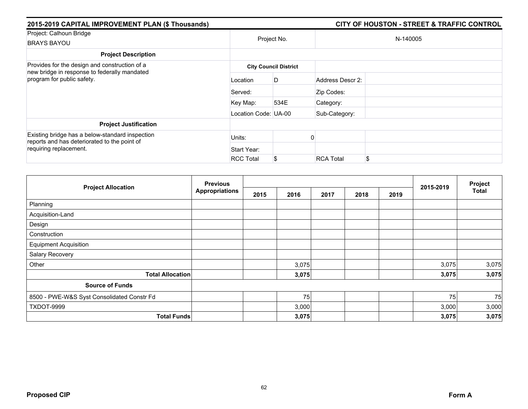| 2015-2019 CAPITAL IMPROVEMENT PLAN (\$ Thousands)                                               |                      |                              |                  | <b>CITY OF HOUSTON - STREET &amp; TRAFFIC CONTROL</b> |  |  |  |
|-------------------------------------------------------------------------------------------------|----------------------|------------------------------|------------------|-------------------------------------------------------|--|--|--|
| Project: Calhoun Bridge                                                                         |                      | Project No.                  |                  |                                                       |  |  |  |
| <b>BRAYS BAYOU</b>                                                                              |                      |                              | N-140005         |                                                       |  |  |  |
| <b>Project Description</b>                                                                      |                      |                              |                  |                                                       |  |  |  |
| Provides for the design and construction of a<br>new bridge in response to federally mandated   |                      | <b>City Council District</b> |                  |                                                       |  |  |  |
| program for public safety.                                                                      | Location             | D                            | Address Descr 2: |                                                       |  |  |  |
|                                                                                                 | Served:              |                              | Zip Codes:       |                                                       |  |  |  |
|                                                                                                 | Key Map:             | 534E                         | Category:        |                                                       |  |  |  |
|                                                                                                 | Location Code: UA-00 |                              | Sub-Category:    |                                                       |  |  |  |
| <b>Project Justification</b>                                                                    |                      |                              |                  |                                                       |  |  |  |
| Existing bridge has a below-standard inspection<br>reports and has deteriorated to the point of | Units:               |                              |                  |                                                       |  |  |  |
| requiring replacement.                                                                          | Start Year:          |                              |                  |                                                       |  |  |  |
|                                                                                                 | <b>RCC Total</b>     | S                            | <b>RCA Total</b> | \$                                                    |  |  |  |

|                                            | <b>Previous</b><br><b>Appropriations</b> |      |       |      | Project |      |           |              |
|--------------------------------------------|------------------------------------------|------|-------|------|---------|------|-----------|--------------|
| <b>Project Allocation</b>                  |                                          | 2015 | 2016  | 2017 | 2018    | 2019 | 2015-2019 | <b>Total</b> |
| Planning                                   |                                          |      |       |      |         |      |           |              |
| Acquisition-Land                           |                                          |      |       |      |         |      |           |              |
| Design                                     |                                          |      |       |      |         |      |           |              |
| Construction                               |                                          |      |       |      |         |      |           |              |
| <b>Equipment Acquisition</b>               |                                          |      |       |      |         |      |           |              |
| Salary Recovery                            |                                          |      |       |      |         |      |           |              |
| Other                                      |                                          |      | 3,075 |      |         |      | 3,075     | 3,075        |
| <b>Total Allocation</b>                    |                                          |      | 3,075 |      |         |      | 3,075     | 3,075        |
| <b>Source of Funds</b>                     |                                          |      |       |      |         |      |           |              |
| 8500 - PWE-W&S Syst Consolidated Constr Fd |                                          |      | 75    |      |         |      | 75        | 75           |
| TXDOT-9999                                 |                                          |      | 3,000 |      |         |      | 3,000     | 3,000        |
| <b>Total Funds</b>                         |                                          |      | 3,075 |      |         |      | 3,075     | 3,075        |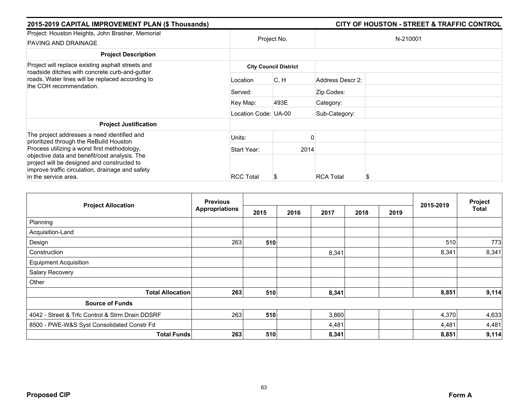| 2015-2019 CAPITAL IMPROVEMENT PLAN (\$ Thousands)                                                                                                                                                                        |                      |                              |                  | <b>CITY OF HOUSTON - STREET &amp; TRAFFIC CONTROL</b> |
|--------------------------------------------------------------------------------------------------------------------------------------------------------------------------------------------------------------------------|----------------------|------------------------------|------------------|-------------------------------------------------------|
| Project: Houston Heights, John Brasher, Memorial<br>PAVING AND DRAINAGE                                                                                                                                                  | Project No.          |                              |                  | N-210001                                              |
| <b>Project Description</b>                                                                                                                                                                                               |                      |                              |                  |                                                       |
| Project will replace existing asphalt streets and<br>roadside ditches with concrete curb-and-gutter<br>roads. Water lines will be replaced according to<br>the COH recommendation.                                       |                      | <b>City Council District</b> |                  |                                                       |
|                                                                                                                                                                                                                          | Location             | IC, H                        | Address Descr 2: |                                                       |
|                                                                                                                                                                                                                          | Served:              |                              | Zip Codes:       |                                                       |
|                                                                                                                                                                                                                          | Key Map:             | 493E                         | Category:        |                                                       |
|                                                                                                                                                                                                                          | Location Code: UA-00 |                              | Sub-Category:    |                                                       |
| <b>Project Justification</b>                                                                                                                                                                                             |                      |                              |                  |                                                       |
| The project addresses a need identified and<br>prioritized through the ReBuild Houston                                                                                                                                   | Units:               |                              |                  |                                                       |
| Process utilizing a worst first methodology,<br>objective data and benefit/cost analysis. The<br>project will be designed and constructed to<br>improve traffic circulation, drainage and safety<br>in the service area. | Start Year:          | 2014                         |                  |                                                       |
|                                                                                                                                                                                                                          | <b>RCC Total</b>     |                              | <b>RCA Total</b> | S                                                     |
|                                                                                                                                                                                                                          |                      | ъ                            |                  |                                                       |

|                                                 | <b>Previous</b> |      |      |       |      |      |           | Project |
|-------------------------------------------------|-----------------|------|------|-------|------|------|-----------|---------|
| <b>Project Allocation</b>                       | Appropriations  | 2015 | 2016 | 2017  | 2018 | 2019 | 2015-2019 | Total   |
| Planning                                        |                 |      |      |       |      |      |           |         |
| Acquisition-Land                                |                 |      |      |       |      |      |           |         |
| Design                                          | 263             | 510  |      |       |      |      | 510       | 773     |
| Construction                                    |                 |      |      | 8,341 |      |      | 8,341     | 8,341   |
| <b>Equipment Acquisition</b>                    |                 |      |      |       |      |      |           |         |
| Salary Recovery                                 |                 |      |      |       |      |      |           |         |
| Other                                           |                 |      |      |       |      |      |           |         |
| <b>Total Allocation</b>                         | 263             | 510  |      | 8,341 |      |      | 8,851     | 9,114   |
| <b>Source of Funds</b>                          |                 |      |      |       |      |      |           |         |
| 4042 - Street & Trfc Control & Strm Drain DDSRF | 263             | 510  |      | 3,860 |      |      | 4,370     | 4,633   |
| 8500 - PWE-W&S Syst Consolidated Constr Fd      |                 |      |      | 4,481 |      |      | 4,481     | 4,481   |
| <b>Total Funds</b>                              | 263             | 510  |      | 8,341 |      |      | 8,851     | 9,114   |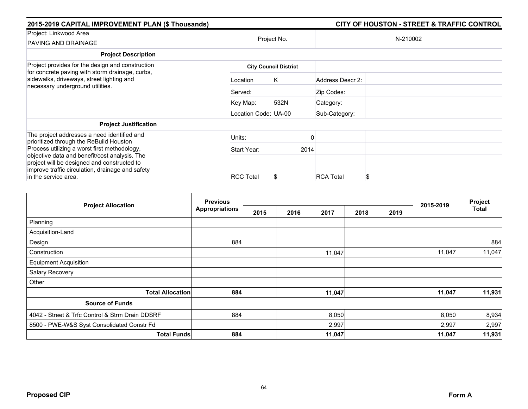| 2015-2019 CAPITAL IMPROVEMENT PLAN (\$ Thousands)                                                                                                |                      | <b>CITY OF HOUSTON - STREET &amp; TRAFFIC CONTROL</b> |                  |          |  |
|--------------------------------------------------------------------------------------------------------------------------------------------------|----------------------|-------------------------------------------------------|------------------|----------|--|
| Project: Linkwood Area<br>PAVING AND DRAINAGE                                                                                                    |                      | Project No.                                           |                  | N-210002 |  |
| <b>Project Description</b>                                                                                                                       |                      |                                                       |                  |          |  |
| Project provides for the design and construction<br>for concrete paving with storm drainage, curbs,                                              |                      | <b>City Council District</b>                          |                  |          |  |
| sidewalks, driveways, street lighting and<br>necessary underground utilities.                                                                    | Location             | Κ                                                     | Address Descr 2: |          |  |
|                                                                                                                                                  | Served:              |                                                       | Zip Codes:       |          |  |
|                                                                                                                                                  | Key Map:             | 532N                                                  | Category:        |          |  |
|                                                                                                                                                  | Location Code: UA-00 |                                                       | Sub-Category:    |          |  |
| <b>Project Justification</b>                                                                                                                     |                      |                                                       |                  |          |  |
| The project addresses a need identified and<br>prioritized through the ReBuild Houston                                                           | Units:               |                                                       |                  |          |  |
| Process utilizing a worst first methodology,                                                                                                     | Start Year:          |                                                       | 2014             |          |  |
| objective data and benefit/cost analysis. The<br>project will be designed and constructed to<br>improve traffic circulation, drainage and safety |                      |                                                       |                  |          |  |
| in the service area.                                                                                                                             | <b>RCC Total</b>     |                                                       | <b>RCA Total</b> | S        |  |

|                                                 | <b>Previous</b>       |      |      |        |      |      |           | Project      |
|-------------------------------------------------|-----------------------|------|------|--------|------|------|-----------|--------------|
| <b>Project Allocation</b>                       | <b>Appropriations</b> | 2015 | 2016 | 2017   | 2018 | 2019 | 2015-2019 | <b>Total</b> |
| Planning                                        |                       |      |      |        |      |      |           |              |
| Acquisition-Land                                |                       |      |      |        |      |      |           |              |
| Design                                          | 884                   |      |      |        |      |      |           | 884          |
| Construction                                    |                       |      |      | 11,047 |      |      | 11,047    | 11,047       |
| <b>Equipment Acquisition</b>                    |                       |      |      |        |      |      |           |              |
| Salary Recovery                                 |                       |      |      |        |      |      |           |              |
| Other                                           |                       |      |      |        |      |      |           |              |
| <b>Total Allocation</b>                         | 884                   |      |      | 11,047 |      |      | 11,047    | 11,931       |
| <b>Source of Funds</b>                          |                       |      |      |        |      |      |           |              |
| 4042 - Street & Trfc Control & Strm Drain DDSRF | 884                   |      |      | 8,050  |      |      | 8,050     | 8,934        |
| 8500 - PWE-W&S Syst Consolidated Constr Fd      |                       |      |      | 2,997  |      |      | 2,997     | 2,997        |
| <b>Total Funds</b>                              | 884                   |      |      | 11,047 |      |      | 11,047    | 11,931       |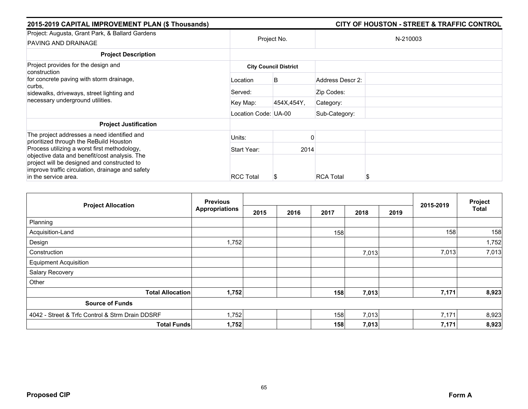| 2015-2019 CAPITAL IMPROVEMENT PLAN (\$ Thousands)                                                                                                |                      |                              |                  | <b>CITY OF HOUSTON - STREET &amp; TRAFFIC CONTROL</b> |  |  |
|--------------------------------------------------------------------------------------------------------------------------------------------------|----------------------|------------------------------|------------------|-------------------------------------------------------|--|--|
| Project: Augusta, Grant Park, & Ballard Gardens<br>PAVING AND DRAINAGE                                                                           | Project No.          |                              |                  | N-210003                                              |  |  |
| <b>Project Description</b>                                                                                                                       |                      |                              |                  |                                                       |  |  |
| Project provides for the design and<br>construction                                                                                              |                      | <b>City Council District</b> |                  |                                                       |  |  |
| for concrete paving with storm drainage,<br>curbs,<br>sidewalks, driveways, street lighting and<br>necessary underground utilities.              | Location             | B                            | Address Descr 2: |                                                       |  |  |
|                                                                                                                                                  | Served:              |                              | Zip Codes:       |                                                       |  |  |
|                                                                                                                                                  | Key Map:             | 454X,454Y,                   | Category:        |                                                       |  |  |
|                                                                                                                                                  | Location Code: UA-00 |                              | Sub-Category:    |                                                       |  |  |
| <b>Project Justification</b>                                                                                                                     |                      |                              |                  |                                                       |  |  |
| The project addresses a need identified and<br>prioritized through the ReBuild Houston                                                           | Units:               |                              |                  |                                                       |  |  |
| Process utilizing a worst first methodology,                                                                                                     | Start Year:          | 2014                         |                  |                                                       |  |  |
| objective data and benefit/cost analysis. The<br>project will be designed and constructed to<br>improve traffic circulation, drainage and safety |                      |                              |                  |                                                       |  |  |
| in the service area.                                                                                                                             | <b>RCC Total</b>     | S                            | <b>RCA Total</b> |                                                       |  |  |

|                                                 | <b>Previous</b>       |      |      |      | 2015-2019 | Project |       |              |
|-------------------------------------------------|-----------------------|------|------|------|-----------|---------|-------|--------------|
| <b>Project Allocation</b>                       | <b>Appropriations</b> | 2015 | 2016 | 2017 | 2018      | 2019    |       | <b>Total</b> |
| Planning                                        |                       |      |      |      |           |         |       |              |
| Acquisition-Land                                |                       |      |      | 158  |           |         | 158   | 158          |
| Design                                          | 1,752                 |      |      |      |           |         |       | 1,752        |
| Construction                                    |                       |      |      |      | 7,013     |         | 7,013 | 7,013        |
| <b>Equipment Acquisition</b>                    |                       |      |      |      |           |         |       |              |
| Salary Recovery                                 |                       |      |      |      |           |         |       |              |
| Other                                           |                       |      |      |      |           |         |       |              |
| <b>Total Allocation</b>                         | 1,752                 |      |      | 158  | 7,013     |         | 7,171 | 8,923        |
| <b>Source of Funds</b>                          |                       |      |      |      |           |         |       |              |
| 4042 - Street & Trfc Control & Strm Drain DDSRF | 1,752                 |      |      | 158  | 7,013     |         | 7,171 | 8,923        |
| <b>Total Funds</b>                              | 1,752                 |      |      | 158  | 7,013     |         | 7,171 | 8,923        |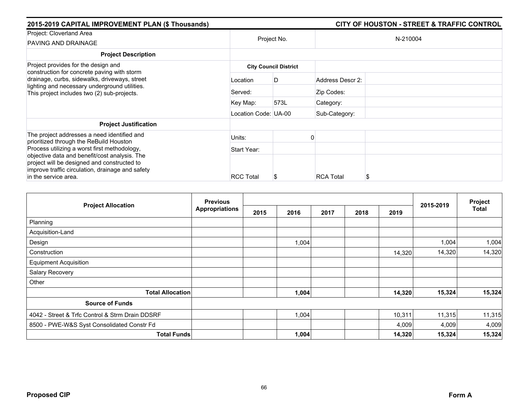| 2015-2019 CAPITAL IMPROVEMENT PLAN (\$ Thousands)                                                                                                                                            |                              |             |                  | <b>CITY OF HOUSTON - STREET &amp; TRAFFIC CONTROL</b> |  |  |  |  |
|----------------------------------------------------------------------------------------------------------------------------------------------------------------------------------------------|------------------------------|-------------|------------------|-------------------------------------------------------|--|--|--|--|
| Project: Cloverland Area<br>PAVING AND DRAINAGE                                                                                                                                              |                              | Project No. |                  | N-210004                                              |  |  |  |  |
| <b>Project Description</b>                                                                                                                                                                   |                              |             |                  |                                                       |  |  |  |  |
| Project provides for the design and                                                                                                                                                          | <b>City Council District</b> |             |                  |                                                       |  |  |  |  |
| construction for concrete paving with storm<br>drainage, curbs, sidewalks, driveways, street<br>lighting and necessary underground utilities.<br>This project includes two (2) sub-projects. | Location                     | D           | Address Descr 2: |                                                       |  |  |  |  |
|                                                                                                                                                                                              | Served:                      |             | Zip Codes:       |                                                       |  |  |  |  |
|                                                                                                                                                                                              | Key Map:                     | 573L        | Category:        |                                                       |  |  |  |  |
|                                                                                                                                                                                              | Location Code: UA-00         |             | Sub-Category:    |                                                       |  |  |  |  |
| <b>Project Justification</b>                                                                                                                                                                 |                              |             |                  |                                                       |  |  |  |  |
| The project addresses a need identified and<br>prioritized through the ReBuild Houston                                                                                                       | Units:                       |             |                  |                                                       |  |  |  |  |
| Process utilizing a worst first methodology,                                                                                                                                                 | Start Year:                  |             |                  |                                                       |  |  |  |  |
| objective data and benefit/cost analysis. The<br>project will be designed and constructed to<br>improve traffic circulation, drainage and safety                                             |                              |             |                  |                                                       |  |  |  |  |
| in the service area.                                                                                                                                                                         | <b>RCC Total</b>             |             | <b>RCA Total</b> | S                                                     |  |  |  |  |

|                                                 | <b>Previous</b> |      |       |      |      | 2015-2019 | Project |              |
|-------------------------------------------------|-----------------|------|-------|------|------|-----------|---------|--------------|
| <b>Project Allocation</b>                       | Appropriations  | 2015 | 2016  | 2017 | 2018 | 2019      |         | <b>Total</b> |
| Planning                                        |                 |      |       |      |      |           |         |              |
| Acquisition-Land                                |                 |      |       |      |      |           |         |              |
| Design                                          |                 |      | 1,004 |      |      |           | 1,004   | 1,004        |
| Construction                                    |                 |      |       |      |      | 14,320    | 14,320  | 14,320       |
| <b>Equipment Acquisition</b>                    |                 |      |       |      |      |           |         |              |
| Salary Recovery                                 |                 |      |       |      |      |           |         |              |
| Other                                           |                 |      |       |      |      |           |         |              |
| <b>Total Allocation</b>                         |                 |      | 1,004 |      |      | 14,320    | 15,324  | 15,324       |
| <b>Source of Funds</b>                          |                 |      |       |      |      |           |         |              |
| 4042 - Street & Trfc Control & Strm Drain DDSRF |                 |      | 1,004 |      |      | 10,311    | 11,315  | 11,315       |
| 8500 - PWE-W&S Syst Consolidated Constr Fd      |                 |      |       |      |      | 4,009     | 4,009   | 4,009        |
| <b>Total Funds</b>                              |                 |      | 1,004 |      |      | 14,320    | 15,324  | 15,324       |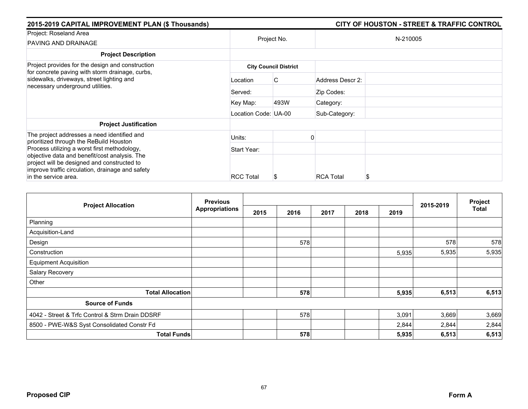| 2015-2019 CAPITAL IMPROVEMENT PLAN (\$ Thousands)                                                                                                |                              | <b>CITY OF HOUSTON - STREET &amp; TRAFFIC CONTROL</b> |                  |          |  |  |  |  |
|--------------------------------------------------------------------------------------------------------------------------------------------------|------------------------------|-------------------------------------------------------|------------------|----------|--|--|--|--|
| Project: Roseland Area<br>PAVING AND DRAINAGE                                                                                                    |                              | Project No.                                           |                  | N-210005 |  |  |  |  |
| <b>Project Description</b>                                                                                                                       |                              |                                                       |                  |          |  |  |  |  |
| Project provides for the design and construction<br>for concrete paving with storm drainage, curbs,                                              | <b>City Council District</b> |                                                       |                  |          |  |  |  |  |
| sidewalks, driveways, street lighting and<br>necessary underground utilities.                                                                    | Location                     | C.                                                    | Address Descr 2: |          |  |  |  |  |
|                                                                                                                                                  | Served:                      |                                                       | Zip Codes:       |          |  |  |  |  |
|                                                                                                                                                  | Key Map:                     | 493W                                                  | Category:        |          |  |  |  |  |
|                                                                                                                                                  | Location Code: UA-00         |                                                       | Sub-Category:    |          |  |  |  |  |
| <b>Project Justification</b>                                                                                                                     |                              |                                                       |                  |          |  |  |  |  |
| The project addresses a need identified and                                                                                                      | Units:                       |                                                       |                  |          |  |  |  |  |
| prioritized through the ReBuild Houston<br>Process utilizing a worst first methodology,                                                          | Start Year:                  |                                                       |                  |          |  |  |  |  |
| objective data and benefit/cost analysis. The<br>project will be designed and constructed to<br>improve traffic circulation, drainage and safety |                              |                                                       |                  |          |  |  |  |  |
| in the service area.                                                                                                                             | <b>RCC Total</b>             |                                                       | <b>RCA Total</b> | S        |  |  |  |  |

|                                                 | <b>Previous</b>       |      |      |      |      |       | Project   |              |
|-------------------------------------------------|-----------------------|------|------|------|------|-------|-----------|--------------|
| <b>Project Allocation</b>                       | <b>Appropriations</b> | 2015 | 2016 | 2017 | 2018 | 2019  | 2015-2019 | <b>Total</b> |
| Planning                                        |                       |      |      |      |      |       |           |              |
| Acquisition-Land                                |                       |      |      |      |      |       |           |              |
| Design                                          |                       |      | 578  |      |      |       | 578       | 578          |
| Construction                                    |                       |      |      |      |      | 5,935 | 5,935     | 5,935        |
| <b>Equipment Acquisition</b>                    |                       |      |      |      |      |       |           |              |
| Salary Recovery                                 |                       |      |      |      |      |       |           |              |
| Other                                           |                       |      |      |      |      |       |           |              |
| <b>Total Allocation</b>                         |                       |      | 578  |      |      | 5,935 | 6,513     | 6,513        |
| <b>Source of Funds</b>                          |                       |      |      |      |      |       |           |              |
| 4042 - Street & Trfc Control & Strm Drain DDSRF |                       |      | 578  |      |      | 3,091 | 3,669     | 3,669        |
| 8500 - PWE-W&S Syst Consolidated Constr Fd      |                       |      |      |      |      | 2,844 | 2,844     | 2,844        |
| <b>Total Funds</b>                              |                       |      | 578  |      |      | 5,935 | 6,513     | 6,513        |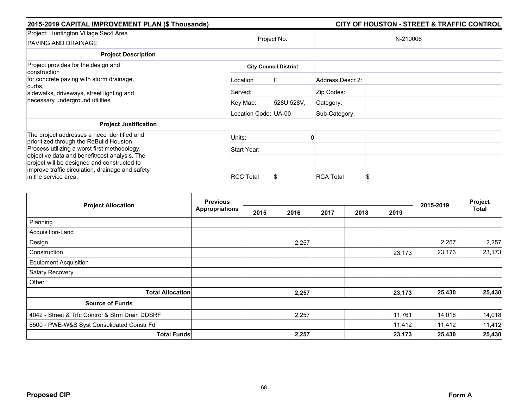| 2015-2019 CAPITAL IMPROVEMENT PLAN (\$ Thousands)                                                                                                                        |                      | <b>CITY OF HOUSTON - STREET &amp; TRAFFIC CONTROL</b> |                  |          |  |  |
|--------------------------------------------------------------------------------------------------------------------------------------------------------------------------|----------------------|-------------------------------------------------------|------------------|----------|--|--|
| Project: Huntington Village Sec4 Area<br>PAVING AND DRAINAGE                                                                                                             | Project No.          |                                                       |                  | N-210006 |  |  |
| <b>Project Description</b>                                                                                                                                               |                      |                                                       |                  |          |  |  |
| Project provides for the design and<br>construction                                                                                                                      |                      | <b>City Council District</b>                          |                  |          |  |  |
| for concrete paving with storm drainage,<br>curbs.<br>sidewalks, driveways, street lighting and<br>necessary underground utilities.                                      | Location             | F                                                     | Address Descr 2: |          |  |  |
|                                                                                                                                                                          | Served:              |                                                       | Zip Codes:       |          |  |  |
|                                                                                                                                                                          | Key Map:             | 528U,528V,                                            | Category:        |          |  |  |
|                                                                                                                                                                          | Location Code: UA-00 |                                                       | Sub-Category:    |          |  |  |
| <b>Project Justification</b>                                                                                                                                             |                      |                                                       |                  |          |  |  |
| The project addresses a need identified and<br>prioritized through the ReBuild Houston                                                                                   | Units:               |                                                       |                  |          |  |  |
| Process utilizing a worst first methodology,                                                                                                                             | Start Year:          |                                                       |                  |          |  |  |
| objective data and benefit/cost analysis. The<br>project will be designed and constructed to<br>improve traffic circulation, drainage and safety<br>in the service area. | <b>RCC Total</b>     | Ъ                                                     | <b>RCA Total</b> | S        |  |  |

| <b>Project Allocation</b>                       | <b>Previous</b><br><b>Appropriations</b> |      |       |      | 2015-2019 | Project |        |              |
|-------------------------------------------------|------------------------------------------|------|-------|------|-----------|---------|--------|--------------|
|                                                 |                                          | 2015 | 2016  | 2017 | 2018      | 2019    |        | <b>Total</b> |
| Planning                                        |                                          |      |       |      |           |         |        |              |
| Acquisition-Land                                |                                          |      |       |      |           |         |        |              |
| Design                                          |                                          |      | 2,257 |      |           |         | 2,257  | 2,257        |
| Construction                                    |                                          |      |       |      |           | 23,173  | 23,173 | 23,173       |
| <b>Equipment Acquisition</b>                    |                                          |      |       |      |           |         |        |              |
| Salary Recovery                                 |                                          |      |       |      |           |         |        |              |
| Other                                           |                                          |      |       |      |           |         |        |              |
| <b>Total Allocation</b>                         |                                          |      | 2,257 |      |           | 23,173  | 25,430 | 25,430       |
| <b>Source of Funds</b>                          |                                          |      |       |      |           |         |        |              |
| 4042 - Street & Trfc Control & Strm Drain DDSRF |                                          |      | 2,257 |      |           | 11,761  | 14,018 | 14,018       |
| 8500 - PWE-W&S Syst Consolidated Constr Fd      |                                          |      |       |      |           | 11,412  | 11,412 | 11,412       |
| <b>Total Funds</b>                              |                                          |      | 2,257 |      |           | 23,173  | 25,430 | 25,430       |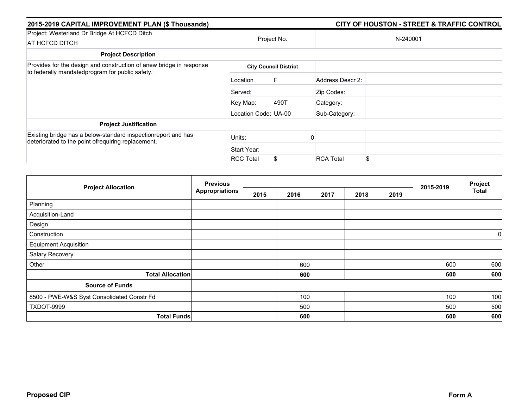| 2015-2019 CAPITAL IMPROVEMENT PLAN (\$ Thousands)                                                                      |                      |                              |                  | <b>CITY OF HOUSTON - STREET &amp; TRAFFIC CONTROL</b> |
|------------------------------------------------------------------------------------------------------------------------|----------------------|------------------------------|------------------|-------------------------------------------------------|
| Project: Westerland Dr Bridge At HCFCD Ditch                                                                           |                      | Project No.                  |                  | N-240001                                              |
| AT HCFCD DITCH                                                                                                         |                      |                              |                  |                                                       |
| <b>Project Description</b>                                                                                             |                      |                              |                  |                                                       |
| Provides for the design and construction of anew bridge in response<br>to federally mandatedprogram for public safety. |                      | <b>City Council District</b> |                  |                                                       |
|                                                                                                                        | Location             |                              | Address Descr 2: |                                                       |
|                                                                                                                        | Served:              |                              | Zip Codes:       |                                                       |
|                                                                                                                        | Key Map:             | 490T                         | Category:        |                                                       |
|                                                                                                                        | Location Code: UA-00 |                              | Sub-Category:    |                                                       |
| <b>Project Justification</b>                                                                                           |                      |                              |                  |                                                       |
| Existing bridge has a below-standard inspectionreport and has<br>deteriorated to the point ofrequiring replacement.    | Units:               |                              |                  |                                                       |
|                                                                                                                        | Start Year:          |                              |                  |                                                       |
|                                                                                                                        | <b>RCC Total</b>     | \$                           | <b>RCA Total</b> | \$.                                                   |

| <b>Project Allocation</b>                  | <b>Previous</b>       |      |      |      |      | Project |           |              |
|--------------------------------------------|-----------------------|------|------|------|------|---------|-----------|--------------|
|                                            | <b>Appropriations</b> | 2015 | 2016 | 2017 | 2018 | 2019    | 2015-2019 | <b>Total</b> |
| Planning                                   |                       |      |      |      |      |         |           |              |
| Acquisition-Land                           |                       |      |      |      |      |         |           |              |
| Design                                     |                       |      |      |      |      |         |           |              |
| Construction                               |                       |      |      |      |      |         |           | 0            |
| <b>Equipment Acquisition</b>               |                       |      |      |      |      |         |           |              |
| Salary Recovery                            |                       |      |      |      |      |         |           |              |
| Other                                      |                       |      | 600  |      |      |         | 600       | 600          |
| <b>Total Allocation</b>                    |                       |      | 600  |      |      |         | 600       | 600          |
| <b>Source of Funds</b>                     |                       |      |      |      |      |         |           |              |
| 8500 - PWE-W&S Syst Consolidated Constr Fd |                       |      | 100  |      |      |         | 100       | 100          |
| TXDOT-9999                                 |                       |      | 500  |      |      |         | 500       | 500          |
| <b>Total Funds</b>                         |                       |      | 600  |      |      |         | 600       | 600          |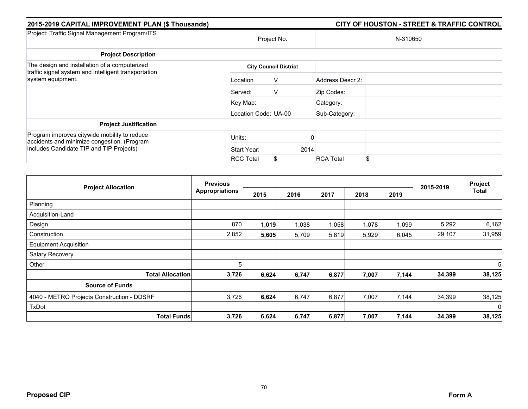| 2015-2019 CAPITAL IMPROVEMENT PLAN (\$ Thousands)                                                                                       |                      |                              |                  | <b>CITY OF HOUSTON - STREET &amp; TRAFFIC CONTROL</b> |  |  |  |
|-----------------------------------------------------------------------------------------------------------------------------------------|----------------------|------------------------------|------------------|-------------------------------------------------------|--|--|--|
| Project: Traffic Signal Management Program/ITS                                                                                          | Project No.          |                              | N-310650         |                                                       |  |  |  |
| <b>Project Description</b>                                                                                                              |                      |                              |                  |                                                       |  |  |  |
| The design and installation of a computerized                                                                                           |                      | <b>City Council District</b> |                  |                                                       |  |  |  |
| traffic signal system and intelligent transportation<br>system equipment.                                                               | Location             | V                            | Address Descr 2: |                                                       |  |  |  |
|                                                                                                                                         | Served:              | V                            | Zip Codes:       |                                                       |  |  |  |
|                                                                                                                                         | Key Map:             |                              | Category:        |                                                       |  |  |  |
|                                                                                                                                         | Location Code: UA-00 |                              | Sub-Category:    |                                                       |  |  |  |
| <b>Project Justification</b>                                                                                                            |                      |                              |                  |                                                       |  |  |  |
| Program improves citywide mobility to reduce<br>accidents and minimize congestion. (Program<br>includes Candidate TIP and TIP Projects) | Units:               |                              |                  |                                                       |  |  |  |
|                                                                                                                                         | Start Year:          | 2014                         |                  |                                                       |  |  |  |
|                                                                                                                                         | <b>RCC Total</b>     | \$                           | <b>RCA Total</b> | S                                                     |  |  |  |

|                                            | <b>Previous</b><br><b>Appropriations</b> |       |       |       |       | Project |           |              |
|--------------------------------------------|------------------------------------------|-------|-------|-------|-------|---------|-----------|--------------|
| <b>Project Allocation</b>                  |                                          | 2015  | 2016  | 2017  | 2018  | 2019    | 2015-2019 | <b>Total</b> |
| Planning                                   |                                          |       |       |       |       |         |           |              |
| Acquisition-Land                           |                                          |       |       |       |       |         |           |              |
| Design                                     | 870                                      | 1,019 | 1,038 | 1,058 | 1,078 | 1,099   | 5,292     | 6,162        |
| Construction                               | 2,852                                    | 5,605 | 5,709 | 5,819 | 5,929 | 6,045   | 29,107    | 31,959       |
| <b>Equipment Acquisition</b>               |                                          |       |       |       |       |         |           |              |
| Salary Recovery                            |                                          |       |       |       |       |         |           |              |
| Other                                      | 5                                        |       |       |       |       |         |           | 5            |
| <b>Total Allocation</b>                    | 3,726                                    | 6,624 | 6,747 | 6,877 | 7,007 | 7,144   | 34,399    | 38,125       |
| <b>Source of Funds</b>                     |                                          |       |       |       |       |         |           |              |
| 4040 - METRO Projects Construction - DDSRF | 3,726                                    | 6,624 | 6,747 | 6,877 | 7,007 | 7,144   | 34,399    | 38,125       |
| <b>TxDot</b>                               |                                          |       |       |       |       |         |           | $\mathbf{0}$ |
| <b>Total Funds</b>                         | 3,726                                    | 6,624 | 6,747 | 6,877 | 7,007 | 7,144   | 34,399    | 38,125       |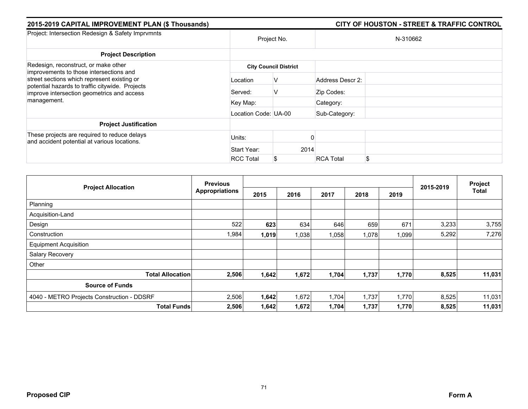| 2015-2019 CAPITAL IMPROVEMENT PLAN (\$ Thousands)                                                                                                                                                                                              |                      |                              |      |                  | <b>CITY OF HOUSTON - STREET &amp; TRAFFIC CONTROL</b> |
|------------------------------------------------------------------------------------------------------------------------------------------------------------------------------------------------------------------------------------------------|----------------------|------------------------------|------|------------------|-------------------------------------------------------|
| Project: Intersection Redesign & Safety Imprvmnts                                                                                                                                                                                              |                      | Project No.                  |      |                  | N-310662                                              |
| <b>Project Description</b>                                                                                                                                                                                                                     |                      |                              |      |                  |                                                       |
| Redesign, reconstruct, or make other<br>improvements to those intersections and<br>street sections which represent existing or<br>potential hazards to traffic citywide. Projects<br>improve intersection geometrics and access<br>management. |                      | <b>City Council District</b> |      |                  |                                                       |
|                                                                                                                                                                                                                                                | Location             | V                            |      | Address Descr 2: |                                                       |
|                                                                                                                                                                                                                                                | Served:              | V                            |      | Zip Codes:       |                                                       |
|                                                                                                                                                                                                                                                | Key Map:             |                              |      | Category:        |                                                       |
|                                                                                                                                                                                                                                                | Location Code: UA-00 |                              |      | Sub-Category:    |                                                       |
| <b>Project Justification</b>                                                                                                                                                                                                                   |                      |                              |      |                  |                                                       |
| These projects are required to reduce delays<br>and accident potential at various locations.                                                                                                                                                   | Units:               |                              |      |                  |                                                       |
|                                                                                                                                                                                                                                                | Start Year:          |                              | 2014 |                  |                                                       |
|                                                                                                                                                                                                                                                | <b>RCC Total</b>     | \$                           |      | <b>RCA Total</b> | \$                                                    |

|                                            | <b>Previous</b>       |       |       |       |       | Project |           |              |
|--------------------------------------------|-----------------------|-------|-------|-------|-------|---------|-----------|--------------|
| <b>Project Allocation</b>                  | <b>Appropriations</b> | 2015  | 2016  | 2017  | 2018  | 2019    | 2015-2019 | <b>Total</b> |
| Planning                                   |                       |       |       |       |       |         |           |              |
| Acquisition-Land                           |                       |       |       |       |       |         |           |              |
| Design                                     | 522                   | 623   | 634   | 646   | 659   | 671     | 3,233     | 3,755        |
| Construction                               | 1,984                 | 1,019 | 1,038 | 1,058 | 1,078 | 1,099   | 5,292     | 7,276        |
| <b>Equipment Acquisition</b>               |                       |       |       |       |       |         |           |              |
| Salary Recovery                            |                       |       |       |       |       |         |           |              |
| Other                                      |                       |       |       |       |       |         |           |              |
| <b>Total Allocation</b>                    | 2,506                 | 1,642 | 1,672 | 1,704 | 1,737 | 1,770   | 8,525     | 11,031       |
| <b>Source of Funds</b>                     |                       |       |       |       |       |         |           |              |
| 4040 - METRO Projects Construction - DDSRF | 2,506                 | 1,642 | 1,672 | 1,704 | 1,737 | 1,770   | 8,525     | 11,031       |
| <b>Total Funds</b>                         | 2,506                 | 1,642 | 1,672 | 1,704 | 1,737 | 1,770   | 8,525     | 11,031       |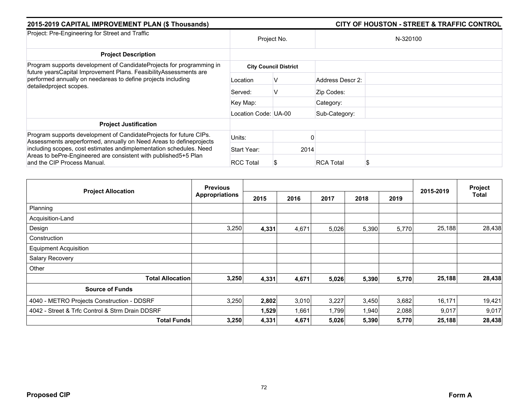| 2015-2019 CAPITAL IMPROVEMENT PLAN (\$ Thousands)                                                                                                                                                                                    |                      |                              | <b>CITY OF HOUSTON - STREET &amp; TRAFFIC CONTROL</b> |          |  |  |  |
|--------------------------------------------------------------------------------------------------------------------------------------------------------------------------------------------------------------------------------------|----------------------|------------------------------|-------------------------------------------------------|----------|--|--|--|
| Project: Pre-Engineering for Street and Traffic                                                                                                                                                                                      | Project No.          |                              |                                                       | N-320100 |  |  |  |
| <b>Project Description</b>                                                                                                                                                                                                           |                      |                              |                                                       |          |  |  |  |
| Program supports development of CandidateProjects for programming in<br>future yearsCapital Improvement Plans. FeasibilityAssessments are<br>performed annually on needareas to define projects including<br>detailedproject scopes. |                      | <b>City Council District</b> |                                                       |          |  |  |  |
|                                                                                                                                                                                                                                      | Location             | v                            | Address Descr 2:                                      |          |  |  |  |
|                                                                                                                                                                                                                                      | Served:              | V                            | Zip Codes:                                            |          |  |  |  |
|                                                                                                                                                                                                                                      | Key Map:             |                              | Category:                                             |          |  |  |  |
|                                                                                                                                                                                                                                      | Location Code: UA-00 |                              | Sub-Category:                                         |          |  |  |  |
| <b>Project Justification</b>                                                                                                                                                                                                         |                      |                              |                                                       |          |  |  |  |
| Program supports development of CandidateProjects for future CIPs.<br>Assessments areperformed, annually on Need Areas to defineprojects                                                                                             | Units:               |                              |                                                       |          |  |  |  |
| including scopes, cost estimates andimplementation schedules. Need                                                                                                                                                                   | Start Year:          | 2014                         |                                                       |          |  |  |  |
| Areas to bePre-Engineered are consistent with published 5+5 Plan<br>and the CIP Process Manual.                                                                                                                                      | <b>RCC Total</b>     |                              | <b>RCA Total</b>                                      |          |  |  |  |

|                                                 | <b>Previous</b>       |       |       |       | 2015-2019 | Project |        |        |
|-------------------------------------------------|-----------------------|-------|-------|-------|-----------|---------|--------|--------|
| <b>Project Allocation</b>                       | <b>Appropriations</b> | 2015  | 2016  | 2017  | 2018      | 2019    |        | Total  |
| Planning                                        |                       |       |       |       |           |         |        |        |
| Acquisition-Land                                |                       |       |       |       |           |         |        |        |
| Design                                          | 3,250                 | 4,331 | 4,671 | 5,026 | 5,390     | 5,770   | 25,188 | 28,438 |
| Construction                                    |                       |       |       |       |           |         |        |        |
| <b>Equipment Acquisition</b>                    |                       |       |       |       |           |         |        |        |
| Salary Recovery                                 |                       |       |       |       |           |         |        |        |
| Other                                           |                       |       |       |       |           |         |        |        |
| <b>Total Allocation</b>                         | 3,250                 | 4,331 | 4,671 | 5,026 | 5,390     | 5,770   | 25,188 | 28,438 |
| <b>Source of Funds</b>                          |                       |       |       |       |           |         |        |        |
| 4040 - METRO Projects Construction - DDSRF      | 3,250                 | 2,802 | 3,010 | 3,227 | 3,450     | 3,682   | 16,171 | 19,421 |
| 4042 - Street & Trfc Control & Strm Drain DDSRF |                       | 1,529 | 1,661 | 1,799 | 1,940     | 2,088   | 9,017  | 9,017  |
| <b>Total Funds</b>                              | 3,250                 | 4,331 | 4,671 | 5,026 | 5,390     | 5,770   | 25,188 | 28,438 |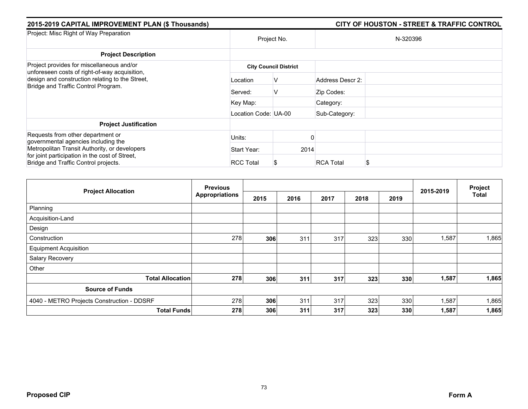| 2015-2019 CAPITAL IMPROVEMENT PLAN (\$ Thousands)                                          |                      |                              |                  | <b>CITY OF HOUSTON - STREET &amp; TRAFFIC CONTROL</b> |  |
|--------------------------------------------------------------------------------------------|----------------------|------------------------------|------------------|-------------------------------------------------------|--|
| Project: Misc Right of Way Preparation                                                     | Project No.          |                              | N-320396         |                                                       |  |
| <b>Project Description</b>                                                                 |                      |                              |                  |                                                       |  |
| Project provides for miscellaneous and/or<br>unforeseen costs of right-of-way acquisition, |                      | <b>City Council District</b> |                  |                                                       |  |
| design and construction relating to the Street,<br>Bridge and Traffic Control Program.     | Location             | v                            | Address Descr 2: |                                                       |  |
|                                                                                            | Served:              | v                            | Zip Codes:       |                                                       |  |
|                                                                                            | Key Map:             |                              | Category:        |                                                       |  |
|                                                                                            | Location Code: UA-00 |                              | Sub-Category:    |                                                       |  |
| <b>Project Justification</b>                                                               |                      |                              |                  |                                                       |  |
| Requests from other department or<br>governmental agencies including the                   | Units:               |                              |                  |                                                       |  |
| Metropolitan Transit Authority, or developers                                              | Start Year:          | 2014                         |                  |                                                       |  |
| for joint participation in the cost of Street,<br>Bridge and Traffic Control projects.     | <b>RCC Total</b>     |                              | <b>RCA Total</b> |                                                       |  |

| <b>Project Allocation</b>                  | <b>Previous</b>       |      |      |      |      |      | 2015-2019 | Project      |
|--------------------------------------------|-----------------------|------|------|------|------|------|-----------|--------------|
|                                            | <b>Appropriations</b> | 2015 | 2016 | 2017 | 2018 | 2019 |           | <b>Total</b> |
| Planning                                   |                       |      |      |      |      |      |           |              |
| Acquisition-Land                           |                       |      |      |      |      |      |           |              |
| Design                                     |                       |      |      |      |      |      |           |              |
| Construction                               | 278                   | 306  | 311  | 317  | 323  | 330  | 1,587     | 1,865        |
| <b>Equipment Acquisition</b>               |                       |      |      |      |      |      |           |              |
| Salary Recovery                            |                       |      |      |      |      |      |           |              |
| Other                                      |                       |      |      |      |      |      |           |              |
| <b>Total Allocation</b>                    | 278                   | 306  | 311  | 317  | 323  | 330  | 1,587     | 1,865        |
| <b>Source of Funds</b>                     |                       |      |      |      |      |      |           |              |
| 4040 - METRO Projects Construction - DDSRF | 278                   | 306  | 311  | 317  | 323  | 330  | 1,587     | 1,865        |
| <b>Total Funds</b>                         | 278                   | 306  | 311  | 317  | 323  | 330  | 1,587     | 1,865        |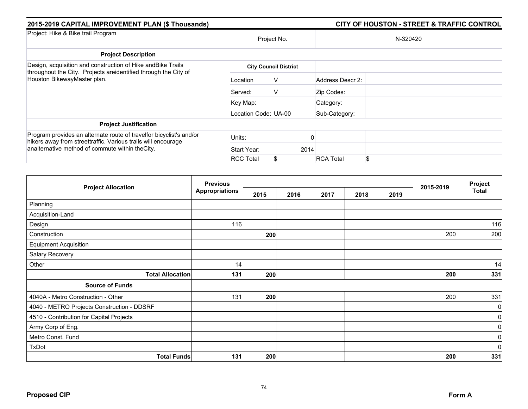| 2015-2019 CAPITAL IMPROVEMENT PLAN (\$ Thousands)                                                                                    |                      | CITY OF HOUSTON - STREET & TRAFFIC CONTROL |                  |          |  |  |  |
|--------------------------------------------------------------------------------------------------------------------------------------|----------------------|--------------------------------------------|------------------|----------|--|--|--|
| Project: Hike & Bike trail Program                                                                                                   |                      | Project No.                                |                  | N-320420 |  |  |  |
| <b>Project Description</b>                                                                                                           |                      |                                            |                  |          |  |  |  |
| Design, acquisition and construction of Hike and Bike Trails<br>throughout the City. Projects areidentified through the City of      |                      | <b>City Council District</b>               |                  |          |  |  |  |
| Houston BikewayMaster plan.                                                                                                          | Location             | V                                          | Address Descr 2: |          |  |  |  |
|                                                                                                                                      | Served:              | v                                          | Zip Codes:       |          |  |  |  |
|                                                                                                                                      | Key Map:             |                                            | Category:        |          |  |  |  |
|                                                                                                                                      | Location Code: UA-00 |                                            | Sub-Category:    |          |  |  |  |
| <b>Project Justification</b>                                                                                                         |                      |                                            |                  |          |  |  |  |
| Program provides an alternate route of travelfor bicyclist's and/or<br>hikers away from streettraffic. Various trails will encourage | Units:               |                                            |                  |          |  |  |  |
| analternative method of commute within the City.                                                                                     | Start Year:          | 2014                                       |                  |          |  |  |  |
|                                                                                                                                      | <b>RCC Total</b>     |                                            | <b>RCA Total</b> | \$       |  |  |  |

|                                            | <b>Previous</b>       |      |      |      | Project |      |           |              |
|--------------------------------------------|-----------------------|------|------|------|---------|------|-----------|--------------|
| <b>Project Allocation</b>                  | <b>Appropriations</b> | 2015 | 2016 | 2017 | 2018    | 2019 | 2015-2019 | <b>Total</b> |
| Planning                                   |                       |      |      |      |         |      |           |              |
| Acquisition-Land                           |                       |      |      |      |         |      |           |              |
| Design                                     | 116                   |      |      |      |         |      |           | 116          |
| Construction                               |                       | 200  |      |      |         |      | 200       | 200          |
| <b>Equipment Acquisition</b>               |                       |      |      |      |         |      |           |              |
| Salary Recovery                            |                       |      |      |      |         |      |           |              |
| Other                                      | 14                    |      |      |      |         |      |           | 14           |
| <b>Total Allocation</b>                    | 131                   | 200  |      |      |         |      | 200       | 331          |
| <b>Source of Funds</b>                     |                       |      |      |      |         |      |           |              |
| 4040A - Metro Construction - Other         | 131                   | 200  |      |      |         |      | 200       | 331          |
| 4040 - METRO Projects Construction - DDSRF |                       |      |      |      |         |      |           | 0            |
| 4510 - Contribution for Capital Projects   |                       |      |      |      |         |      |           | $\mathbf 0$  |
| Army Corp of Eng.                          |                       |      |      |      |         |      |           | 0            |
| Metro Const. Fund                          |                       |      |      |      |         |      |           | 0            |
| TxDot                                      |                       |      |      |      |         |      |           | $\mathbf 0$  |
| <b>Total Funds</b>                         | 131                   | 200  |      |      |         |      | 200       | 331          |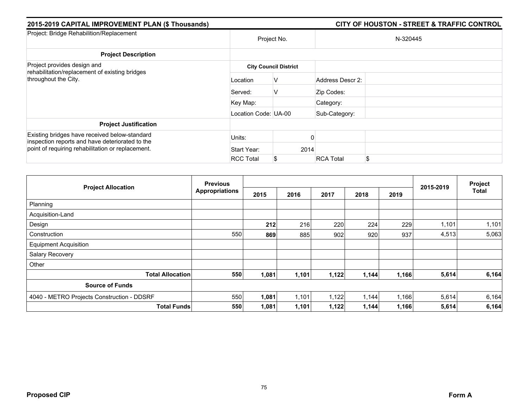| 2015-2019 CAPITAL IMPROVEMENT PLAN (\$ Thousands)                                                |                      |                              |                  | <b>CITY OF HOUSTON - STREET &amp; TRAFFIC CONTROL</b> |
|--------------------------------------------------------------------------------------------------|----------------------|------------------------------|------------------|-------------------------------------------------------|
| Project: Bridge Rehabilition/Replacement                                                         |                      | Project No.                  |                  | N-320445                                              |
| <b>Project Description</b>                                                                       |                      |                              |                  |                                                       |
| Project provides design and<br>rehabilitation/replacement of existing bridges                    |                      | <b>City Council District</b> |                  |                                                       |
| throughout the City.                                                                             | Location             | V                            | Address Descr 2: |                                                       |
|                                                                                                  | Served:              | V                            | Zip Codes:       |                                                       |
|                                                                                                  | Key Map:             |                              | Category:        |                                                       |
|                                                                                                  | Location Code: UA-00 |                              | Sub-Category:    |                                                       |
| <b>Project Justification</b>                                                                     |                      |                              |                  |                                                       |
| Existing bridges have received below-standard<br>inspection reports and have deteriorated to the | Units:               |                              |                  |                                                       |
| point of requiring rehabilitation or replacement.                                                | Start Year:          | 2014                         |                  |                                                       |
|                                                                                                  | <b>RCC Total</b>     | \$                           | <b>RCA Total</b> | \$.                                                   |

| <b>Project Allocation</b>                  | <b>Previous</b>       |       |       |       |       | Project |           |              |
|--------------------------------------------|-----------------------|-------|-------|-------|-------|---------|-----------|--------------|
|                                            | <b>Appropriations</b> | 2015  | 2016  | 2017  | 2018  | 2019    | 2015-2019 | <b>Total</b> |
| Planning                                   |                       |       |       |       |       |         |           |              |
| Acquisition-Land                           |                       |       |       |       |       |         |           |              |
| Design                                     |                       | 212   | 216   | 220   | 224   | 229     | 1,101     | 1,101        |
| Construction                               | 550                   | 869   | 885   | 902   | 920   | 937     | 4,513     | 5,063        |
| <b>Equipment Acquisition</b>               |                       |       |       |       |       |         |           |              |
| Salary Recovery                            |                       |       |       |       |       |         |           |              |
| Other                                      |                       |       |       |       |       |         |           |              |
| <b>Total Allocation</b>                    | 550                   | 1,081 | 1,101 | 1,122 | 1,144 | 1,166   | 5,614     | 6,164        |
| <b>Source of Funds</b>                     |                       |       |       |       |       |         |           |              |
| 4040 - METRO Projects Construction - DDSRF | 550                   | 1,081 | 1,101 | 1,122 | 1,144 | 1,166   | 5,614     | 6,164        |
| <b>Total Funds</b>                         | 550                   | 1,081 | 1,101 | 1,122 | 1,144 | 1,166   | 5,614     | 6,164        |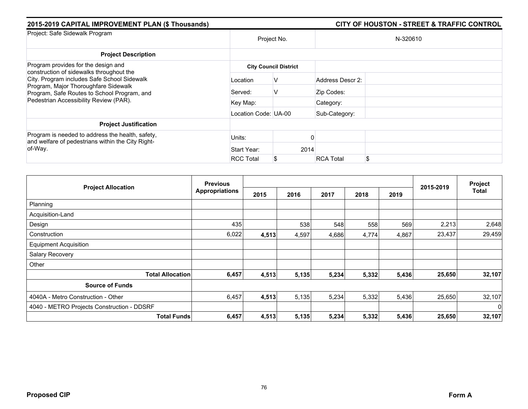| 2015-2019 CAPITAL IMPROVEMENT PLAN (\$ Thousands)                                                                                  |                      |                              | <b>CITY OF HOUSTON - STREET &amp; TRAFFIC CONTROL</b> |  |  |  |
|------------------------------------------------------------------------------------------------------------------------------------|----------------------|------------------------------|-------------------------------------------------------|--|--|--|
| Project: Safe Sidewalk Program                                                                                                     |                      | Project No.                  | N-320610                                              |  |  |  |
| <b>Project Description</b>                                                                                                         |                      |                              |                                                       |  |  |  |
| Program provides for the design and<br>construction of sidewalks throughout the                                                    |                      | <b>City Council District</b> |                                                       |  |  |  |
| City. Program includes Safe School Sidewalk<br>Program, Major Thoroughfare Sidewalk<br>Program, Safe Routes to School Program, and | Location             | V                            | Address Descr 2:                                      |  |  |  |
|                                                                                                                                    | Served:              | V                            | Zip Codes:                                            |  |  |  |
| Pedestrian Accessibility Review (PAR).                                                                                             | Key Map:             |                              | Category:                                             |  |  |  |
|                                                                                                                                    | Location Code: UA-00 |                              | Sub-Category:                                         |  |  |  |
| <b>Project Justification</b>                                                                                                       |                      |                              |                                                       |  |  |  |
| Program is needed to address the health, safety,<br>and welfare of pedestrians within the City Right-                              | Units:               |                              |                                                       |  |  |  |
| of-Way.                                                                                                                            | Start Year:          | 2014                         |                                                       |  |  |  |
|                                                                                                                                    | <b>RCC Total</b>     | \$                           | <b>RCA Total</b><br>\$                                |  |  |  |

| <b>Project Allocation</b>                  | <b>Previous</b>       |       |       |       |       |       |           | Project  |
|--------------------------------------------|-----------------------|-------|-------|-------|-------|-------|-----------|----------|
|                                            | <b>Appropriations</b> | 2015  | 2016  | 2017  | 2018  | 2019  | 2015-2019 | Total    |
| Planning                                   |                       |       |       |       |       |       |           |          |
| Acquisition-Land                           |                       |       |       |       |       |       |           |          |
| Design                                     | 435                   |       | 538   | 548   | 558   | 569   | 2,213     | 2,648    |
| Construction                               | 6,022                 | 4,513 | 4,597 | 4,686 | 4,774 | 4,867 | 23,437    | 29,459   |
| <b>Equipment Acquisition</b>               |                       |       |       |       |       |       |           |          |
| Salary Recovery                            |                       |       |       |       |       |       |           |          |
| Other                                      |                       |       |       |       |       |       |           |          |
| <b>Total Allocation</b>                    | 6,457                 | 4,513 | 5,135 | 5,234 | 5,332 | 5,436 | 25,650    | 32,107   |
| <b>Source of Funds</b>                     |                       |       |       |       |       |       |           |          |
| 4040A - Metro Construction - Other         | 6,457                 | 4,513 | 5,135 | 5,234 | 5,332 | 5,436 | 25,650    | 32,107   |
| 4040 - METRO Projects Construction - DDSRF |                       |       |       |       |       |       |           | $\Omega$ |
| <b>Total Funds</b>                         | 6,457                 | 4,513 | 5,135 | 5,234 | 5,332 | 5,436 | 25,650    | 32,107   |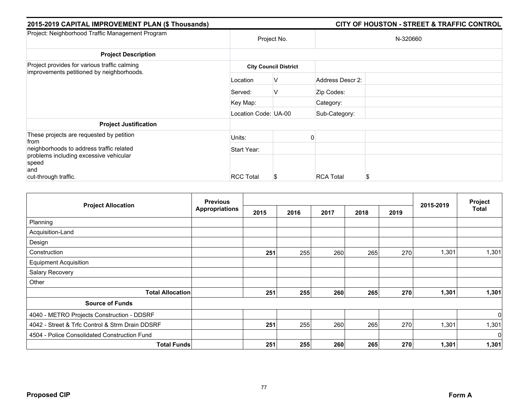| 2015-2019 CAPITAL IMPROVEMENT PLAN (\$ Thousands)                                         |                      |                              |                  | <b>CITY OF HOUSTON - STREET &amp; TRAFFIC CONTROL</b> |
|-------------------------------------------------------------------------------------------|----------------------|------------------------------|------------------|-------------------------------------------------------|
| Project: Neighborhood Traffic Management Program                                          | Project No.          |                              |                  | N-320660                                              |
| <b>Project Description</b>                                                                |                      |                              |                  |                                                       |
| Project provides for various traffic calming<br>improvements petitioned by neighborhoods. |                      | <b>City Council District</b> |                  |                                                       |
|                                                                                           | Location             | V                            | Address Descr 2: |                                                       |
|                                                                                           | Served:              | V                            | Zip Codes:       |                                                       |
|                                                                                           | Key Map:             |                              | Category:        |                                                       |
|                                                                                           | Location Code: UA-00 |                              | Sub-Category:    |                                                       |
| <b>Project Justification</b>                                                              |                      |                              |                  |                                                       |
| These projects are requested by petition<br>from                                          | Units:               |                              |                  |                                                       |
| neighborhoods to address traffic related                                                  | Start Year:          |                              |                  |                                                       |
| problems including excessive vehicular<br>speed                                           |                      |                              |                  |                                                       |
| and                                                                                       |                      |                              |                  |                                                       |
| cut-through traffic.                                                                      | <b>RCC Total</b>     | S                            | <b>RCA Total</b> | \$                                                    |

|                                                 | <b>Previous</b>       |      | Project |      |      |      |           |          |
|-------------------------------------------------|-----------------------|------|---------|------|------|------|-----------|----------|
| <b>Project Allocation</b>                       | <b>Appropriations</b> | 2015 | 2016    | 2017 | 2018 | 2019 | 2015-2019 | Total    |
| Planning                                        |                       |      |         |      |      |      |           |          |
| Acquisition-Land                                |                       |      |         |      |      |      |           |          |
| Design                                          |                       |      |         |      |      |      |           |          |
| Construction                                    |                       | 251  | 255     | 260  | 265  | 270  | 1,301     | 1,301    |
| <b>Equipment Acquisition</b>                    |                       |      |         |      |      |      |           |          |
| Salary Recovery                                 |                       |      |         |      |      |      |           |          |
| Other                                           |                       |      |         |      |      |      |           |          |
| <b>Total Allocation</b>                         |                       | 251  | 255     | 260  | 265  | 270  | 1,301     | 1,301    |
| <b>Source of Funds</b>                          |                       |      |         |      |      |      |           |          |
| 4040 - METRO Projects Construction - DDSRF      |                       |      |         |      |      |      |           | $\Omega$ |
| 4042 - Street & Trfc Control & Strm Drain DDSRF |                       | 251  | 255     | 260  | 265  | 270  | 1,301     | 1,301    |
| 4504 - Police Consolidated Construction Fund    |                       |      |         |      |      |      |           | $\Omega$ |
| <b>Total Funds</b>                              |                       | 251  | 255     | 260  | 265  | 270  | 1,301     | 1,301    |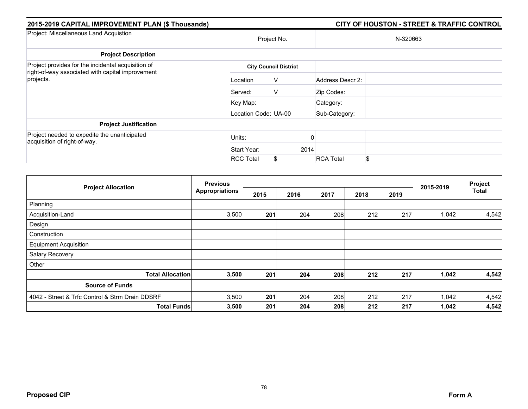| 2015-2019 CAPITAL IMPROVEMENT PLAN (\$ Thousands)                                                      |                      |                              |                  | <b>CITY OF HOUSTON - STREET &amp; TRAFFIC CONTROL</b> |
|--------------------------------------------------------------------------------------------------------|----------------------|------------------------------|------------------|-------------------------------------------------------|
| Project: Miscellaneous Land Acquistion                                                                 | Project No.          |                              |                  | N-320663                                              |
| <b>Project Description</b>                                                                             |                      |                              |                  |                                                       |
| Project provides for the incidental acquisition of<br>right-of-way associated with capital improvement |                      | <b>City Council District</b> |                  |                                                       |
| projects.                                                                                              | Location             | V                            | Address Descr 2: |                                                       |
|                                                                                                        | Served:              | V                            | Zip Codes:       |                                                       |
|                                                                                                        | Key Map:             |                              | Category:        |                                                       |
|                                                                                                        | Location Code: UA-00 |                              | Sub-Category:    |                                                       |
| <b>Project Justification</b>                                                                           |                      |                              |                  |                                                       |
| Project needed to expedite the unanticipated<br>acquisition of right-of-way.                           | Units:               |                              |                  |                                                       |
|                                                                                                        | Start Year:          | 2014                         |                  |                                                       |
|                                                                                                        | <b>RCC Total</b>     | \$                           | <b>RCA Total</b> | \$.                                                   |

|                                                 | <b>Previous</b>       |      |      |      |      | Project |           |              |
|-------------------------------------------------|-----------------------|------|------|------|------|---------|-----------|--------------|
| <b>Project Allocation</b>                       | <b>Appropriations</b> | 2015 | 2016 | 2017 | 2018 | 2019    | 2015-2019 | <b>Total</b> |
| Planning                                        |                       |      |      |      |      |         |           |              |
| Acquisition-Land                                | 3,500                 | 201  | 204  | 208  | 212  | 217     | 1,042     | 4,542        |
| Design                                          |                       |      |      |      |      |         |           |              |
| Construction                                    |                       |      |      |      |      |         |           |              |
| <b>Equipment Acquisition</b>                    |                       |      |      |      |      |         |           |              |
| Salary Recovery                                 |                       |      |      |      |      |         |           |              |
| Other                                           |                       |      |      |      |      |         |           |              |
| <b>Total Allocation</b>                         | 3,500                 | 201  | 204  | 208  | 212  | 217     | 1,042     | 4,542        |
| <b>Source of Funds</b>                          |                       |      |      |      |      |         |           |              |
| 4042 - Street & Trfc Control & Strm Drain DDSRF | 3,500                 | 201  | 204  | 208  | 212  | 217     | 1,042     | 4,542        |
| <b>Total Funds</b>                              | 3,500                 | 201  | 204  | 208  | 212  | 217     | 1,042     | 4,542        |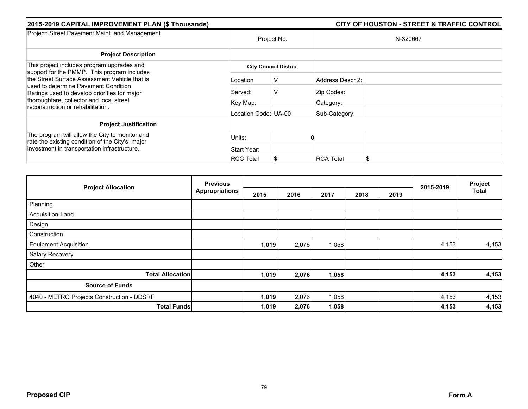| 2015-2019 CAPITAL IMPROVEMENT PLAN (\$ Thousands)                                                                                                                                                                                  |                      |                              |                  | <b>CITY OF HOUSTON - STREET &amp; TRAFFIC CONTROL</b> |
|------------------------------------------------------------------------------------------------------------------------------------------------------------------------------------------------------------------------------------|----------------------|------------------------------|------------------|-------------------------------------------------------|
| Project: Street Pavement Maint. and Management                                                                                                                                                                                     | Project No.          |                              |                  | N-320667                                              |
| <b>Project Description</b>                                                                                                                                                                                                         |                      |                              |                  |                                                       |
| This project includes program upgrades and<br>support for the PMMP. This program includes<br>the Street Surface Assessment Vehicle that is<br>used to determine Pavement Condition<br>Ratings used to develop priorities for major |                      | <b>City Council District</b> |                  |                                                       |
|                                                                                                                                                                                                                                    | Location             | V                            | Address Descr 2: |                                                       |
|                                                                                                                                                                                                                                    | Served:              | V                            | Zip Codes:       |                                                       |
| thoroughfare, collector and local street<br>reconstruction or rehabilitation.                                                                                                                                                      | Key Map:             |                              | Category:        |                                                       |
|                                                                                                                                                                                                                                    | Location Code: UA-00 |                              | Sub-Category:    |                                                       |
| <b>Project Justification</b>                                                                                                                                                                                                       |                      |                              |                  |                                                       |
| The program will allow the City to monitor and<br>rate the existing condition of the City's major                                                                                                                                  | Units:               |                              |                  |                                                       |
| investment in transportation infrastructure.                                                                                                                                                                                       | Start Year:          |                              |                  |                                                       |
|                                                                                                                                                                                                                                    | <b>RCC Total</b>     | \$                           | <b>RCA Total</b> | \$                                                    |

|                                            | <b>Previous</b>       |       |       |       |      |      |           | Project      |
|--------------------------------------------|-----------------------|-------|-------|-------|------|------|-----------|--------------|
| <b>Project Allocation</b>                  | <b>Appropriations</b> | 2015  | 2016  | 2017  | 2018 | 2019 | 2015-2019 | <b>Total</b> |
| Planning                                   |                       |       |       |       |      |      |           |              |
| Acquisition-Land                           |                       |       |       |       |      |      |           |              |
| Design                                     |                       |       |       |       |      |      |           |              |
| Construction                               |                       |       |       |       |      |      |           |              |
| <b>Equipment Acquisition</b>               |                       | 1,019 | 2,076 | 1,058 |      |      | 4,153     | 4,153        |
| Salary Recovery                            |                       |       |       |       |      |      |           |              |
| Other                                      |                       |       |       |       |      |      |           |              |
| <b>Total Allocation</b>                    |                       | 1,019 | 2,076 | 1,058 |      |      | 4,153     | 4,153        |
| <b>Source of Funds</b>                     |                       |       |       |       |      |      |           |              |
| 4040 - METRO Projects Construction - DDSRF |                       | 1,019 | 2,076 | 1,058 |      |      | 4,153     | 4,153        |
| <b>Total Funds</b>                         |                       | 1,019 | 2,076 | 1,058 |      |      | 4,153     | 4,153        |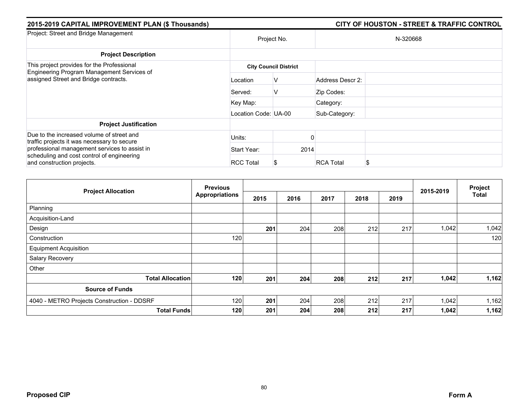| 2015-2019 CAPITAL IMPROVEMENT PLAN (\$ Thousands)                                                                                                                        |                      |                              |                  | <b>CITY OF HOUSTON - STREET &amp; TRAFFIC CONTROL</b> |  |  |  |
|--------------------------------------------------------------------------------------------------------------------------------------------------------------------------|----------------------|------------------------------|------------------|-------------------------------------------------------|--|--|--|
| Project: Street and Bridge Management                                                                                                                                    | Project No.          |                              | N-320668         |                                                       |  |  |  |
| <b>Project Description</b>                                                                                                                                               |                      |                              |                  |                                                       |  |  |  |
| This project provides for the Professional<br>Engineering Program Management Services of<br>assigned Street and Bridge contracts.                                        |                      | <b>City Council District</b> |                  |                                                       |  |  |  |
|                                                                                                                                                                          | Location             | v                            | Address Descr 2: |                                                       |  |  |  |
|                                                                                                                                                                          | Served:              | V                            | Zip Codes:       |                                                       |  |  |  |
|                                                                                                                                                                          | Key Map:             |                              | Category:        |                                                       |  |  |  |
|                                                                                                                                                                          | Location Code: UA-00 |                              | Sub-Category:    |                                                       |  |  |  |
| <b>Project Justification</b>                                                                                                                                             |                      |                              |                  |                                                       |  |  |  |
| Due to the increased volume of street and                                                                                                                                | Units:               |                              |                  |                                                       |  |  |  |
| traffic projects it was necessary to secure<br>professional management services to assist in<br>scheduling and cost control of engineering<br>and construction projects. | Start Year:          | 2014                         |                  |                                                       |  |  |  |
|                                                                                                                                                                          | <b>RCC Total</b>     |                              | <b>RCA Total</b> | S                                                     |  |  |  |

| <b>Project Allocation</b>                  | <b>Previous</b>       |      |      |      |      | 2015-2019 | Project |              |
|--------------------------------------------|-----------------------|------|------|------|------|-----------|---------|--------------|
|                                            | <b>Appropriations</b> | 2015 | 2016 | 2017 | 2018 | 2019      |         | <b>Total</b> |
| Planning                                   |                       |      |      |      |      |           |         |              |
| Acquisition-Land                           |                       |      |      |      |      |           |         |              |
| Design                                     |                       | 201  | 204  | 208  | 212  | 217       | 1,042   | 1,042        |
| Construction                               | 120                   |      |      |      |      |           |         | 120          |
| <b>Equipment Acquisition</b>               |                       |      |      |      |      |           |         |              |
| Salary Recovery                            |                       |      |      |      |      |           |         |              |
| Other                                      |                       |      |      |      |      |           |         |              |
| <b>Total Allocation</b>                    | 120                   | 201  | 204  | 208  | 212  | 217       | 1,042   | 1,162        |
| <b>Source of Funds</b>                     |                       |      |      |      |      |           |         |              |
| 4040 - METRO Projects Construction - DDSRF | 120                   | 201  | 204  | 208  | 212  | 217       | 1,042   | 1,162        |
| <b>Total Funds</b>                         | 120                   | 201  | 204  | 208  | 212  | 217       | 1,042   | 1,162        |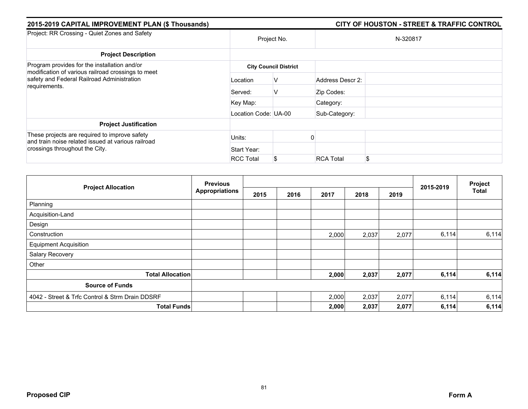| 2015-2019 CAPITAL IMPROVEMENT PLAN (\$ Thousands)                                                   |                      |                              |                  | <b>CITY OF HOUSTON - STREET &amp; TRAFFIC CONTROL</b> |  |  |  |
|-----------------------------------------------------------------------------------------------------|----------------------|------------------------------|------------------|-------------------------------------------------------|--|--|--|
| Project: RR Crossing - Quiet Zones and Safety                                                       | Project No.          |                              | N-320817         |                                                       |  |  |  |
| <b>Project Description</b>                                                                          |                      |                              |                  |                                                       |  |  |  |
| Program provides for the installation and/or<br>modification of various railroad crossings to meet  |                      | <b>City Council District</b> |                  |                                                       |  |  |  |
| safety and Federal Railroad Administration<br>requirements.                                         | Location             | V                            | Address Descr 2: |                                                       |  |  |  |
|                                                                                                     | Served:              | V                            | Zip Codes:       |                                                       |  |  |  |
|                                                                                                     | Key Map:             |                              | Category:        |                                                       |  |  |  |
|                                                                                                     | Location Code: UA-00 |                              | Sub-Category:    |                                                       |  |  |  |
| <b>Project Justification</b>                                                                        |                      |                              |                  |                                                       |  |  |  |
| These projects are required to improve safety<br>and train noise related issued at various railroad | Units:               |                              |                  |                                                       |  |  |  |
| crossings throughout the City.                                                                      | Start Year:          |                              |                  |                                                       |  |  |  |
|                                                                                                     | <b>RCC Total</b>     | \$                           | <b>RCA Total</b> | S                                                     |  |  |  |

| <b>Project Allocation</b>                       | <b>Previous</b>       |      |      |       |       |       | Project   |              |
|-------------------------------------------------|-----------------------|------|------|-------|-------|-------|-----------|--------------|
|                                                 | <b>Appropriations</b> | 2015 | 2016 | 2017  | 2018  | 2019  | 2015-2019 | <b>Total</b> |
| Planning                                        |                       |      |      |       |       |       |           |              |
| Acquisition-Land                                |                       |      |      |       |       |       |           |              |
| Design                                          |                       |      |      |       |       |       |           |              |
| Construction                                    |                       |      |      | 2,000 | 2,037 | 2,077 | 6,114     | 6,114        |
| <b>Equipment Acquisition</b>                    |                       |      |      |       |       |       |           |              |
| Salary Recovery                                 |                       |      |      |       |       |       |           |              |
| Other                                           |                       |      |      |       |       |       |           |              |
| <b>Total Allocation</b>                         |                       |      |      | 2,000 | 2,037 | 2,077 | 6,114     | 6,114        |
| <b>Source of Funds</b>                          |                       |      |      |       |       |       |           |              |
| 4042 - Street & Trfc Control & Strm Drain DDSRF |                       |      |      | 2,000 | 2,037 | 2,077 | 6,114     | 6,114        |
| <b>Total Funds</b>                              |                       |      |      | 2,000 | 2,037 | 2,077 | 6,114     | 6,114        |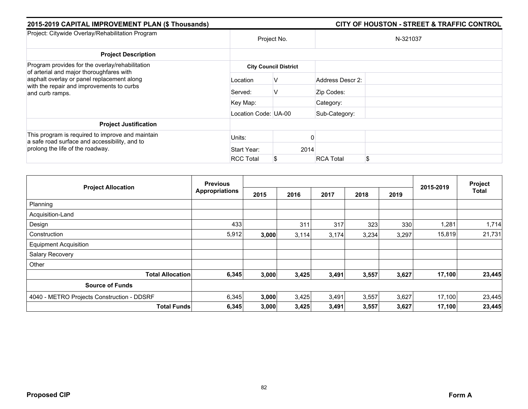| 2015-2019 CAPITAL IMPROVEMENT PLAN (\$ Thousands)                                                                                                                                                         |                              |    |          |                  | <b>CITY OF HOUSTON - STREET &amp; TRAFFIC CONTROL</b> |  |  |
|-----------------------------------------------------------------------------------------------------------------------------------------------------------------------------------------------------------|------------------------------|----|----------|------------------|-------------------------------------------------------|--|--|
| Project: Citywide Overlay/Rehabilitation Program                                                                                                                                                          | Project No.                  |    | N-321037 |                  |                                                       |  |  |
| <b>Project Description</b>                                                                                                                                                                                |                              |    |          |                  |                                                       |  |  |
| Program provides for the overlay/rehabilitation<br>of arterial and major thoroughfares with<br>asphalt overlay or panel replacement along<br>with the repair and improvements to curbs<br>and curb ramps. | <b>City Council District</b> |    |          |                  |                                                       |  |  |
|                                                                                                                                                                                                           | Location                     | V  |          | Address Descr 2: |                                                       |  |  |
|                                                                                                                                                                                                           | Served:                      | V  |          | Zip Codes:       |                                                       |  |  |
|                                                                                                                                                                                                           | Key Map:                     |    |          | Category:        |                                                       |  |  |
|                                                                                                                                                                                                           | Location Code: UA-00         |    |          | Sub-Category:    |                                                       |  |  |
| <b>Project Justification</b>                                                                                                                                                                              |                              |    |          |                  |                                                       |  |  |
| This program is required to improve and maintain<br>a safe road surface and accessibility, and to                                                                                                         | Units:                       |    |          |                  |                                                       |  |  |
| prolong the life of the roadway.                                                                                                                                                                          | Start Year:                  |    | 2014     |                  |                                                       |  |  |
|                                                                                                                                                                                                           | <b>RCC Total</b>             | \$ |          | <b>RCA Total</b> | \$                                                    |  |  |

|                                            | <b>Previous</b>       |       |       |       | Project |       |           |              |
|--------------------------------------------|-----------------------|-------|-------|-------|---------|-------|-----------|--------------|
| <b>Project Allocation</b>                  | <b>Appropriations</b> | 2015  | 2016  | 2017  | 2018    | 2019  | 2015-2019 | <b>Total</b> |
| Planning                                   |                       |       |       |       |         |       |           |              |
| Acquisition-Land                           |                       |       |       |       |         |       |           |              |
| Design                                     | 433                   |       | 311   | 317   | 323     | 330   | 1,281     | 1,714        |
| Construction                               | 5,912                 | 3,000 | 3,114 | 3,174 | 3,234   | 3,297 | 15,819    | 21,731       |
| <b>Equipment Acquisition</b>               |                       |       |       |       |         |       |           |              |
| Salary Recovery                            |                       |       |       |       |         |       |           |              |
| Other                                      |                       |       |       |       |         |       |           |              |
| <b>Total Allocation</b>                    | 6,345                 | 3,000 | 3,425 | 3,491 | 3,557   | 3,627 | 17,100    | 23,445       |
| <b>Source of Funds</b>                     |                       |       |       |       |         |       |           |              |
| 4040 - METRO Projects Construction - DDSRF | 6,345                 | 3,000 | 3,425 | 3,491 | 3,557   | 3,627 | 17,100    | 23,445       |
| <b>Total Funds</b>                         | 6,345                 | 3,000 | 3,425 | 3,491 | 3,557   | 3,627 | 17,100    | 23,445       |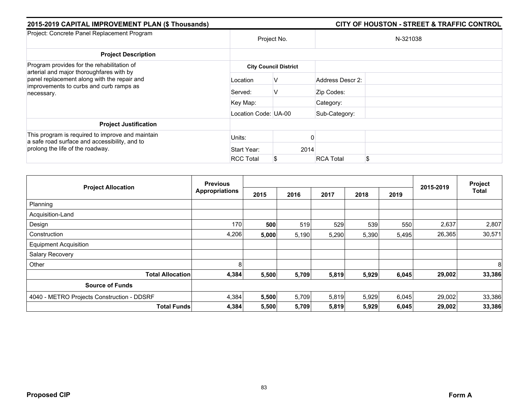| 2015-2019 CAPITAL IMPROVEMENT PLAN (\$ Thousands)                                                                                                                                              |                              |    |          |                  | <b>CITY OF HOUSTON - STREET &amp; TRAFFIC CONTROL</b> |  |  |
|------------------------------------------------------------------------------------------------------------------------------------------------------------------------------------------------|------------------------------|----|----------|------------------|-------------------------------------------------------|--|--|
| Project: Concrete Panel Replacement Program                                                                                                                                                    | Project No.                  |    | N-321038 |                  |                                                       |  |  |
| <b>Project Description</b>                                                                                                                                                                     |                              |    |          |                  |                                                       |  |  |
| Program provides for the rehabilitation of<br>arterial and major thoroughfares with by<br>panel replacement along with the repair and<br>improvements to curbs and curb ramps as<br>necessary. | <b>City Council District</b> |    |          |                  |                                                       |  |  |
|                                                                                                                                                                                                | Location                     | V  |          | Address Descr 2: |                                                       |  |  |
|                                                                                                                                                                                                | Served:                      | V  |          | Zip Codes:       |                                                       |  |  |
|                                                                                                                                                                                                | Key Map:                     |    |          | Category:        |                                                       |  |  |
|                                                                                                                                                                                                | Location Code: UA-00         |    |          | Sub-Category:    |                                                       |  |  |
| <b>Project Justification</b>                                                                                                                                                                   |                              |    |          |                  |                                                       |  |  |
| This program is required to improve and maintain<br>a safe road surface and accessibility, and to<br>prolong the life of the roadway.                                                          | Units:                       |    |          |                  |                                                       |  |  |
|                                                                                                                                                                                                | Start Year:                  |    | 2014     |                  |                                                       |  |  |
|                                                                                                                                                                                                | <b>RCC Total</b>             | \$ |          | <b>RCA Total</b> | \$                                                    |  |  |

|                                            | <b>Previous</b>       |       |       |       |       | Project |           |              |
|--------------------------------------------|-----------------------|-------|-------|-------|-------|---------|-----------|--------------|
| <b>Project Allocation</b>                  | <b>Appropriations</b> | 2015  | 2016  | 2017  | 2018  | 2019    | 2015-2019 | <b>Total</b> |
| Planning                                   |                       |       |       |       |       |         |           |              |
| Acquisition-Land                           |                       |       |       |       |       |         |           |              |
| Design                                     | 170                   | 500   | 519   | 529   | 539   | 550     | 2,637     | 2,807        |
| Construction                               | 4,206                 | 5,000 | 5,190 | 5,290 | 5,390 | 5,495   | 26,365    | 30,571       |
| <b>Equipment Acquisition</b>               |                       |       |       |       |       |         |           |              |
| Salary Recovery                            |                       |       |       |       |       |         |           |              |
| Other                                      | 8                     |       |       |       |       |         |           | 8            |
| <b>Total Allocation</b>                    | 4,384                 | 5,500 | 5,709 | 5,819 | 5,929 | 6,045   | 29,002    | 33,386       |
| <b>Source of Funds</b>                     |                       |       |       |       |       |         |           |              |
| 4040 - METRO Projects Construction - DDSRF | 4,384                 | 5,500 | 5,709 | 5,819 | 5,929 | 6,045   | 29,002    | 33,386       |
| <b>Total Funds</b>                         | 4,384                 | 5,500 | 5,709 | 5,819 | 5,929 | 6,045   | 29,002    | 33,386       |